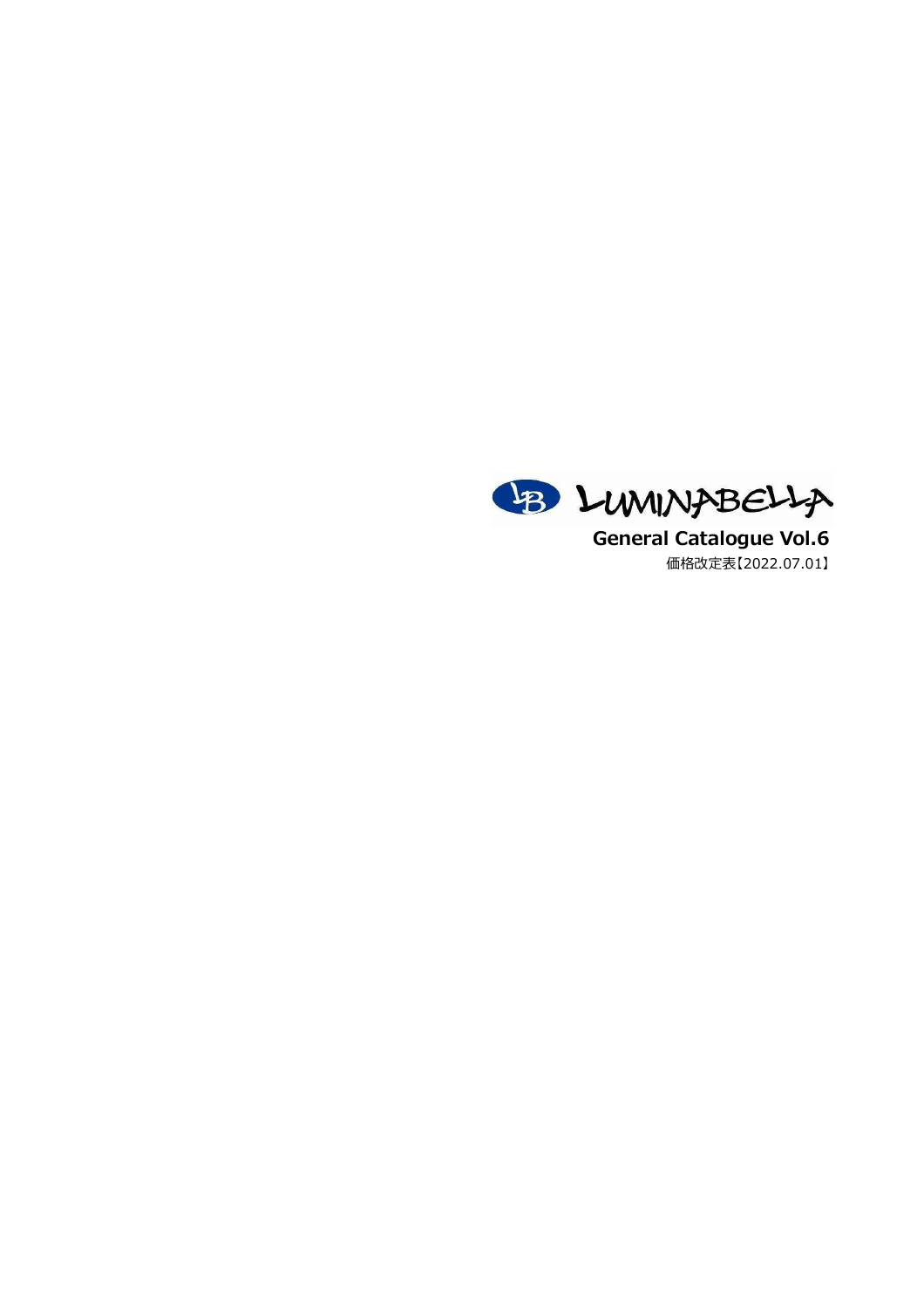

**General Catalogue Vol.6** 価格改定表【2022.07.01】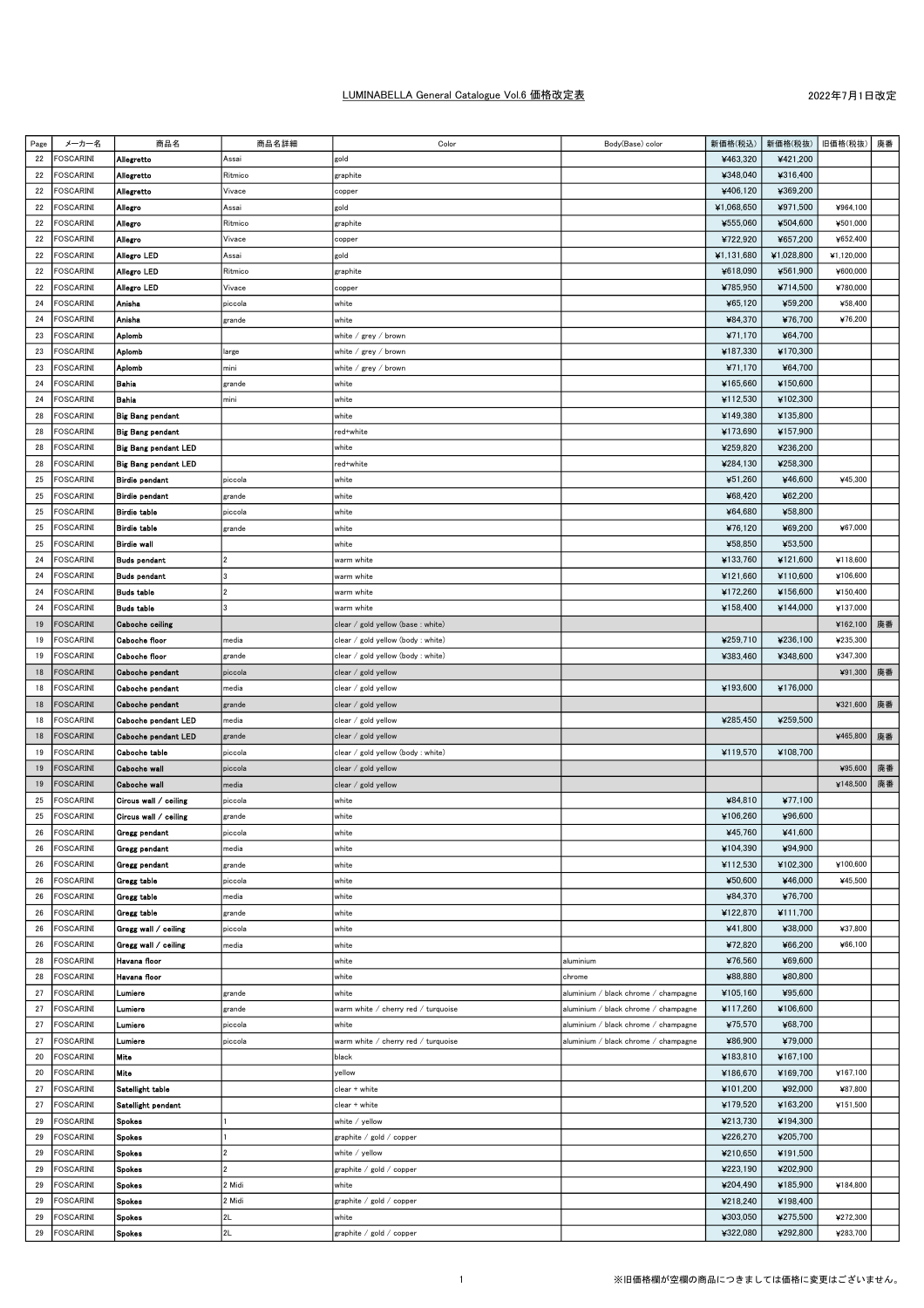## LUMINABELLA General Catalogue Vol.6 価格改定表

| Page     | メーカー名            | 商品名                         | 商品名詳細          | Color                               | Body(Base) color                     | 新価格(税込)              |                      | 新価格(税抜)   旧価格(税抜)    | 廃番 |
|----------|------------------|-----------------------------|----------------|-------------------------------------|--------------------------------------|----------------------|----------------------|----------------------|----|
| 22       | <b>FOSCARINI</b> | Allegretto                  | Assai          | gold                                |                                      | ¥463,320             | ¥421,200             |                      |    |
| 22       | <b>FOSCARINI</b> | Allegretto                  | Ritmico        | graphite                            |                                      | ¥348,040             | ¥316,400             |                      |    |
| 22       | FOSCARINI        | Allegretto                  | Vivace         | copper                              |                                      | ¥406,120             | ¥369,200             |                      |    |
| 22       | FOSCARINI        | Allegro                     | Assai          | gold                                |                                      | ¥1,068,650           | ¥971,500             | ¥964,100             |    |
| 22       | <b>FOSCARINI</b> | Allegro                     | Ritmico        | graphite                            |                                      | ¥555,060             | ¥504,600             | ¥501,000             |    |
| 22       | FOSCARINI        | Allegro                     | Vivace         | copper                              |                                      | ¥722,920             | ¥657,200             | ¥652,400             |    |
| 22       | FOSCARINI        | Allegro LED                 | Assai          | gold                                |                                      | ¥1,131,680           | ¥1,028,800           | ¥1,120,000           |    |
|          | FOSCARINI        |                             |                |                                     |                                      |                      |                      | ¥600,000             |    |
| 22       |                  | Allegro LED                 | Ritmico        | graphite                            |                                      | ¥618,090             | ¥561,900             |                      |    |
| 22       | FOSCARINI        | Allegro LED                 | Vivace         | copper                              |                                      | ¥785,950             | ¥714,500             | ¥780,000             |    |
| 24       | FOSCARINI        | Anisha                      | piccola        | white                               |                                      | ¥65,120              | ¥59,200              | ¥58,400              |    |
| 24       | FOSCARINI        | Anisha                      | grande         | white                               |                                      | ¥84,370              | ¥76,700              | ¥76,200              |    |
| 23       | FOSCARINI        | Aplomb                      |                | white / grey / brown                |                                      | ¥71,170              | ¥64,700              |                      |    |
| 23       | FOSCARINI        | Aplomb                      | large          | white / grey / brown                |                                      | ¥187,330             | ¥170,300             |                      |    |
| 23       | FOSCARINI        | Aplomb                      | mini           | white / grey / brown                |                                      | ¥71,170              | ¥64,700              |                      |    |
| 24       | FOSCARINI        | Bahia                       | grande         | white                               |                                      | ¥165,660             | ¥150,600             |                      |    |
| 24       | FOSCARINI        | Bahia                       | mini           | white                               |                                      | ¥112,530             | ¥102,300             |                      |    |
| 28       | FOSCARINI        | Big Bang pendant            |                | white                               |                                      | ¥149,380             | ¥135,800             |                      |    |
| 28       | FOSCARINI        | <b>Big Bang pendant</b>     |                | red+white                           |                                      | ¥173,690             | ¥157,900             |                      |    |
| 28       | FOSCARINI        | <b>Big Bang pendant LED</b> |                | white                               |                                      | ¥259,820             | ¥236,200             |                      |    |
| 28       | <b>FOSCARINI</b> | <b>Big Bang pendant LED</b> |                | red+white                           |                                      | ¥284,130             | ¥258,300             |                      |    |
| 25       | FOSCARINI        | <b>Birdie pendant</b>       | piccola        | white                               |                                      | ¥51,260              | ¥46,600              | ¥45,300              |    |
| 25       | FOSCARINI        | <b>Birdie pendant</b>       | grande         | white                               |                                      | ¥68,420              | ¥62,200              |                      |    |
| 25       | FOSCARINI        | <b>Birdie table</b>         | piccola        | white                               |                                      | ¥64,680              | ¥58,800              |                      |    |
| 25       | FOSCARINI        | <b>Birdie table</b>         | grande         | white                               |                                      | ¥76,120              | ¥69,200              | ¥67,000              |    |
| 25       | FOSCARINI        | <b>Birdie wall</b>          |                | white                               |                                      | ¥58,850              | ¥53,500              |                      |    |
| 24       | FOSCARINI        | <b>Buds pendant</b>         | I2             | warm white                          |                                      | ¥133,760             | ¥121,600             | ¥118,600             |    |
| 24       | FOSCARINI        | <b>Buds pendant</b>         |                | warm white                          |                                      | ¥121,660             | ¥110,600             | ¥106,600             |    |
| 24       | FOSCARINI        | <b>Buds table</b>           | $\overline{2}$ | warm white                          |                                      | ¥172,260             | ¥156,600             | ¥150,400             |    |
| 24       | FOSCARINI        | <b>Buds table</b>           | l3             | warm white                          |                                      | ¥158,400             | ¥144,000             | ¥137,000             |    |
| 19       | FOSCARINI        | <b>Caboche ceiling</b>      |                | clear / gold yellow (base : white)  |                                      |                      |                      | ¥162,100             | 廃番 |
| 19       | FOSCARINI        | Caboche floor               | media          | clear / gold yellow (body : white)  |                                      | ¥259,710             | ¥236,100             | ¥235,300             |    |
| 19       | FOSCARINI        | Caboche floor               | grande         | clear / gold yellow (body : white)  |                                      | ¥383,460             | ¥348,600             | ¥347,300             |    |
| 18       | <b>FOSCARINI</b> | Caboche pendant             | piccola        | clear / gold yellow                 |                                      |                      |                      | ¥91,300              | 廃番 |
| 18       | FOSCARINI        | Caboche pendant             | media          | clear / gold yellow                 |                                      | ¥193,600             | ¥176,000             |                      |    |
| 18       | FOSCARINI        | Caboche pendant             | grande         | clear / gold yellow                 |                                      |                      |                      | ¥321,600             | 廃番 |
| 18       | FOSCARINI        | Caboche pendant LED         | media          | clear / gold yellow                 |                                      | ¥285,450             | ¥259,500             |                      |    |
| 18       | <b>FOSCARINI</b> | <b>Caboche pendant LED</b>  | grande         | clear / gold yellow                 |                                      |                      |                      | ¥465,800             | 廃番 |
| 19       | FOSCARINI        | Caboche table               | piccola        | clear / gold yellow (body : white)  |                                      | ¥119,570             | ¥108,700             |                      |    |
| 19       | <b>FOSCARINI</b> | Caboche wall                | piccola        | clear / gold yellow                 |                                      |                      |                      | ¥95,600              | 廃番 |
| 19       | <b>FOSCARINI</b> | Caboche wall                | media          | clear / gold yellow                 |                                      |                      |                      | ¥148,500             | 廃番 |
| 25       | FOSCARINI        | Circus wall / ceiling       | piccola        | white                               |                                      | ¥84,810              | ¥77,100              |                      |    |
| 25       | FOSCARINI        | Circus wall / ceiling       | grande         | white                               |                                      | ¥106,260             | ¥96,600              |                      |    |
| 26       | <b>FOSCARINI</b> | Gregg pendant               | piccola        | white                               |                                      | ¥45,760              | ¥41,600              |                      |    |
| 26       | <b>FOSCARINI</b> | Gregg pendant               | media          | white                               |                                      | ¥104,390             | ¥94,900              |                      |    |
| 26       | <b>FOSCARINI</b> | Gregg pendant               | grande         | white                               |                                      | ¥112,530             | ¥102,300             | ¥100,600             |    |
| 26       | <b>FOSCARINI</b> | Gregg table                 | piccola        | white                               |                                      | ¥50,600              | ¥46,000              | ¥45,500              |    |
| 26       | <b>FOSCARINI</b> | Grogg table                 | media          | white                               |                                      | ¥84,370              | ¥76,700              |                      |    |
| 26       | <b>FOSCARINI</b> | Gregg table                 | grande         | white                               |                                      | ¥122,870             | ¥111,700             |                      |    |
| 26       | FOSCARINI        | Gregg wall / ceiling        | piccola        | white                               |                                      | ¥41,800              | ¥38,000              | ¥37,800              |    |
| 26       | <b>FOSCARINI</b> | Gregg wall / ceiling        | media          | white                               |                                      | ¥72,820              | ¥66,200              | ¥66,100              |    |
| 28       | <b>FOSCARINI</b> | Havana floor                |                | white                               | aluminium                            | ¥76,560              | ¥69,600              |                      |    |
| 28       | <b>FOSCARINI</b> | Havana floor                |                | white                               | chrome                               | ¥88,880              | ¥80,800              |                      |    |
| 27       | <b>FOSCARINI</b> | Lumiere                     | grande         | white                               | aluminium / black chrome / champagne | ¥105,160             | ¥95,600              |                      |    |
| 27       |                  |                             |                |                                     |                                      |                      | ¥106,600             |                      |    |
|          |                  |                             |                |                                     |                                      |                      |                      |                      |    |
| 27<br>27 | <b>FOSCARINI</b> | Lumiere                     | grande         | warm white / cherry red / turquoise | aluminium / black chrome / champagne | ¥117,260             |                      |                      |    |
|          | <b>FOSCARINI</b> | Lumiere                     | piccola        | white                               | aluminium / black chrome / champagne | ¥75,570              | ¥68.700              |                      |    |
|          | FOSCARINI        | Lumiere                     | piccola        | warm white / cherry red / turquoise | aluminium / black chrome / champagne | ¥86,900              | ¥79,000              |                      |    |
| 20       | FOSCARINI        | Mite                        |                | black                               |                                      | ¥183,810             | ¥167,100             |                      |    |
| 20       | <b>FOSCARINI</b> | Mite                        |                | yellow                              |                                      | ¥186,670             | ¥169,700             | ¥167,100             |    |
| 27       | <b>FOSCARINI</b> | Satellight table            |                | clear + white                       |                                      | ¥101,200             | ¥92,000              | ¥87,800              |    |
| 27       | <b>FOSCARINI</b> | Satellight pendant          |                | clear + white                       |                                      | ¥179,520             | ¥163,200             | ¥151,500             |    |
| 29       | <b>FOSCARINI</b> | Spokes                      |                | white / yellow                      |                                      | ¥213,730             | ¥194,300             |                      |    |
| 29       | <b>FOSCARINI</b> | <b>Spokes</b>               |                | graphite / gold / copper            |                                      | ¥226,270             | ¥205,700             |                      |    |
| 29       | FOSCARINI        | <b>Spokes</b>               | $\overline{2}$ | white / yellow                      |                                      | ¥210,650             | ¥191,500             |                      |    |
| 29       | FOSCARINI        | Spokes                      |                | graphite / gold / copper            |                                      | ¥223,190             | ¥202,900             |                      |    |
| 29       | <b>FOSCARINI</b> | Spokes                      | 2 Midi         | white                               |                                      | ¥204,490             | ¥185,900             | ¥184,800             |    |
| 29       | <b>FOSCARINI</b> | Spokes                      | 2 Midi         | graphite / gold / copper            |                                      | ¥218,240             | ¥198,400             |                      |    |
| 29       | <b>FOSCARINI</b> | Spokes                      | 2L             | white                               |                                      | ¥303,050<br>¥322,080 | ¥275,500<br>¥292,800 | ¥272,300<br>¥283,700 |    |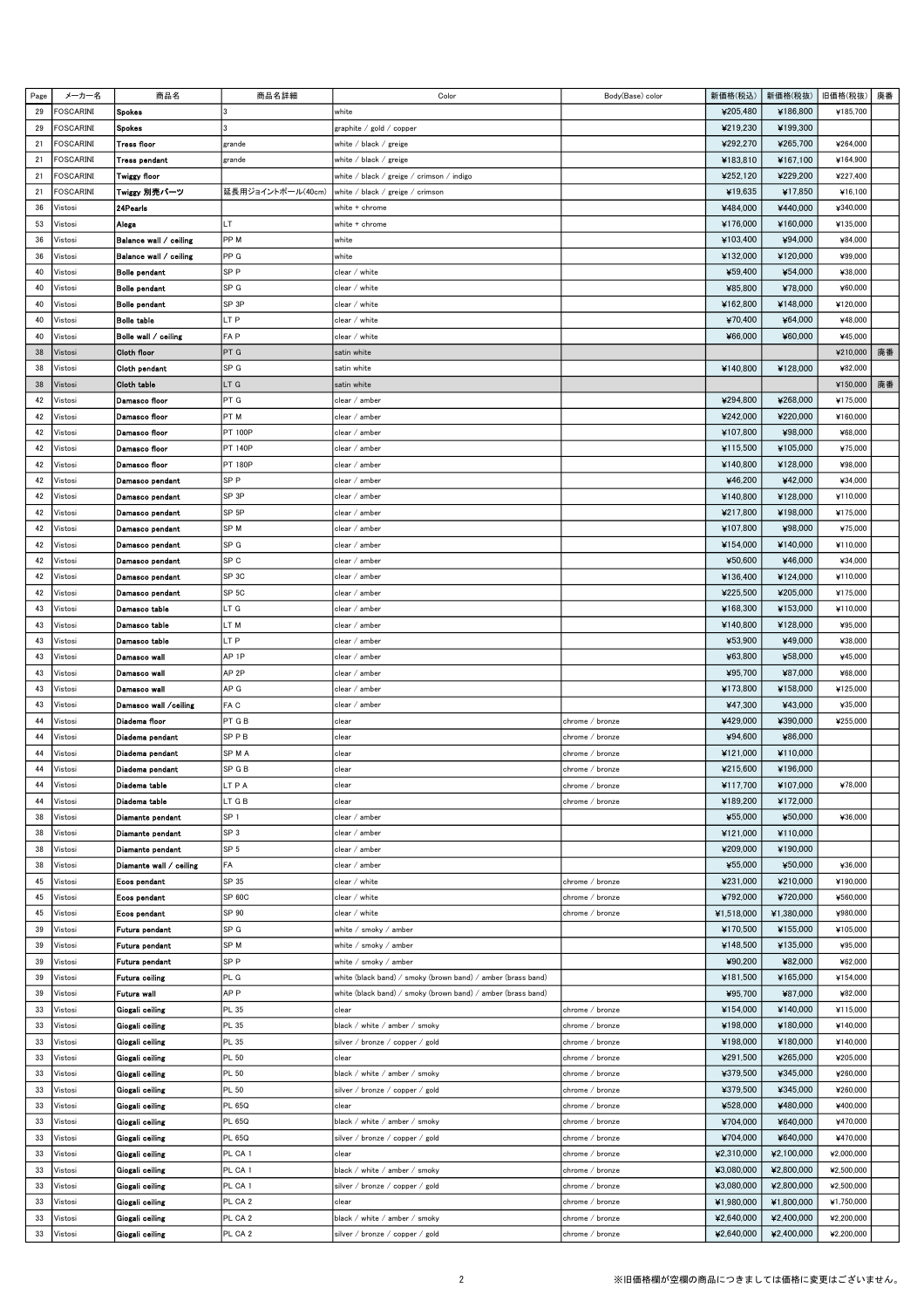| Page | メーカー名     | 商品名                     | 商品名詳細             | Color                                                        | Body(Base) color | 新価格(税込)    | 新価格(税抜)    | 旧価格(税抜)    | 廃番 |
|------|-----------|-------------------------|-------------------|--------------------------------------------------------------|------------------|------------|------------|------------|----|
|      |           |                         |                   |                                                              |                  |            |            |            |    |
| 29   | FOSCARINI | Spokes                  |                   | white                                                        |                  | ¥205,480   | ¥186,800   | ¥185,700   |    |
| 29   | FOSCARINI | Spokes                  |                   | graphite / gold / copper                                     |                  | ¥219.230   | ¥199,300   |            |    |
| 21   | FOSCARINI | <b>Tress floor</b>      | grande            | white / black / greige                                       |                  | ¥292,270   | ¥265,700   | ¥264,000   |    |
| 21   | FOSCARINI | Tress pendant           | grande            | white / black / greige                                       |                  | ¥183,810   | ¥167,100   | ¥164,900   |    |
|      |           |                         |                   |                                                              |                  |            |            |            |    |
| 21   | FOSCARINI | Twiggy floor            |                   | white / black / greige / crimson / indigo                    |                  | ¥252,120   | ¥229,200   | ¥227,400   |    |
| 21   | FOSCARINI | Twiggy 別売パーツ            | 延長用ジョイントポール(40cm) | white / black / greige / crimson                             |                  | ¥19,635    | ¥17,850    | ¥16,100    |    |
| 36   | Vistosi   | 24Pearls                |                   | white + chrome                                               |                  | ¥484,000   | ¥440,000   | ¥340,000   |    |
|      |           | Alega                   | LT                | white + chrome                                               |                  | ¥176,000   | ¥160,000   | ¥135,000   |    |
| 53   | Vistosi   |                         |                   |                                                              |                  |            |            |            |    |
| 36   | Vistosi   | Balance wall / ceiling  | PP <sub>M</sub>   | white                                                        |                  | ¥103,400   | ¥94,000    | ¥84,000    |    |
| 36   | Vistosi   | Balance wall / ceiling  | PP G              | white                                                        |                  | ¥132,000   | ¥120,000   | ¥99,000    |    |
| 40   | Vistosi   | Bolle pendant           | SP <sub>P</sub>   | clear / white                                                |                  | ¥59,400    | ¥54,000    | ¥38,000    |    |
|      |           |                         |                   |                                                              |                  |            |            |            |    |
| 40   | Vistosi   | <b>Bolle</b> pendant    | SP G              | clear / white                                                |                  | ¥85,800    | ¥78,000    | ¥60,000    |    |
| 40   | Vistosi   | Bolle pendant           | SP <sub>3P</sub>  | clear / white                                                |                  | ¥162,800   | ¥148.000   | ¥120,000   |    |
| 40   | Vistosi   | <b>Bolle</b> table      | LT P              | clear / white                                                |                  | ¥70,400    | ¥64,000    | ¥48,000    |    |
| 40   | Vistosi   | Bolle wall / ceiling    | FA P              | clear / white                                                |                  | ¥66,000    | ¥60,000    | ¥45,000    |    |
|      |           |                         |                   |                                                              |                  |            |            |            |    |
| 38   | Vistosi   | <b>Cloth floor</b>      | PT G              | satin white                                                  |                  |            |            | ¥210,000   | 廃番 |
| 38   | Vistosi   | Cloth pendant           | SP G              | satin white                                                  |                  | ¥140,800   | ¥128,000   | ¥82,000    |    |
| 38   | Vistosi   | Cloth table             | LT G              | satin white                                                  |                  |            |            | ¥150,000   | 廃番 |
|      |           |                         |                   |                                                              |                  |            |            |            |    |
| 42   | Vistosi   | Damasco floor           | PT G              | clear / amber                                                |                  | ¥294,800   | ¥268,000   | ¥175,000   |    |
| 42   | Vistosi   | Damasco floor           | PT <sub>M</sub>   | clear / amber                                                |                  | ¥242,000   | ¥220,000   | ¥160,000   |    |
| 42   | Vistosi   | Damasco floor           | <b>PT 100P</b>    | clear / amber                                                |                  | ¥107,800   | ¥98,000    | ¥68,000    |    |
|      | Vistosi   | Damasco floor           | <b>PT 140P</b>    | clear / amber                                                |                  |            | ¥105,000   | ¥75,000    |    |
| 42   |           |                         |                   |                                                              |                  | ¥115,500   |            |            |    |
| 42   | Vistosi   | Damasco floor           | <b>PT 180P</b>    | clear / amber                                                |                  | ¥140,800   | ¥128,000   | ¥98,000    |    |
| 42   | Vistosi   | Damasco pendant         | SP <sub>P</sub>   | clear / amber                                                |                  | ¥46,200    | ¥42,000    | ¥34,000    |    |
| 42   | Vistosi   | <b>Damasco pendant</b>  | SP 3P             | clear / amber                                                |                  | ¥140,800   | ¥128,000   | ¥110,000   |    |
|      |           |                         |                   |                                                              |                  |            |            |            |    |
| 42   | Vistosi   | Damasco pendant         | SP <sub>5P</sub>  | clear / amber                                                |                  | ¥217,800   | ¥198,000   | ¥175,000   |    |
| 42   | Vistosi   | Damasco pendant         | SP <sub>M</sub>   | clear / amber                                                |                  | ¥107,800   | ¥98,000    | ¥75,000    |    |
| 42   | Vistosi   | Damasco pendant         | SP G              | clear / amber                                                |                  | ¥154,000   | ¥140,000   | ¥110,000   |    |
|      |           |                         |                   |                                                              |                  | ¥50,600    | ¥46,000    |            |    |
| 42   | Vistosi   | Damasco pendant         | SP <sub>C</sub>   | clear / amber                                                |                  |            |            | ¥34,000    |    |
| 42   | Vistosi   | Damasco pendant         | SP <sub>3C</sub>  | clear / amber                                                |                  | ¥136,400   | ¥124,000   | ¥110,000   |    |
| 42   | Vistosi   | Damasco pendant         | SP <sub>5C</sub>  | clear / amber                                                |                  | ¥225,500   | ¥205,000   | ¥175,000   |    |
| 43   | Vistosi   | Damasoo table           | LT G              | clear / amber                                                |                  | ¥168,300   | ¥153,000   | ¥110,000   |    |
|      |           |                         |                   |                                                              |                  |            |            |            |    |
| 43   | Vistosi   | Damasco table           | LT <sub>M</sub>   | clear / amber                                                |                  | ¥140,800   | ¥128,000   | ¥95,000    |    |
| 43   | Vistosi   | Damasco table           | LT P              | clear / amber                                                |                  | ¥53,900    | ¥49,000    | ¥38,000    |    |
| 43   | Vistosi   | Damasco wall            | AP <sub>1P</sub>  | clear / amber                                                |                  | ¥63,800    | ¥58,000    | ¥45,000    |    |
|      |           |                         |                   |                                                              |                  |            |            |            |    |
| 43   | Vistosi   | Damasco wall            | AP <sub>2P</sub>  | clear / amber                                                |                  | ¥95,700    | ¥87,000    | ¥68,000    |    |
| 43   | Vistosi   | Damasco wall            | AP G              | clear / amber                                                |                  | ¥173,800   | ¥158,000   | ¥125,000   |    |
| 43   | Vistosi   | Damasco wall /ceiling   | FA C              | clear / amber                                                |                  | ¥47,300    | ¥43,000    | ¥35,000    |    |
| 44   | Vistosi   | Diadema floor           | PT G B            | clear                                                        | chrome / bronze  | ¥429,000   | ¥390,000   | ¥255,000   |    |
|      |           |                         |                   |                                                              |                  |            |            |            |    |
| 44   | Vistosi   | Diadema pendant         | SP P B            | clear                                                        | chrome / bronze  | ¥94,600    | ¥86,000    |            |    |
| 44   | Vistosi   | Diadema pendant         | SPMA              | clear                                                        | chrome / bronze  | ¥121,000   | ¥110,000   |            |    |
| 44   | Vistosi   | Diadema pendant         | SP G B            | clear                                                        | chrome / bronze  | ¥215,600   | ¥196,000   |            |    |
|      |           |                         |                   |                                                              |                  |            |            |            |    |
| 44   | Vistosi   | Diadema table           | LT P A            | clear                                                        | chrome / bronze  | ¥117,700   | ¥107,000   | ¥78,000    |    |
| 44   | Vistosi   | Diadema table           | LT G B            | clear                                                        | chrome / bronze  | ¥189,200   | ¥172,000   |            |    |
| 38   | Vistosi   | Diamante pendant        | SP <sub>1</sub>   | clear / amber                                                |                  | ¥55,000    | ¥50,000    | ¥36,000    |    |
| 38   | Vistosi   | Diamante pendant        | SP <sub>3</sub>   | clear / amber                                                |                  | ¥121,000   | ¥110,000   |            |    |
|      |           |                         |                   |                                                              |                  |            |            |            |    |
| 38   | Vistosi   | Diamante pendant        | SP <sub>5</sub>   | clear / amber                                                |                  | ¥209,000   | ¥190,000   |            |    |
| 38   | Vistosi   | Diamante wall / ceiling | FA                | clear / amber                                                |                  | ¥55,000    | ¥50,000    | ¥36,000    |    |
| 45   | Vistosi   | Ecos pendant            | SP 35             | clear / white                                                | chrome / bronze  | ¥231,000   | ¥210,000   | ¥190,000   |    |
|      |           | <b>Ecos pendant</b>     |                   |                                                              |                  | ¥792,000   |            |            |    |
| 45   | Vistosi   |                         | SP 60C            | clear / white                                                | chrome / bronze  |            | ¥720,000   | ¥560,000   |    |
| 45   | Vistosi   | Ecos pendant            | SP 90             | clear / white                                                | chrome / bronze  | ¥1,518,000 | ¥1,380,000 | ¥980,000   |    |
| 39   | Vistosi   | Futura pendant          | SP G              | white / smoky / amber                                        |                  | ¥170,500   | ¥155,000   | ¥105,000   |    |
| 39   | Vistosi   | Futura pendant          | SP <sub>M</sub>   | white $/$ smoky $/$ amber                                    |                  | ¥148,500   | ¥135,000   | ¥95,000    |    |
|      |           |                         |                   |                                                              |                  |            |            |            |    |
| 39   | Vistosi   | Futura pendant          | SP <sub>P</sub>   | white / smoky / amber                                        |                  | ¥90,200    | ¥82,000    | ¥62,000    |    |
| 39   | Vistosi   | <b>Futura ceiling</b>   | PL G              | white (black band) / smoky (brown band) / amber (brass band) |                  | ¥181,500   | ¥165,000   | ¥154,000   |    |
| 39   | Vistosi   | Futura wall             | AP <sub>P</sub>   | white (black band) / smoky (brown band) / amber (brass band) |                  | ¥95,700    | ¥87,000    | ¥82,000    |    |
| 33   | Vistosi   | Giogali ceiling         | <b>PL 35</b>      | clear                                                        |                  | ¥154,000   | ¥140,000   | ¥115,000   |    |
|      |           |                         |                   |                                                              | chrome / bronze  |            |            |            |    |
| 33   | Vistosi   | <b>Giogali ceiling</b>  | <b>PL 35</b>      | black / white / amber / smoky                                | chrome / bronze  | ¥198,000   | ¥180,000   | ¥140,000   |    |
| 33   | Vistosi   | Giogali ceiling         | <b>PL 35</b>      | silver / bronze / copper / gold                              | chrome / bronze  | ¥198,000   | ¥180,000   | ¥140,000   |    |
| 33   | Vistosi   | Giogali ceiling         | <b>PL 50</b>      | clear                                                        | chrome / bronze  | ¥291,500   | ¥265,000   | ¥205,000   |    |
|      |           |                         |                   |                                                              |                  |            |            |            |    |
| 33   | Vistosi   | Giogali coiling         | <b>PL 50</b>      | black / white / amber / smoky                                | chrome / bronze  | ¥379,500   | ¥345,000   | ¥260,000   |    |
| 33   | Vistosi   | Giogali ceiling         | <b>PL 50</b>      | silver / bronze / copper / gold                              | chrome / bronze  | ¥379,500   | ¥345,000   | ¥260,000   |    |
| 33   | Vistosi   | <b>Giogali</b> coiling  | <b>PL 65Q</b>     | clear                                                        | chrome / bronze  | ¥528,000   | ¥480,000   | ¥400,000   |    |
| 33   | Vistosi   |                         | <b>PL 65Q</b>     | black / white / amber / smoky                                |                  |            |            | ¥470,000   |    |
|      |           | Giogali ceiling         |                   |                                                              | chrome / bronze  | ¥704,000   | ¥640,000   |            |    |
| 33   | Vistosi   | <b>Giogali ceiling</b>  | <b>PL 65Q</b>     | silver / bronze / copper / gold                              | chrome / bronze  | ¥704,000   | ¥640,000   | ¥470,000   |    |
| 33   | Vistosi   | Giogali ceiling         | PL CA 1           | clear                                                        | chrome / bronze  | ¥2,310,000 | ¥2,100,000 | ¥2,000,000 |    |
| 33   | Vistosi   | Giogali ceiling         | PL CA 1           | black / white / amber / smoky                                | chrome / bronze  | ¥3,080,000 | ¥2,800,000 | ¥2,500,000 |    |
|      |           |                         |                   |                                                              |                  |            |            |            |    |
| 33   | Vistosi   | Giogali ceiling         | PL CA 1           | silver / bronze / copper / gold                              | chrome / bronze  | ¥3,080,000 | ¥2,800,000 | ¥2,500,000 |    |
| 33   | Vistosi   | <b>Giogali</b> ceiling  | PL CA 2           | clear                                                        | chrome / bronze  | ¥1,980,000 | ¥1,800,000 | ¥1,750,000 |    |
| 33   | Vistosi   | Giogali ceiling         | PL CA 2           | black / white / amber / smoky                                | chrome / bronze  | ¥2,640,000 | ¥2,400,000 | ¥2,200,000 |    |
|      |           |                         |                   |                                                              |                  |            |            |            |    |
| 33   | Vistosi   | Giogali ceiling         | PL CA 2           | silver / bronze / copper / gold                              | chrome / bronze  | ¥2,640,000 | ¥2,400,000 | ¥2,200,000 |    |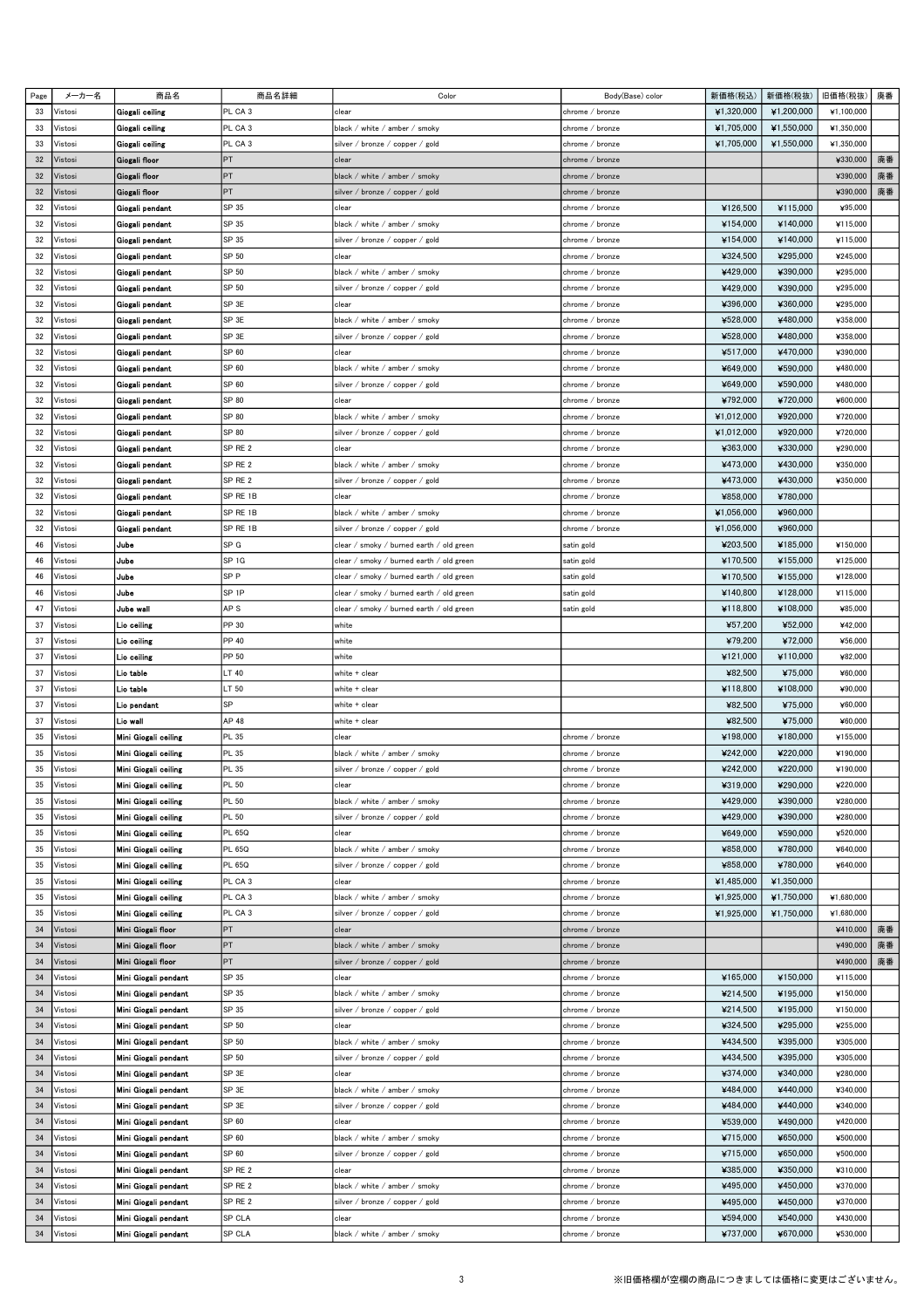| Page | メーカー名   | 商品名                    | 商品名詳細            | Color                                    | Body(Base) color | 新価格(税込)    | 新価格(税抜)    | 旧価格(税抜)    | 廃番 |
|------|---------|------------------------|------------------|------------------------------------------|------------------|------------|------------|------------|----|
| 33   | Vistosi | Giogali ceiling        | PL CA 3          | clear                                    | chrome / bronze  | ¥1,320,000 | ¥1,200,000 | ¥1,100,000 |    |
| 33   | Vistosi | Giogali ceiling        | PL CA 3          | black / white / amber / smoky            | chrome / bronze  | ¥1,705,000 | ¥1,550,000 | ¥1,350,000 |    |
|      |         |                        |                  |                                          |                  |            |            |            |    |
| 33   | Vistosi | <b>Giogali</b> coiling | PL CA 3          | silver / bronze / copper / gold          | chrome / bronze  | ¥1,705,000 | ¥1,550,000 | ¥1,350,000 |    |
| 32   | Vistosi | Giogali floor          | PT               | clear                                    | chrome / bronze  |            |            | ¥330,000   | 廃番 |
| 32   | Vistosi | Giogali floor          | PT               | black / white / amber / smoky            | chrome / bronze  |            |            | ¥390,000   | 廃番 |
| 32   | Vistosi | Giogali floor          | PT               | silver / bronze / copper / gold          | chrome / bronze  |            |            | ¥390,000   | 廃番 |
| 32   | Vistosi | Giogali pendant        | SP 35            | clear                                    | chrome / bronze  | ¥126,500   | ¥115,000   | ¥95,000    |    |
| 32   | Vistosi | Giogali pendant        | SP 35            | black / white / amber / smoky            | chrome / bronze  | ¥154,000   | ¥140,000   | ¥115,000   |    |
| 32   | Vistosi | Giogali pendant        | SP 35            | silver / bronze / copper / gold          | chrome / bronze  | ¥154,000   | ¥140,000   | ¥115,000   |    |
| 32   | Vistosi | Giogali pondant        | SP 50            | clear                                    | chrome / bronze  | ¥324,500   | ¥295,000   | ¥245,000   |    |
| 32   | Vistosi | Giogali pendant        | SP 50            | black / white / amber / smoky            | chrome / bronze  | ¥429,000   | ¥390,000   | ¥295,000   |    |
|      |         |                        | SP 50            |                                          |                  |            | ¥390,000   |            |    |
| 32   | Vistosi | Giogali pendant        |                  | silver / bronze / copper / gold          | chrome / bronze  | ¥429,000   |            | ¥295,000   |    |
| 32   | Vistosi | Giogali pendant        | SP <sub>3E</sub> | clear                                    | chrome / bronze  | ¥396,000   | ¥360,000   | ¥295,000   |    |
| 32   | Vistosi | Giogali pendant        | SP 3E            | black / white / amber / smoky            | chrome / bronze  | ¥528,000   | ¥480,000   | ¥358,000   |    |
| 32   | Vistosi | Giogali pendant        | SP 3E            | silver / bronze / copper / gold          | chrome / bronze  | ¥528,000   | ¥480,000   | ¥358,000   |    |
| 32   | Vistosi | Giogali pendant        | SP 60            | clear                                    | chrome / bronze  | ¥517,000   | ¥470,000   | ¥390,000   |    |
| 32   | Vistosi | Giogali pendant        | SP 60            | black / white / amber / smoky            | chrome / bronze  | ¥649,000   | ¥590,000   | ¥480,000   |    |
| 32   | Vistosi | Giogali pendant        | SP 60            | silver / bronze / copper / gold          | chrome / bronze  | ¥649,000   | ¥590,000   | ¥480,000   |    |
| 32   | Vistosi | Giogali pendant        | SP 80            | clear                                    | chrome / bronze  | ¥792,000   | ¥720,000   | ¥600,000   |    |
| 32   | Vistosi | Giogali pendant        | SP 80            | black / white / amber / smoky            | chrome / bronze  | ¥1,012,000 | ¥920,000   | ¥720,000   |    |
| 32   | Vistosi | Giogali pendant        | SP 80            | silver / bronze / copper / gold          | chrome / bronze  | ¥1,012,000 | ¥920,000   | ¥720,000   |    |
| 32   | Vistosi | Giogali pendant        | SP RE 2          | clear                                    | chrome / bronze  | ¥363,000   | ¥330,000   | ¥290,000   |    |
|      |         |                        |                  |                                          |                  |            | ¥430,000   |            |    |
| 32   | Vistosi | Giogali pendant        | SP RE 2          | black / white / amber / smoky            | chrome / bronze  | ¥473,000   |            | ¥350,000   |    |
| 32   | Vistosi | Giogali pendant        | SP RE 2          | silver / bronze / copper / gold          | chrome / bronze  | ¥473,000   | ¥430,000   | ¥350,000   |    |
| 32   | Vistosi | Giogali pondant        | SP RE 1B         | clear                                    | chrome / bronze  | ¥858,000   | ¥780,000   |            |    |
| 32   | Vistosi | Giogali pendant        | SP RE 1B         | black / white / amber / smoky            | chrome / bronze  | ¥1,056,000 | ¥960,000   |            |    |
| 32   | Vistosi | Giogali pondant        | SP RE 1B         | silver / bronze / copper / gold          | chrome / bronze  | ¥1,056,000 | ¥960,000   |            |    |
| 46   | Vistosi | Jube                   | SP G             | clear / smoky / burned earth / old green | satin gold       | ¥203,500   | ¥185,000   | ¥150,000   |    |
| 46   | Vistosi | Jubo                   | SP <sub>1G</sub> | clear / smoky / burned earth / old green | satin gold       | ¥170,500   | ¥155,000   | ¥125,000   |    |
| 46   | Vistosi | Jube                   | SP <sub>P</sub>  | clear / smoky / burned earth / old green | satin gold       | ¥170,500   | ¥155,000   | ¥128,000   |    |
| 46   | Vistosi | Jube                   | SP <sub>1P</sub> | clear / smoky / burned earth / old green | satin gold       | ¥140,800   | ¥128,000   | ¥115,000   |    |
| 47   | Vistosi | Jube wall              | AP <sub>S</sub>  | clear / smoky / burned earth / old green | satin gold       | ¥118,800   | ¥108,000   | ¥85,000    |    |
| 37   | Vistosi | Lio ceiling            | PP 30            | white                                    |                  | ¥57,200    | ¥52,000    | ¥42,000    |    |
| 37   | Vistosi | Lio ceiling            | PP 40            | white                                    |                  | ¥79,200    | ¥72,000    | ¥56,000    |    |
| 37   | Vistosi | Lio ceiling            | PP 50            | white                                    |                  | ¥121,000   | ¥110,000   | ¥82,000    |    |
| 37   | Vistosi | Lio table              | LT 40            | white + clear                            |                  | ¥82,500    | ¥75,000    | ¥60,000    |    |
| 37   | Vistosi | Lio table              | LT 50            | white + clear                            |                  | ¥118,800   | ¥108,000   | ¥90,000    |    |
|      |         |                        | SP               |                                          |                  |            |            |            |    |
| 37   | Vistosi | Lio pendant            |                  | white + clear                            |                  | ¥82,500    | ¥75,000    | ¥60,000    |    |
| 37   | Vistosi | Lio wall               | AP 48            | white + clear                            |                  | ¥82,500    | ¥75,000    | ¥60,000    |    |
| 35   | Vistosi | Mini Giogali ceiling   | PL 35            | clear                                    | chrome / bronze  | ¥198,000   | ¥180,000   | ¥155,000   |    |
| 35   | Vistosi | Mini Giogali ceiling   | PL 35            | black / white / amber / smoky            | chrome / bronze  | ¥242,000   | ¥220,000   | ¥190,000   |    |
| 35   | Vistosi | Mini Giogali ceiling   | PL 35            | silver / bronze / copper / gold          | chrome / bronze  | ¥242,000   | ¥220,000   | ¥190,000   |    |
| 35   | Vistosi | Mini Giogali ceiling   | PL 50            | clear                                    | chrome / bronze  | ¥319,000   | ¥290,000   | ¥220,000   |    |
| 35   | Vistosi | Mini Giogali ceiling   | PL 50            | black / white / amber / smoky            | chrome / bronze  | ¥429,000   | ¥390,000   | ¥280,000   |    |
| 35   | Vistosi | Mini Giogali ceiling   | PL 50            | silver / bronze / copper / gold          | chrome / bronze  | ¥429,000   | ¥390,000   | ¥280,000   |    |
| 35   | Vistosi | Mini Giogali coiling   | <b>PL 65Q</b>    | clear                                    | chrome / bronze  | ¥649,000   | ¥590,000   | ¥520,000   |    |
| 35   | Vistosi | Mini Giogali ceiling   | <b>PL 65Q</b>    | black / white / amber / smoky            | chrome / bronze  | ¥858,000   | ¥780,000   | ¥640,000   |    |
| 35   | Vistosi | Mini Giogali ceiling   | <b>PL 65Q</b>    | silver / bronze / copper / gold          | chrome / bronze  | ¥858,000   | ¥780,000   | ¥640,000   |    |
| 35   | Vistosi | Mini Giogali ceiling   | PL CA 3          | clear                                    | chrome / bronze  | ¥1,485,000 | ¥1,350,000 |            |    |
| 35   | Vistosi | Mini Giogali ceiling   | PL CA 3          | black / white / amber / smoky            | chrome / bronze  | ¥1,925,000 | ¥1,750,000 | ¥1,680,000 |    |
|      |         |                        |                  |                                          |                  |            |            |            |    |
| 35   | Vistosi | Mini Giogali ceiling   | PL CA 3          | silver / bronze / copper / gold          | chrome / bronze  | ¥1,925,000 | ¥1,750,000 | ¥1,680,000 |    |
| 34   | Vistosi | Mini Giogali floor     | PT               | clear                                    | chrome / bronze  |            |            | ¥410,000   | 廃番 |
| 34   | Vistosi | Mini Giogali floor     | PT               | black / white / amber / smoky            | chrome / bronze  |            |            | ¥490,000   | 廃番 |
| 34   | Vistosi | Mini Giogali floor     | PT               | silver / bronze / copper / gold          | chrome / bronze  |            |            | ¥490,000   | 廃番 |
| 34   | Vistosi | Mini Giogali pendant   | SP 35            | clear                                    | chrome / bronze  | ¥165,000   | ¥150,000   | ¥115,000   |    |
| 34   | Vistosi | Mini Giogali pendant   | SP 35            | black / white / amber / smoky            | chrome / bronze  | ¥214,500   | ¥195,000   | ¥150,000   |    |
| 34   | Vistosi | Mini Giogali pendant   | SP 35            | silver / bronze / copper / gold          | chrome / bronze  | ¥214,500   | ¥195,000   | ¥150,000   |    |
| 34   | Vistosi | Mini Giogali pendant   | SP 50            | clear                                    | chrome / bronze  | ¥324,500   | ¥295,000   | ¥255,000   |    |
| 34   | Vistosi | Mini Giogali pendant   | SP 50            | black / white / amber / smoky            | chrome / bronze  | ¥434,500   | ¥395,000   | ¥305,000   |    |
| 34   | Vistosi | Mini Giogali pendant   | SP 50            | silver / bronze / copper / gold          | chrome / bronze  | ¥434,500   | ¥395,000   | ¥305,000   |    |
| 34   | Vistosi | Mini Giogali pendant   | SP 3E            | clear                                    | chrome / bronze  | ¥374,000   | ¥340,000   | ¥280,000   |    |
| 34   | Vistosi | Mini Giogali pendant   | SP <sub>3E</sub> | black / white / amber / smoky            | chrome / bronze  | ¥484,000   | ¥440,000   | ¥340,000   |    |
| 34   | Vistosi | Mini Giogali pendant   | SP <sub>3E</sub> | silver / bronze / copper / gold          | chrome / bronze  | ¥484,000   | ¥440,000   | ¥340,000   |    |
| 34   | Vistosi | Mini Giogali pendant   | SP 60            | clear                                    | chrome / bronze  | ¥539,000   | ¥490,000   | ¥420,000   |    |
| 34   | Vistosi | Mini Giogali pendant   | SP 60            | black / white / amber / smoky            | chrome / bronze  | ¥715,000   | ¥650,000   | ¥500,000   |    |
| 34   | Vistosi | Mini Giogali pendant   | SP 60            | silver / bronze / copper / gold          | chrome / bronze  | ¥715,000   | ¥650,000   | ¥500,000   |    |
| 34   |         | Mini Giogali pendant   | SP RE 2          | clear                                    |                  | ¥385,000   | ¥350,000   | ¥310,000   |    |
|      | Vistosi |                        |                  |                                          | chrome / bronze  |            |            |            |    |
| 34   | Vistosi | Mini Giogali pendant   | SP RE 2          | black / white / amber / smoky            | chrome / bronze  | ¥495,000   | ¥450,000   | ¥370,000   |    |
| 34   | Vistosi | Mini Giogali pendant   | SP RE 2          | silver / bronze / copper / gold          | chrome / bronze  | ¥495,000   | ¥450,000   | ¥370,000   |    |
| 34   | Vistosi | Mini Giogali pendant   | SP CLA           | clear                                    | chrome / bronze  | ¥594,000   | ¥540,000   | ¥430,000   |    |
| 34   | Vistosi | Mini Giogali pendant   | SP CLA           | black / white / amber / smoky            | chrome / bronze  | ¥737,000   | ¥670,000   | ¥530,000   |    |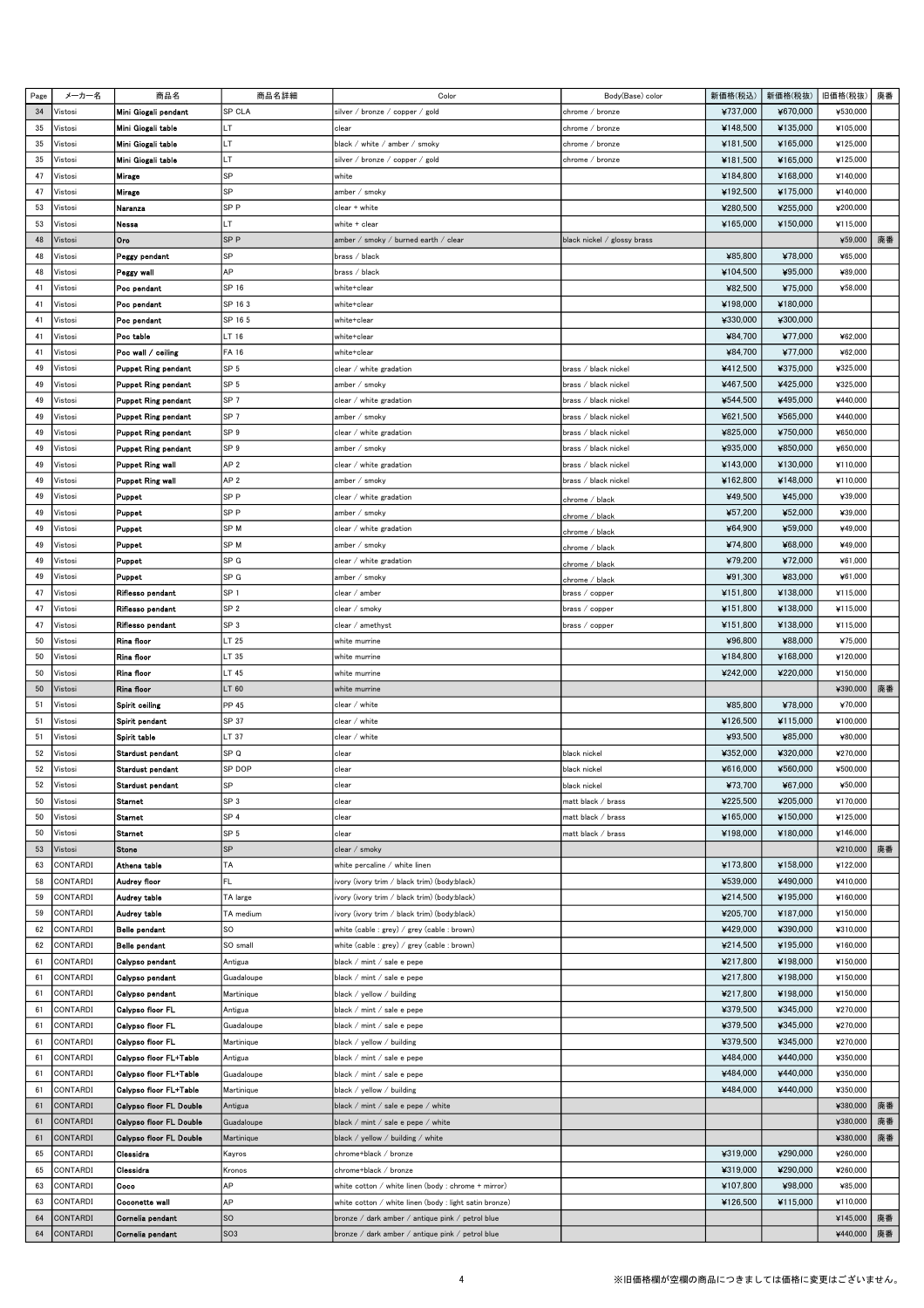| Page | メーカー名           | 商品名                        | 商品名詳細           | Color                                                  | Body(Base) color            | 新価格(税込)  | 新価格(税抜)  | 旧価格(税抜)  | 廃番 |
|------|-----------------|----------------------------|-----------------|--------------------------------------------------------|-----------------------------|----------|----------|----------|----|
| 34   | Vistosi         | Mini Giogali pendant       | SP CLA          | silver / bronze / copper / gold                        | chrome / bronze             | ¥737,000 | ¥670,000 | ¥530,000 |    |
|      |                 |                            |                 |                                                        |                             |          |          |          |    |
| 35   | Vistosi         | Mini Giogali table         | LΤ              | clear                                                  | chrome / bronze             | ¥148,500 | ¥135,000 | ¥105,000 |    |
| 35   | Vistosi         | Mini Giogali table         | LT              | black / white / amber / smoky                          | chrome / bronze             | ¥181,500 | ¥165,000 | ¥125,000 |    |
| 35   | Vistosi         | Mini Giogali table         | LΤ              | silver / bronze / copper / gold                        | chrome / bronze             | ¥181,500 | ¥165,000 | ¥125,000 |    |
| 47   | Vistosi         | Mirage                     | <b>SP</b>       | white                                                  |                             | ¥184,800 | ¥168,000 | ¥140,000 |    |
| 47   | Vistosi         | Mirago                     | SP              | amber / smoky                                          |                             | ¥192,500 | ¥175,000 | ¥140,000 |    |
| 53   |                 |                            | SP <sub>P</sub> |                                                        |                             |          |          |          |    |
|      | Vistosi         | Naranza                    |                 | clear + white                                          |                             | ¥280,500 | ¥255,000 | ¥200,000 |    |
| 53   | Vistosi         | Nossa                      | LТ              | white + clear                                          |                             | ¥165,000 | ¥150,000 | ¥115,000 |    |
| 48   | Vistosi         | Oro                        | SP <sub>P</sub> | amber / smoky / burned earth / clear                   | black nickel / glossy brass |          |          | ¥59,000  | 廃番 |
| 48   | Vistosi         | Peggy pendant              | SP              | brass / black                                          |                             | ¥85,800  | ¥78,000  | ¥65,000  |    |
| 48   | Vistosi         | Peggy wall                 | AP              | brass / black                                          |                             | ¥104,500 | ¥95,000  | ¥89,000  |    |
| 41   | Vistosi         | Poc pendant                | SP 16           | white+clear                                            |                             | ¥82,500  | ¥75,000  | ¥58,000  |    |
|      |                 |                            |                 |                                                        |                             |          |          |          |    |
| 41   | Vistosi         | Poo pendant                | SP 163          | white+clear                                            |                             | ¥198,000 | ¥180,000 |          |    |
| 41   | Vistosi         | Poc pendant                | SP 165          | white+clear                                            |                             | ¥330,000 | ¥300,000 |          |    |
| 41   | Vistosi         | Poo table                  | LT 16           | white+clear                                            |                             | ¥84,700  | ¥77,000  | ¥62,000  |    |
| 41   | Vistosi         | Poc wall / ceiling         | <b>FA 16</b>    | white+clear                                            |                             | ¥84,700  | ¥77,000  | ¥62,000  |    |
| 49   | Vistosi         | Puppet Ring pendant        | SP <sub>5</sub> | clear / white gradation                                | brass / black nickel        | ¥412,500 | ¥375,000 | ¥325,000 |    |
|      |                 |                            |                 |                                                        |                             |          |          |          |    |
| 49   | Vistosi         | Puppet Ring pendant        | SP <sub>5</sub> | amber / smoky                                          | brass ∕ black nickel        | ¥467,500 | ¥425,000 | ¥325,000 |    |
| 49   | Vistosi         | Puppet Ring pendant        | SP <sub>7</sub> | clear / white gradation                                | brass / black nickel        | ¥544,500 | ¥495,000 | ¥440,000 |    |
| 49   | Vistosi         | Puppet Ring pendant        | SP <sub>7</sub> | amber / smoky                                          | brass / black nickel        | ¥621,500 | ¥565,000 | ¥440,000 |    |
| 49   | Vistosi         | <b>Puppet Ring pendant</b> | SP <sub>9</sub> | clear / white gradation                                | brass / black nickel        | ¥825,000 | ¥750,000 | ¥650,000 |    |
| 49   | Vistosi         | Puppet Ring pendant        | SP <sub>9</sub> | amber / smoky                                          | brass ∕ black nickel        | ¥935,000 | ¥850,000 | ¥650,000 |    |
| 49   | Vistosi         | Puppet Ring wall           | AP <sub>2</sub> | clear / white gradation                                | brass / black nickel        | ¥143,000 | ¥130,000 | ¥110,000 |    |
|      |                 |                            |                 |                                                        |                             |          |          |          |    |
| 49   | Vistosi         | Puppet Ring wall           | AP <sub>2</sub> | amber / smoky                                          | brass / black nickel        | ¥162,800 | ¥148,000 | ¥110,000 |    |
| 49   | Vistosi         | Puppet                     | SP <sub>P</sub> | clear / white gradation                                | chrome / black              | ¥49,500  | ¥45,000  | ¥39,000  |    |
| 49   | Vistosi         | Puppet                     | SP <sub>P</sub> | amber / smoky                                          | chrome / black              | ¥57,200  | ¥52,000  | ¥39,000  |    |
| 49   | Vistosi         | Puppet                     | SP <sub>M</sub> | clear / white gradation                                | chrome / black              | ¥64,900  | ¥59,000  | ¥49,000  |    |
| 49   | Vistosi         | Puppet                     | SP <sub>M</sub> | amber / smoky                                          |                             | ¥74,800  | ¥68,000  | ¥49,000  |    |
|      |                 |                            |                 |                                                        | chrome / black              |          |          |          |    |
| 49   | Vistosi         | Puppet                     | SP G            | clear / white gradation                                | chrome / black              | ¥79,200  | ¥72,000  | ¥61,000  |    |
| 49   | Vistosi         | Puppet                     | SP G            | amber / smoky                                          | chrome ∕ black              | ¥91,300  | ¥83,000  | ¥61,000  |    |
| 47   | Vistosi         | Riflesso pendant           | SP <sub>1</sub> | clear ∕amber                                           | brass / copper              | ¥151,800 | ¥138,000 | ¥115,000 |    |
| 47   | Vistosi         | Riflesso pendant           | SP <sub>2</sub> | clear / smoky                                          | brass / copper              | ¥151,800 | ¥138,000 | ¥115,000 |    |
| 47   | Vistosi         | Riflesso pendant           | SP <sub>3</sub> | clear / amethyst                                       | brass / copper              | ¥151,800 | ¥138,000 | ¥115,000 |    |
|      |                 |                            |                 |                                                        |                             |          |          |          |    |
| 50   | Vistosi         | Rina floor                 | LT 25           | white murrine                                          |                             | ¥96,800  | ¥88,000  | ¥75,000  |    |
| 50   | Vistosi         | Rina floor                 | LT 35           | white murrine                                          |                             | ¥184,800 | ¥168,000 | ¥120,000 |    |
| 50   | Vistosi         | Rina floor                 | LT 45           | white murrine                                          |                             | ¥242,000 | ¥220,000 | ¥150,000 |    |
| 50   | Vistosi         | Rina floor                 | LT 60           | white murrine                                          |                             |          |          | ¥390,000 | 廃番 |
| 51   | Vistosi         | Spirit ceiling             | PP 45           | clear / white                                          |                             | ¥85,800  | ¥78,000  | ¥70,000  |    |
| 51   | Vistosi         | Spirit pendant             | SP 37           | clear / white                                          |                             | ¥126,500 | ¥115,000 | ¥100,000 |    |
|      |                 |                            |                 |                                                        |                             |          |          |          |    |
| 51   | Vistosi         | Spirit table               | LT 37           | clear / white                                          |                             | ¥93,500  | ¥85,000  | ¥80,000  |    |
| 52   | Vistosi         | Stardust pendant           | SP <sub>Q</sub> | clear                                                  | black nickel                | ¥352,000 | ¥320,000 | ¥270,000 |    |
| 52   | Vistosi         | Stardust pendant           | SP DOP          | clear                                                  | black nickel                | ¥616,000 | ¥560,000 | ¥500,000 |    |
| 52   | Vistosi         | Stardust pendant           | SP              | clear                                                  | black nickel                | ¥73,700  | ¥67,000  | ¥50,000  |    |
| 50   | Vistosi         | Starnet                    | SP <sub>3</sub> | clear                                                  | matt black / brass          | ¥225,500 | ¥205,000 | ¥170,000 |    |
| 50   |                 |                            | SP <sub>4</sub> |                                                        |                             |          |          | ¥125,000 |    |
|      | Vistosi         | Starnet                    |                 | clear                                                  | matt black / brass          | ¥165,000 | ¥150,000 |          |    |
| 50   | Vistosi         | <b>Starnet</b>             | SP <sub>5</sub> | clear                                                  | matt black / brass          | ¥198,000 | ¥180,000 | ¥146,000 |    |
| 53   | Vistosi         | Stone                      | SP              | clear / smoky                                          |                             |          |          | ¥210,000 | 廃番 |
| 63   | CONTARDI        | Athena table               | TA              | white percaline / white linen                          |                             | ¥173,800 | ¥158,000 | ¥122,000 |    |
| 58   | CONTARDI        | Audrey floor               | FL.             | ivory (ivory trim / black trim) (body:black)           |                             | ¥539,000 | ¥490,000 | ¥410,000 |    |
| 59   | CONTARDI        | Audrey table               |                 | ivory (ivory trim / black trim) (body:black)           |                             | ¥214,500 | ¥195,000 | ¥160,000 |    |
|      |                 |                            | TA large        |                                                        |                             |          |          |          |    |
| 59   | CONTARDI        | Audrey table               | TA medium       | ivory (ivory trim / black trim) (body:black)           |                             | ¥205,700 | ¥187,000 | ¥150,000 |    |
| 62   | CONTARDI        | Belle pendant              | <sub>SO</sub>   | white (cable : grey) / grey (cable : brown)            |                             | ¥429,000 | ¥390,000 | ¥310,000 |    |
| 62   | CONTARDI        | <b>Belle pendant</b>       | SO small        | white (cable : grey) / grey (cable : brown)            |                             | ¥214,500 | ¥195,000 | ¥160,000 |    |
| 61   | CONTARDI        | Calypso pendant            | Antigua         | black / mint / sale e pepe                             |                             | ¥217,800 | ¥198,000 | ¥150,000 |    |
| 61   | <b>CONTARDI</b> | Calypso pendant            | Guadaloupe      | black / mint / sale e pepe                             |                             | ¥217,800 | ¥198,000 | ¥150,000 |    |
| 61   |                 |                            |                 |                                                        |                             |          |          |          |    |
|      | CONTARDI        | Calypso pendant            | Martinique      | black / yellow / building                              |                             | ¥217,800 | ¥198,000 | ¥150,000 |    |
| 61   | CONTARDI        | Calypso floor FL           | Antigua         | black / mint / sale e pepe                             |                             | ¥379,500 | ¥345,000 | ¥270,000 |    |
| 61   | CONTARDI        | Calypso floor FL           | Guadaloupe      | black / mint / sale e pepe                             |                             | ¥379,500 | ¥345,000 | ¥270,000 |    |
| 61   | CONTARDI        | Calypso floor FL           | Martinique      | black / yellow / building                              |                             | ¥379,500 | ¥345,000 | ¥270,000 |    |
| 61   | CONTARDI        | Calypso floor FL+Table     | Antigua         | black / mint / sale e pepe                             |                             | ¥484,000 | ¥440,000 | ¥350,000 |    |
|      |                 |                            |                 |                                                        |                             |          |          |          |    |
| 61   | CONTARDI        | Calypso floor FL+Table     | Guadaloupe      | black / mint / sale e pepe                             |                             | ¥484,000 | ¥440,000 | ¥350,000 |    |
| 61   | <b>CONTARDI</b> | Calypso floor FL+Table     | Martinique      | black / yellow / building                              |                             | ¥484,000 | ¥440,000 | ¥350,000 |    |
| 61   | CONTARDI        | Calypso floor FL Double    | Antigua         | black / mint / sale e pepe / white                     |                             |          |          | ¥380,000 | 廃番 |
| 61   | CONTARDI        | Calypso floor FL Double    | Guadaloupe      | black / mint / sale e pepe / white                     |                             |          |          | ¥380,000 | 廃番 |
| 61   | CONTARDI        | Calypso floor FL Double    | Martinique      | black / yellow / building / white                      |                             |          |          | ¥380,000 | 廃番 |
| 65   | CONTARDI        | Clessidra                  | Kayros          | chrome+black / bronze                                  |                             | ¥319,000 | ¥290,000 | ¥260,000 |    |
|      |                 |                            |                 |                                                        |                             |          |          |          |    |
| 65   | CONTARDI        | Clessidra                  | Kronos          | chrome+black / bronze                                  |                             | ¥319,000 | ¥290,000 | ¥260,000 |    |
| 63   | CONTARDI        | Cooo                       | AP              | white cotton / white linen (body : chrome + mirror)    |                             | ¥107,800 | ¥98,000  | ¥85,000  |    |
| 63   | CONTARDI        | Coconette wall             | AP              | white cotton / white linen (body : light satin bronze) |                             | ¥126,500 | ¥115,000 | ¥110,000 |    |
| 64   | CONTARDI        | Cornelia pendant           | <b>SO</b>       | bronze / dark amber / antique pink / petrol blue       |                             |          |          | ¥145,000 | 廃番 |
| 64   | <b>CONTARDI</b> | Cornelia pendant           | SO <sub>3</sub> | bronze / dark amber / antique pink / petrol blue       |                             |          |          | ¥440,000 | 廃番 |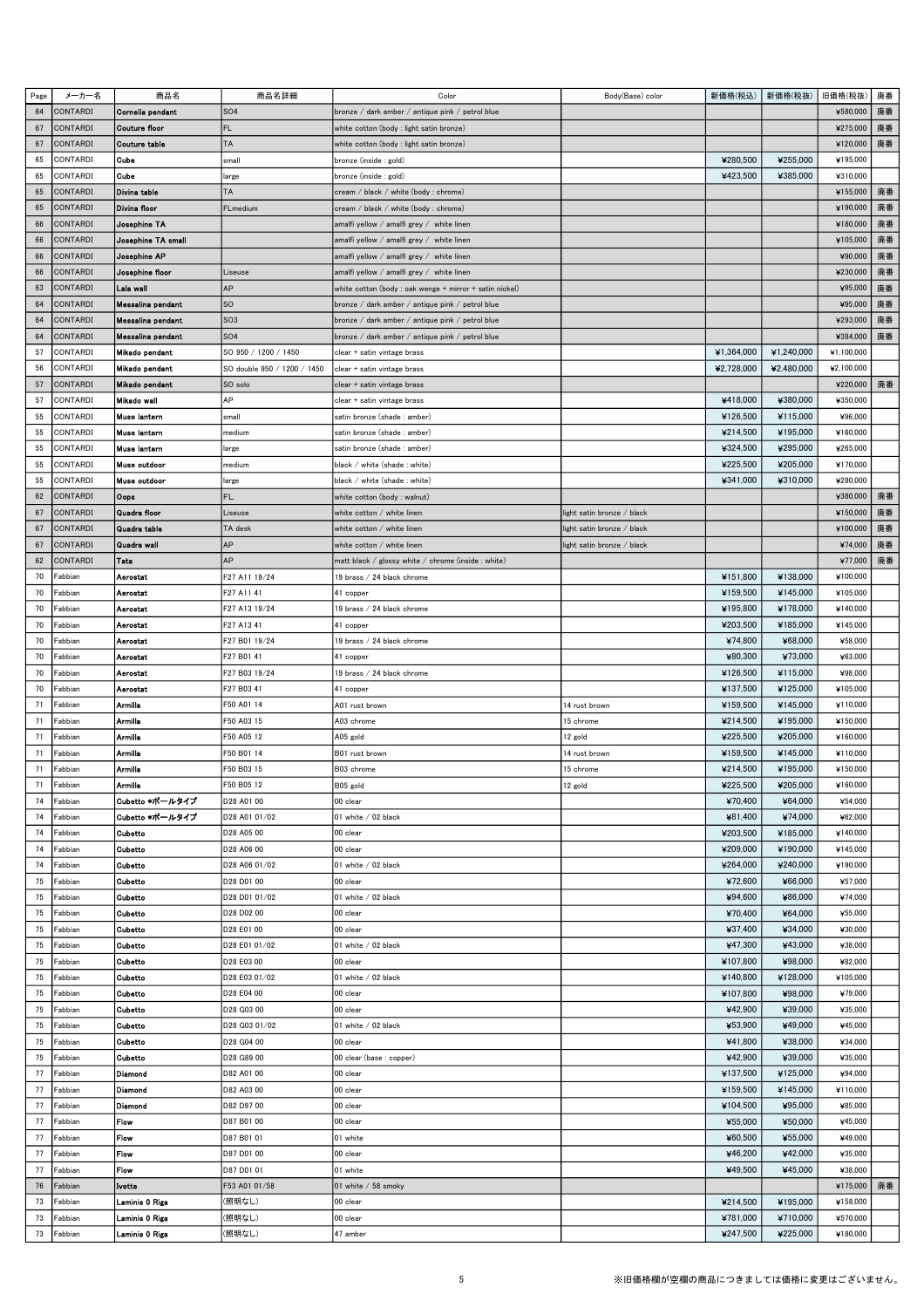| Page | メーカー名           | 商品名                   | 商品名詳細                       | Color                                                   | Body(Base) color           | 新価格(税込)    | 新価格(税抜)    | 旧価格(税抜)    | 廃番 |
|------|-----------------|-----------------------|-----------------------------|---------------------------------------------------------|----------------------------|------------|------------|------------|----|
| 64   | <b>CONTARDI</b> | Cornelia pendant      | <b>SO4</b>                  | bronze / dark amber / antique pink / petrol blue        |                            |            |            | ¥580,000   | 廃番 |
| 67   | <b>CONTARDI</b> | Couture floor         | <b>FL</b>                   | white cotton (body : light satin bronze)                |                            |            |            | ¥275,000   | 廃番 |
|      |                 |                       |                             |                                                         |                            |            |            |            |    |
| 67   | <b>CONTARDI</b> | Couture table         | TA                          | white cotton (body : light satin bronze)                |                            |            |            | ¥120,000   | 廃番 |
| 65   | CONTARDI        | Cube                  | small                       | bronze (inside : gold)                                  |                            | ¥280,500   | ¥255,000   | ¥195,000   |    |
| 65   | CONTARDI        | Cube                  | large                       | bronze (inside : gold)                                  |                            | ¥423,500   | ¥385,000   | ¥310,000   |    |
| 65   | CONTARDI        | Divina table          | TA                          | cream / black / white (body : chrome)                   |                            |            |            | ¥155,000   | 廃番 |
| 65   | <b>CONTARDI</b> | Divina floor          | FLmedium                    | cream / black / white (body : chrome)                   |                            |            |            | ¥190,000   | 廃番 |
| 66   | CONTARDI        | Josephine TA          |                             | amalfi yellow / amalfi grey / white linen               |                            |            |            | ¥180,000   | 廃番 |
| 66   | CONTARDI        | Josephine TA small    |                             | amalfi yellow / amalfi grey / white linen               |                            |            |            | ¥105,000   | 廃番 |
| 66   | CONTARDI        | Josephine AP          |                             | amalfi yellow / amalfi grey / white linen               |                            |            |            | ¥90,000    | 廃番 |
| 66   | <b>CONTARDI</b> | Josephine floor       | Liseuse                     | amalfi yellow / amalfi grey / white linen               |                            |            |            | ¥230,000   | 廃番 |
| 63   | <b>CONTARDI</b> |                       | AP                          |                                                         |                            |            |            | ¥95,000    | 廃番 |
|      |                 | Lala wall             |                             | white cotton (body : oak wenge + mirror + satin nickel) |                            |            |            |            |    |
| 64   | <b>CONTARDI</b> | Messalina pendant     | <b>SO</b>                   | bronze / dark amber / antique pink / petrol blue        |                            |            |            | ¥95,000    | 廃番 |
| 64   | <b>CONTARDI</b> | Messalina pendant     | SO <sub>3</sub>             | bronze / dark amber / antique pink / petrol blue        |                            |            |            | ¥293,000   | 廃番 |
| 64   | <b>CONTARDI</b> | Messalina pendant     | <b>SO4</b>                  | bronze / dark amber / antique pink / petrol blue        |                            |            |            | ¥384,000   | 廃番 |
| 57   | CONTARDI        | Mikado pendant        | SO 950 / 1200 / 1450        | clear + satin vintage brass                             |                            | ¥1,364,000 | ¥1,240,000 | ¥1,100,000 |    |
| 56   | CONTARDI        | Mikado pendant        | SO double 950 / 1200 / 1450 | clear + satin vintage brass                             |                            | ¥2,728,000 | ¥2,480,000 | ¥2,100,000 |    |
| 57   | <b>CONTARDI</b> | Mikado pendant        | SO solo                     | clear + satin vintage brass                             |                            |            |            | ¥220,000   | 廃番 |
| 57   | CONTARDI        | Mikado wall           | AP                          | clear + satin vintage brass                             |                            | ¥418,000   | ¥380,000   | ¥350,000   |    |
| 55   | CONTARDI        | Muse lantern          | small                       | satin bronze (shade : amber)                            |                            | ¥126,500   | ¥115,000   | ¥96,000    |    |
| 55   | CONTARDI        | Muse lantern          | medium                      | satin bronze (shade : amber)                            |                            | ¥214,500   | ¥195,000   | ¥160,000   |    |
| 55   | CONTARDI        | Muse lantern          | large                       | satin bronze (shade : amber)                            |                            | ¥324,500   | ¥295,000   | ¥265,000   |    |
| 55   | CONTARDI        | Muse outdoor          | medium                      | black / white (shade : white)                           |                            | ¥225,500   | ¥205.000   | ¥170,000   |    |
| 55   | CONTARDI        | Muse outdoor          |                             | black / white (shade: white)                            |                            | ¥341,000   | ¥310,000   | ¥280,000   |    |
| 62   | <b>CONTARDI</b> |                       | large<br><b>FL</b>          |                                                         |                            |            |            | ¥380,000   | 廃番 |
|      | CONTARDI        | Oops                  |                             | white cotton (body: walnut)                             |                            |            |            | ¥150,000   |    |
| 67   |                 | Quadra floor          | Liseuse                     | white cotton / white linen                              | light satin bronze / black |            |            |            | 廃番 |
| 67   | CONTARDI        | Quadra table          | TA desk                     | white cotton / white linen                              | light satin bronze / black |            |            | ¥100,000   | 廃番 |
| 67   | <b>CONTARDI</b> | Quadra wall           | AP                          | white cotton / white linen                              | light satin bronze / black |            |            | ¥74,000    | 廃番 |
| 62   | <b>CONTARDI</b> | Tata                  | AP                          | matt black / glossy white / chrome (inside : white)     |                            |            |            | ¥77,000    | 廃番 |
| 70   | Fabbian         | Aerostat              | F27 A11 19/24               | 19 brass / 24 black chrome                              |                            | ¥151,800   | ¥138,000   | ¥100,000   |    |
| 70   | Fabbian         | Aerostat              | F27 A11 41                  | 41 copper                                               |                            | ¥159,500   | ¥145,000   | ¥105,000   |    |
| 70   | Fabbian         | Aerostat              | F27 A13 19/24               | 19 brass / 24 black chrome                              |                            | ¥195,800   | ¥178,000   | ¥140,000   |    |
| 70   | Fabbian         | Aerostat              | F27 A13 41                  | 41 copper                                               |                            | ¥203,500   | ¥185,000   | ¥145,000   |    |
| 70   | Fabbian         | Aerostat              | F27 B01 19/24               | 19 brass / 24 black chrome                              |                            | ¥74,800    | ¥68,000    | ¥58,000    |    |
| 70   | Fabbian         | <b>Aerostat</b>       | F27 B01 41                  | 41 copper                                               |                            | ¥80,300    | ¥73,000    | ¥63,000    |    |
| 70   | Fabbian         | Aerostat              | F27 B03 19/24               | 19 brass / 24 black chrome                              |                            | ¥126,500   | ¥115,000   | ¥98,000    |    |
| 70   | Fabbian         | Aerostat              | F27 B03 41                  | 41 copper                                               |                            | ¥137,500   | ¥125,000   | ¥105,000   |    |
| 71   | Fabbian         | Armilla               | F50 A01 14                  | A01 rust brown                                          | 14 rust brown              | ¥159,500   | ¥145,000   | ¥110,000   |    |
| 71   | Fabbian         | <b>Armilla</b>        | F50 A03 15                  | A03 chrome                                              | 15 chrome                  | ¥214,500   | ¥195,000   | ¥150,000   |    |
| 71   | Fabbian         | Armilla               | F50 A05 12                  | A05 gold                                                | 12 gold                    | ¥225,500   | ¥205,000   | ¥160,000   |    |
| 71   | Fabbian         | <b>Armilla</b>        | F50 B01 14                  | B01 rust brown                                          | 14 rust brown              | ¥159,500   | ¥145,000   | ¥110,000   |    |
| 71   | Fabbian         | Armilla               | F50 B03 15                  | B03 chrome                                              | 15 chrome                  | ¥214,500   | ¥195,000   | ¥150,000   |    |
| 71   | Fabbian         | Armilla               | F50 B05 12                  | B05 gold                                                | 12 gold                    | ¥225,500   | ¥205,000   | ¥160,000   |    |
| 74   | Fabbian         | Cubetto *ポールタイプ       | D28 A01 00                  | 00 clear                                                |                            | ¥70,400    | ¥64,000    | ¥54,000    |    |
| 74   | Fabbian         | Cubetto *ポールタイプ       | D28 A01 01/02               | 01 white / 02 black                                     |                            | ¥81,400    | ¥74,000    | ¥62,000    |    |
| 74   | Fabbian         | Cubetto               | D28 A05 00                  | 00 clear                                                |                            | ¥203,500   | ¥185,000   | ¥140,000   |    |
| 74   | Fabbian         | Cubetto               | D28 A06 00                  | 00 clear                                                |                            |            | ¥190,000   | ¥145,000   |    |
|      |                 |                       |                             |                                                         |                            | ¥209,000   |            |            |    |
| 74   | Fabbian         | Cubetto               | D28 A06 01/02               | 01 white / 02 black                                     |                            | ¥264,000   | ¥240,000   | ¥190,000   |    |
| 75   | Fabbian         | Cubetto               | D28 D01 00                  | 00 clear                                                |                            | ¥72,600    | ¥66,000    | ¥57,000    |    |
| 75   | Fabbian         | Cubetto               | D28 D01 01/02               | 01 white / 02 black                                     |                            | ¥94,600    | ¥86,000    | ¥74,000    |    |
| 75   | Fabbian         | Cubetto               | D28 D02 00                  | 00 clear                                                |                            | ¥70,400    | ¥64,000    | ¥55,000    |    |
| 75   | Fabbian         | Cubetto               | D28 E01 00                  | 00 clear                                                |                            | ¥37,400    | ¥34,000    | ¥30,000    |    |
| 75   | Fabbian         | Cubetto               | D28 E01 01/02               | 01 white / 02 black                                     |                            | ¥47,300    | ¥43,000    | ¥38,000    |    |
| 75   | Fabbian         | Cubetto               | D28 E03 00                  | 00 clear                                                |                            | ¥107,800   | ¥98,000    | ¥82,000    |    |
| 75   | Fabbian         | <b>Cubetto</b>        | D28 E03 01/02               | 01 white / 02 black                                     |                            | ¥140,800   | ¥128,000   | ¥105,000   |    |
| 75   | Fabbian         | Cubetto               | D28 E04 00                  | 00 clear                                                |                            | ¥107,800   | ¥98,000    | ¥79,000    |    |
| 75   | Fabbian         | Cubetto               | D28 G03 00                  | 00 clear                                                |                            | ¥42,900    | ¥39,000    | ¥35,000    |    |
| 75   | Fabbian         | Cubetto               | D28 G03 01/02               | 01 white / 02 black                                     |                            | ¥53,900    | ¥49,000    | ¥45,000    |    |
| 75   | Fabbian         | Cubetto               | D28 G04 00                  | 00 clear                                                |                            | ¥41,800    | ¥38,000    | ¥34,000    |    |
| 75   | Fabbian         | Cubetto               | D28 G89 00                  | 00 clear (base: copper)                                 |                            | ¥42,900    | ¥39,000    | ¥35,000    |    |
| 77   | Fabbian         | Diamond               | D82 A01 00                  | 00 clear                                                |                            | ¥137,500   | ¥125,000   | ¥94,000    |    |
| 77   | Fabbian         | Diamond               | D82 A03 00                  | 00 clear                                                |                            | ¥159,500   | ¥145,000   | ¥110,000   |    |
| 77   | Fabbian         | Diamond               | D82 D97 00                  | 00 clear                                                |                            | ¥104,500   | ¥95,000    | ¥85,000    |    |
| 77   | Fabbian         | Flow                  | D87 B01 00                  | 00 clear                                                |                            | ¥55,000    | ¥50,000    | ¥45,000    |    |
| 77   | Fabbian         | <b>Flow</b>           | D87 B01 01                  | 01 white                                                |                            | ¥60,500    | ¥55,000    | ¥49,000    |    |
| 77   | Fabbian         | Flow                  | D87 D01 00                  | 00 clear                                                |                            | ¥46,200    | ¥42,000    | ¥35,000    |    |
| 77   | Fabbian         | Flow                  | D87 D01 01                  | 01 white                                                |                            | ¥49,500    | ¥45,000    | ¥38,000    |    |
| 76   | Fabbian         | Ivette                | F53 A01 01/58               | 01 white / 58 smoky                                     |                            |            |            | ¥175,000   | 廃番 |
| 73   | Fabbian         | <b>Laminis 0 Riga</b> | (照明なし)                      | 00 clear                                                |                            | ¥214,500   | ¥195,000   | ¥158,000   |    |
| 73   | Fabbian         | Laminis 0 Riga        | (照明なし)                      | 00 clear                                                |                            | ¥781,000   | ¥710,000   | ¥570,000   |    |
|      |                 |                       |                             |                                                         |                            | ¥247,500   | ¥225,000   | ¥180,000   |    |
| 73   | Fabbian         | <b>Laminis 0 Riga</b> | (照明なし)                      | 47 amber                                                |                            |            |            |            |    |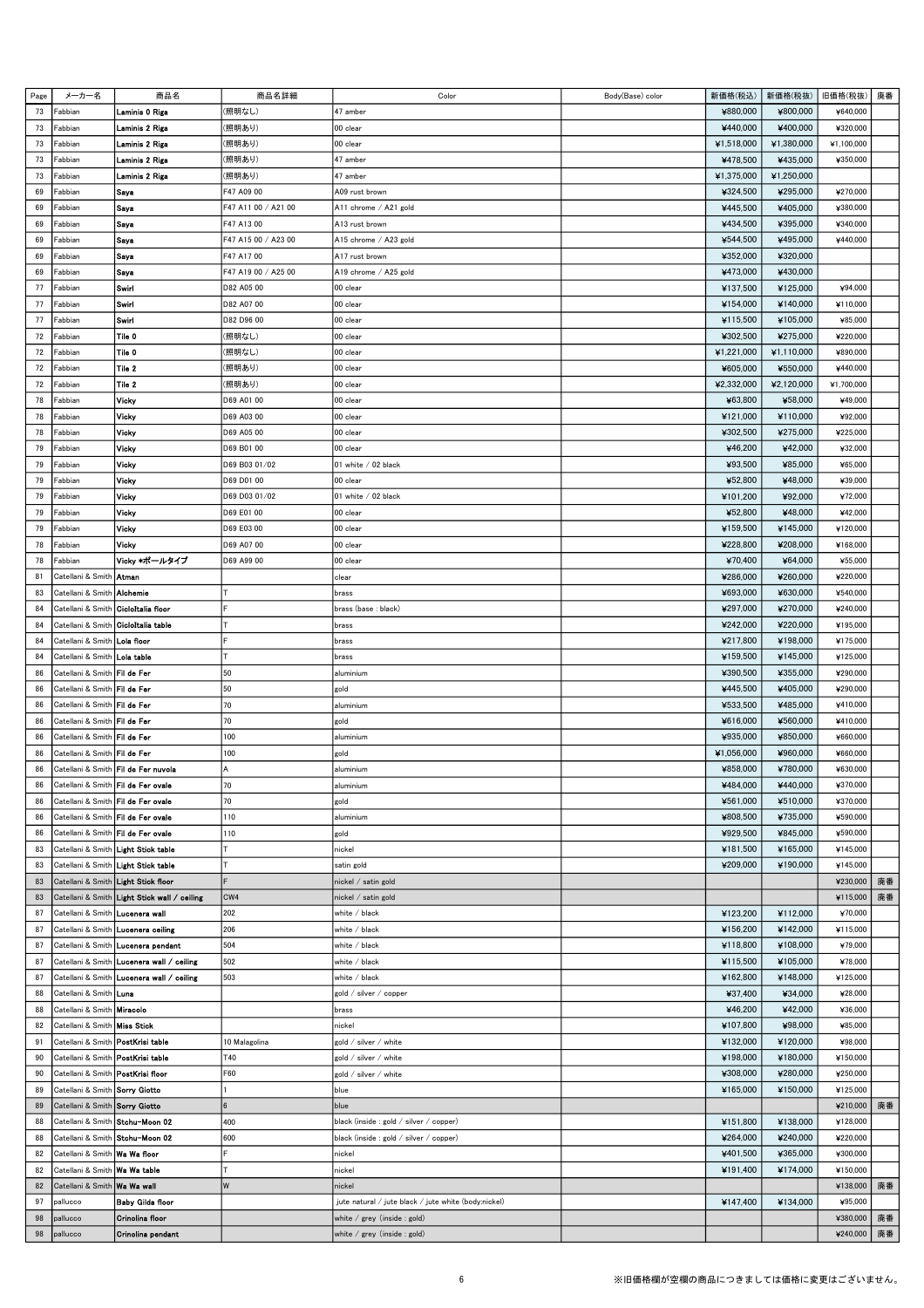| Page | メーカー名                                       | 商品名                                          | 商品名詳細               | Color                                                | Body(Base) color | 新価格(税込)    | 新価格(税抜)    | 旧価格(税抜)    | 廃番 |
|------|---------------------------------------------|----------------------------------------------|---------------------|------------------------------------------------------|------------------|------------|------------|------------|----|
| 73   | Fabbian                                     | Laminis 0 Riga                               | (照明なし)              | 47 amber                                             |                  | ¥880,000   | ¥800,000   | ¥640,000   |    |
| 73   | Fabbian                                     | Laminis 2 Riga                               | (照明あり)              | 00 clear                                             |                  | ¥440,000   | ¥400,000   | ¥320,000   |    |
|      |                                             |                                              |                     |                                                      |                  |            |            |            |    |
| 73   | Fabbian                                     | Laminis 2 Riga                               | (照明あり)              | 00 clear                                             |                  | ¥1,518,000 | ¥1,380,000 | ¥1,100,000 |    |
| 73   | Fabbian                                     | Laminis 2 Riga                               | (照明あり)              | 47 amber                                             |                  | ¥478,500   | ¥435,000   | ¥350,000   |    |
| 73   | Fabbian                                     | Laminis 2 Riga                               | (照明あり)              | 47 amber                                             |                  | ¥1,375,000 | ¥1,250,000 |            |    |
|      |                                             |                                              |                     |                                                      |                  |            |            |            |    |
| 69   | Fabbian                                     | Saya                                         | F47 A09 00          | A09 rust brown                                       |                  | ¥324,500   | ¥295,000   | ¥270,000   |    |
| 69   | Fabbian                                     | Saya                                         | F47 A11 00 / A21 00 | A11 chrome / A21 gold                                |                  | ¥445,500   | ¥405,000   | ¥380,000   |    |
|      |                                             |                                              |                     |                                                      |                  |            |            |            |    |
| 69   | Fabbian                                     | Saya                                         | F47 A13 00          | A13 rust brown                                       |                  | ¥434,500   | ¥395,000   | ¥340,000   |    |
| 69   | Fabbian                                     | Saya                                         | F47 A15 00 / A23 00 | A15 chrome / A23 gold                                |                  | ¥544,500   | ¥495,000   | ¥440,000   |    |
|      |                                             |                                              |                     |                                                      |                  |            |            |            |    |
| 69   | Fabbian                                     | Saya                                         | F47 A17 00          | A17 rust brown                                       |                  | ¥352,000   | ¥320,000   |            |    |
| 69   | Fabbian                                     | Saya                                         | F47 A19 00 / A25 00 | A19 chrome / A25 gold                                |                  | ¥473,000   | ¥430,000   |            |    |
| 77   | Fabbian                                     | Swirl                                        | D82 A05 00          | 00 clear                                             |                  | ¥137,500   | ¥125,000   | ¥94,000    |    |
|      |                                             |                                              |                     |                                                      |                  |            |            |            |    |
| 77   | Fabbian                                     | Swirl                                        | D82 A07 00          | 00 clear                                             |                  | ¥154,000   | ¥140,000   | ¥110,000   |    |
| 77   | Fabbian                                     | Swirl                                        | D82 D96 00          | 00 clear                                             |                  | ¥115,500   | ¥105,000   | ¥85,000    |    |
|      |                                             |                                              |                     |                                                      |                  |            |            |            |    |
| 72   | Fabbian                                     | Tile 0                                       | (照明なし)              | 00 clear                                             |                  | ¥302,500   | ¥275,000   | ¥220,000   |    |
| 72   | Fabbian                                     | Tile 0                                       | (照明なし)              | 00 clear                                             |                  | ¥1,221,000 | ¥1,110,000 | ¥890,000   |    |
| 72   | Fabbian                                     | Tile 2                                       |                     | 00 clear                                             |                  | ¥605,000   | ¥550,000   | ¥440,000   |    |
|      |                                             |                                              | (照明あり)              |                                                      |                  |            |            |            |    |
| 72   | Fabbian                                     | Tile 2                                       | (照明あり)              | 00 clear                                             |                  | ¥2,332,000 | ¥2,120,000 | ¥1,700,000 |    |
| 78   | Fabbian                                     | Vicky                                        | D69 A01 00          | 00 clear                                             |                  | ¥63,800    | ¥58,000    | ¥49,000    |    |
|      |                                             |                                              |                     |                                                      |                  |            |            |            |    |
| 78   | Fabbian                                     | Vicky                                        | D69 A03 00          | 00 clear                                             |                  | ¥121,000   | ¥110,000   | ¥92,000    |    |
| 78   | Fabbian                                     | Vicky                                        | D69 A05 00          | 00 clear                                             |                  | ¥302,500   | ¥275,000   | ¥225,000   |    |
|      |                                             |                                              |                     |                                                      |                  |            |            |            |    |
| 79   | Fabbian                                     | Vicky                                        | D69 B01 00          | 00 clear                                             |                  | ¥46,200    | ¥42,000    | ¥32,000    |    |
| 79   | Fabbian                                     | Vicky                                        | D69 B03 01/02       | 01 white / 02 black                                  |                  | ¥93,500    | ¥85,000    | ¥65,000    |    |
| 79   | Fabbian                                     | Vicky                                        | D69 D01 00          | 00 clear                                             |                  | ¥52,800    | ¥48,000    | ¥39,000    |    |
|      |                                             |                                              |                     |                                                      |                  |            |            |            |    |
| 79   | Fabbian                                     | Vicky                                        | D69 D03 01/02       | 01 white / 02 black                                  |                  | ¥101,200   | ¥92,000    | ¥72,000    |    |
| 79   | Fabbian                                     | Vicky                                        | D69 E01 00          | 00 clear                                             |                  | ¥52,800    | ¥48,000    | ¥42,000    |    |
|      |                                             |                                              |                     |                                                      |                  |            |            |            |    |
| 79   | Fabbian                                     | Vicky                                        | D69 E03 00          | 00 clear                                             |                  | ¥159,500   | ¥145,000   | ¥120,000   |    |
| 78   | Fabbian                                     | Vicky                                        | D69 A07 00          | 00 clear                                             |                  | ¥228,800   | ¥208,000   | ¥168,000   |    |
|      |                                             |                                              |                     |                                                      |                  |            |            |            |    |
| 78   | Fabbian                                     | Vicky *ポールタイプ                                | D69 A99 00          | 00 clear                                             |                  | ¥70,400    | ¥64,000    | ¥55,000    |    |
| 81   | Catellani & Smith                           | Atman                                        |                     | clear                                                |                  | ¥286,000   | ¥260,000   | ¥220,000   |    |
| 83   | Catellani & Smith                           | Alchemie                                     |                     | brass                                                |                  | ¥693,000   | ¥630,000   | ¥540,000   |    |
|      |                                             |                                              |                     |                                                      |                  |            |            |            |    |
| 84   | Catellani & Smith                           | Ciololtalia floor                            |                     | brass (base : black)                                 |                  | ¥297,000   | ¥270,000   | ¥240,000   |    |
| 84   | Catellani & Smith Cicloitalia table         |                                              |                     | brass                                                |                  | ¥242,000   | ¥220,000   | ¥195,000   |    |
|      |                                             |                                              |                     |                                                      |                  |            |            |            |    |
| 84   | Catellani & Smith Lola floor                |                                              |                     | brass                                                |                  | ¥217,800   | ¥198,000   | ¥175,000   |    |
| 84   | Catellani & Smith                           | Lola table                                   |                     | brass                                                |                  | ¥159,500   | ¥145,000   | ¥125,000   |    |
| 86   | Catellani & Smith Fil de Fer                |                                              | 50                  | aluminium                                            |                  | ¥390,500   | ¥355,000   | ¥290,000   |    |
|      |                                             |                                              |                     |                                                      |                  |            |            |            |    |
| 86   | Catellani & Smith Fil de Fer                |                                              | 50                  | gold                                                 |                  | ¥445,500   | ¥405,000   | ¥290,000   |    |
| 86   | Catellani & Smith Fil de Fer                |                                              | 70                  | aluminium                                            |                  | ¥533,500   | ¥485,000   | ¥410,000   |    |
|      |                                             |                                              |                     |                                                      |                  |            |            |            |    |
| 86   | Catellani & Smith Fil de Fer                |                                              | 70                  | gold                                                 |                  | ¥616,000   | ¥560,000   | ¥410,000   |    |
| 86   | Catellani & Smith Fil de Fer                |                                              | 100                 | aluminium                                            |                  | ¥935,000   | ¥850,000   | ¥660,000   |    |
| 86   | Catellani & Smith Fil de Fer                |                                              | 100                 | gold                                                 |                  | ¥1,056,000 | ¥960,000   | ¥660,000   |    |
|      |                                             |                                              |                     |                                                      |                  |            |            |            |    |
| 86   |                                             | Catellani & Smith Fil de Fer nuvola          |                     | aluminium                                            |                  | ¥858,000   | ¥780,000   | ¥630,000   |    |
| 86   | Catellani & Smith <b>  Fil de Fer ovale</b> |                                              | 70                  | aluminium                                            |                  | ¥484,000   | ¥440,000   | ¥370,000   |    |
|      |                                             |                                              |                     |                                                      |                  |            |            |            |    |
| 86   | Catellani & Smith Fil de Fer ovale          |                                              | 70                  | gold                                                 |                  | ¥561,000   | ¥510,000   | ¥370,000   |    |
| 86   | Catellani & Smith Fil de Fer ovale          |                                              | 110                 | aluminium                                            |                  | ¥808,500   | ¥735,000   | ¥590,000   |    |
|      |                                             |                                              | 110                 |                                                      |                  | ¥929,500   | ¥845,000   | ¥590,000   |    |
| 86   | Catellani & Smith Fil de Fer ovale          |                                              |                     | gold                                                 |                  |            |            |            |    |
| 83   |                                             | Catellani & Smith Light Stick table          |                     | nickel                                               |                  | ¥181,500   | ¥165,000   | ¥145,000   |    |
| 83   |                                             | Catellani & Smith Light Stick table          |                     | satin gold                                           |                  | ¥209,000   | ¥190,000   | ¥145,000   |    |
|      |                                             |                                              |                     |                                                      |                  |            |            |            |    |
| 83   |                                             | Catellani & Smith Light Stick floor          |                     | nickel / satin gold                                  |                  |            |            | ¥230,000   | 廃番 |
| 83   |                                             | Catellani & Smith Light Stick wall / ceiling | CW4                 | nickel / satin gold                                  |                  |            |            | ¥115,000   | 廃番 |
|      |                                             |                                              |                     |                                                      |                  |            |            |            |    |
| 87   | Catellani & Smith   Lucenera wall           |                                              | 202                 | white / black                                        |                  | ¥123,200   | ¥112,000   | ¥70,000    |    |
| 87   |                                             | Catellani & Smith Lucenera ceiling           | 206                 | white / black                                        |                  | ¥156,200   | ¥142,000   | ¥115,000   |    |
| 87   |                                             | Catellani & Smith Lucenera pendant           | 504                 | white / black                                        |                  | ¥118,800   | ¥108,000   | ¥79,000    |    |
|      |                                             |                                              |                     |                                                      |                  |            |            |            |    |
| 87   |                                             | Catellani & Smith   Lucenera wall / ceiling  | 502                 | white / black                                        |                  | ¥115,500   | ¥105,000   | ¥78,000    |    |
| 87   |                                             | Catellani & Smith Lucenera wall / ceiling    | 503                 | white / black                                        |                  | ¥162,800   | ¥148,000   | ¥125,000   |    |
|      |                                             |                                              |                     |                                                      |                  |            |            |            |    |
| 88   | Catellani & Smith Luna                      |                                              |                     | gold / silver / copper                               |                  | ¥37,400    | ¥34,000    | ¥28,000    |    |
| 88   | Catellani & Smith   Miracolo                |                                              |                     | brass                                                |                  | ¥46,200    | ¥42,000    | ¥36,000    |    |
|      |                                             |                                              |                     |                                                      |                  |            |            |            |    |
| 82   | Catellani & Smith   Miss Stick              |                                              |                     | nickel                                               |                  | ¥107,800   | ¥98,000    | ¥85,000    |    |
| 91   | Catellani & Smith   PostKrisi table         |                                              | 10 Malagolina       | gold / silver / white                                |                  | ¥132,000   | ¥120,000   | ¥98,000    |    |
| 90   | Catellani & Smith PostKrisi table           |                                              | T40                 | gold / silver / white                                |                  | ¥198,000   | ¥180,000   | ¥150,000   |    |
|      |                                             |                                              |                     |                                                      |                  |            |            |            |    |
| 90   | Catellani & Smith   PostKrisi floor         |                                              | F60                 | gold / silver / white                                |                  | ¥308,000   | ¥280,000   | ¥250,000   |    |
| 89   | Catellani & Smith Sorry Giotto              |                                              |                     | blue                                                 |                  | ¥165,000   | ¥150,000   | ¥125,000   |    |
|      |                                             |                                              |                     |                                                      |                  |            |            |            |    |
| 89   | Catellani & Smith Sorry Giotto              |                                              |                     | blue                                                 |                  |            |            | ¥210,000   | 廃番 |
| 88   | Catellani & Smith Stohu-Moon 02             |                                              | 400                 | black (inside : gold / silver / copper)              |                  | ¥151,800   | ¥138,000   | ¥128,000   |    |
|      |                                             |                                              |                     |                                                      |                  |            |            |            |    |
| 88   | Catellani & Smith   Stchu-Moon 02           |                                              | 600                 | black (inside : gold / silver / copper)              |                  | ¥264,000   | ¥240,000   | ¥220,000   |    |
| 82   | Catellani & Smith Wa Wa floor               |                                              |                     | nickel                                               |                  | ¥401,500   | ¥365,000   | ¥300,000   |    |
| 82   | Catellani & Smith Wa Wa table               |                                              |                     | nickel                                               |                  | ¥191,400   | ¥174,000   | ¥150,000   |    |
|      |                                             |                                              |                     |                                                      |                  |            |            |            |    |
| 82   | Catellani & Smith   Wa Wa wall              |                                              | W                   | nickel                                               |                  |            |            | ¥138,000   | 廃番 |
| 97   | pallucco                                    | <b>Baby Gilda floor</b>                      |                     | jute natural / jute black / jute white (body:nickel) |                  | ¥147,400   | ¥134,000   | ¥95,000    |    |
|      |                                             |                                              |                     |                                                      |                  |            |            |            |    |
| 98   | pallucco                                    | Crinolina floor                              |                     | white / grey (inside : gold)                         |                  |            |            | ¥380,000   | 廃番 |
| 98   | pallucco                                    | Crinolina pendant                            |                     | white / grey (inside : gold)                         |                  |            |            | ¥240,000   | 廃番 |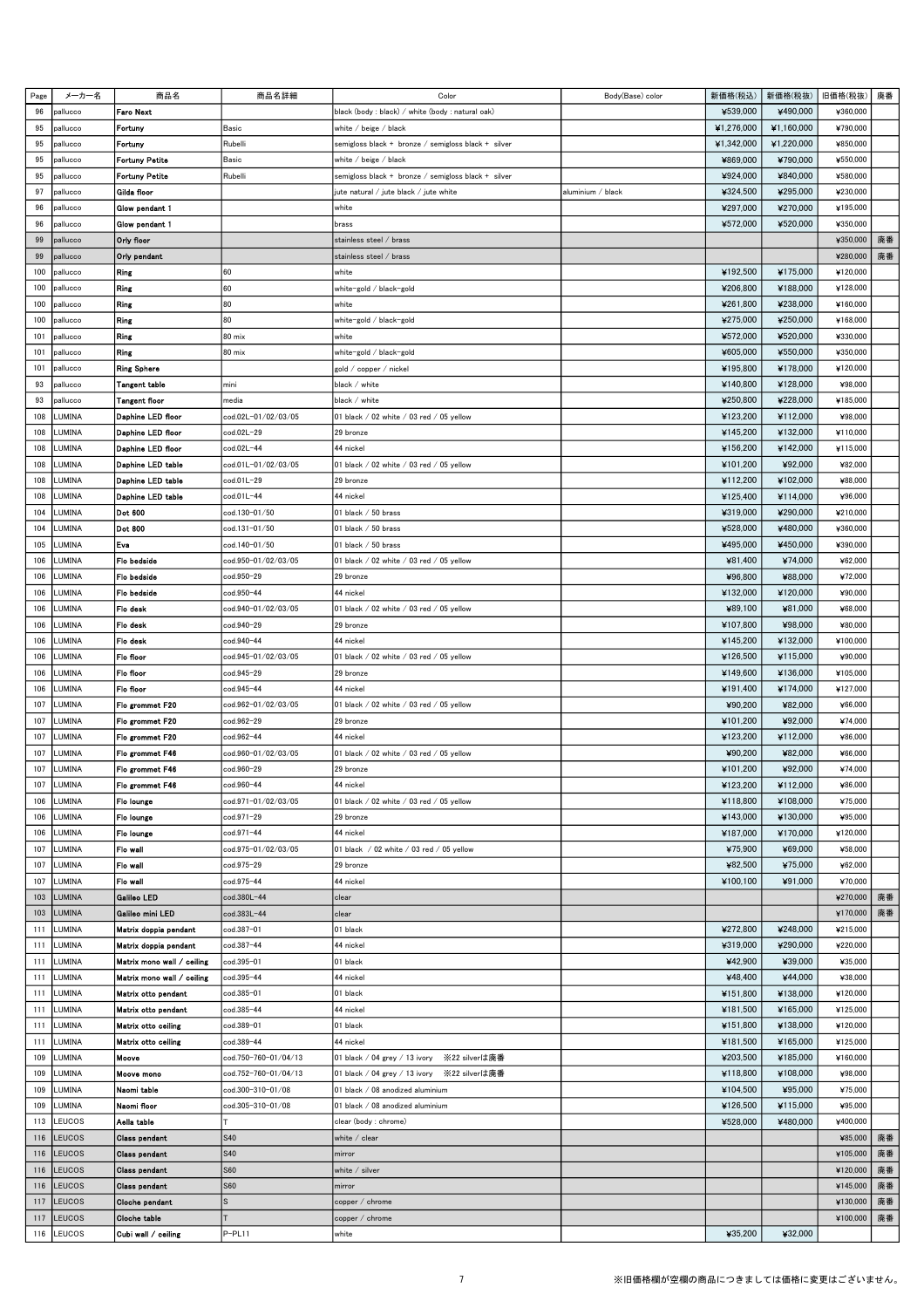| Page | メーカー名        | 商品名                        | 商品名詳細                | Color                                               | Body(Base) color  | 新価格(税込)    | 新価格(税抜)    | 旧価格(税抜)  | 廃番 |
|------|--------------|----------------------------|----------------------|-----------------------------------------------------|-------------------|------------|------------|----------|----|
|      |              |                            |                      |                                                     |                   |            |            |          |    |
| 96   | pallucco     | l aro Next                 |                      | black (body: black) / white (body: natural oak)     |                   | ¥539,000   | ¥490,000   | ¥360,000 |    |
| 95   | pallucco     | Fortuny                    | Basic                | white / beige / black                               |                   | ¥1,276,000 | ¥1,160,000 | ¥790,000 |    |
| 95   | pallucco     | Fortuny                    | Rubelli              | semigloss black + bronze / semigloss black + silver |                   | ¥1,342,000 | ¥1,220,000 | ¥850,000 |    |
|      |              |                            |                      |                                                     |                   |            |            |          |    |
| 95   | pallucco     | Fortuny Petite             | Basic                | white / beige / black                               |                   | ¥869,000   | ¥790,000   | ¥550,000 |    |
| 95   | pallucco     | Fortuny Petite             | Rubelli              | semigloss black + bronze / semigloss black + silver |                   | ¥924,000   | ¥840,000   | ¥580,000 |    |
| 97   | pallucco     | Gilda floor                |                      | jute natural ∕ jute black ∕ jute white              | aluminium ∕ black | ¥324,500   | ¥295,000   | ¥230,000 |    |
|      |              |                            |                      |                                                     |                   |            |            |          |    |
| 96   | pallucco     | Glow pendant 1             |                      | white                                               |                   | ¥297,000   | ¥270,000   | ¥195,000 |    |
| 96   | pallucco     | Glow pendant 1             |                      | brass                                               |                   | ¥572,000   | ¥520,000   | ¥350,000 |    |
| 99   | pallucco     | Orly floor                 |                      | stainless steel / brass                             |                   |            |            | ¥350,000 | 廃番 |
|      |              |                            |                      |                                                     |                   |            |            |          |    |
| 99   | pallucco     | Orly pendant               |                      | stainless steel / brass                             |                   |            |            | ¥280,000 | 廃番 |
| 100  | pallucco     | Ring                       | 60                   | white                                               |                   | ¥192,500   | ¥175,000   | ¥120,000 |    |
| 100  | pallucco     | Ring                       | 60                   | white-gold / black-gold                             |                   | ¥206,800   | ¥188,000   | ¥128,000 |    |
| 100  | pallucco     |                            | 80                   |                                                     |                   | ¥261,800   | ¥238,000   | ¥160,000 |    |
|      |              | Ring                       |                      | white                                               |                   |            |            |          |    |
| 100  | pallucco     | Ring                       | 80                   | white-gold / black-gold                             |                   | ¥275,000   | ¥250,000   | ¥168,000 |    |
| 101  | pallucco     | Ring                       | 80 mix               | white                                               |                   | ¥572,000   | ¥520,000   | ¥330,000 |    |
| 101  | pallucco     | Ring                       | 80 mix               | white-gold / black-gold                             |                   | ¥605,000   | ¥550,000   | ¥350,000 |    |
|      |              |                            |                      |                                                     |                   |            |            |          |    |
| 101  | pallucco     | Ring Sphere                |                      | gold / copper / nickel                              |                   | ¥195,800   | ¥178,000   | ¥120,000 |    |
| 93   | pallucco     | Tangent table              | mini                 | black / white                                       |                   | ¥140,800   | ¥128,000   | ¥98,000  |    |
| 93   | pallucco     | Tangent floor              | media                | black / white                                       |                   | ¥250,800   | ¥228,000   | ¥185,000 |    |
|      |              |                            |                      |                                                     |                   |            |            |          |    |
| 108  | LUMINA       | Daphine LED floor          | cod.02L-01/02/03/05  | 01 black / 02 white / 03 red / 05 yellow            |                   | ¥123,200   | ¥112,000   | ¥98,000  |    |
| 108  | LUMINA       | Daphine LED floor          | cod.02L-29           | 29 bronze                                           |                   | ¥145,200   | ¥132,000   | ¥110,000 |    |
| 108  | <b>UMINA</b> | Daphine LED floor          | cod.02L-44           | 44 nickel                                           |                   | ¥156,200   | ¥142,000   | ¥115,000 |    |
| 108  | LUMINA       | Daphine LED table          | cod.01L-01/02/03/05  | 01 black / 02 white / 03 red / 05 yellow            |                   | ¥101,200   | ¥92,000    | ¥82,000  |    |
|      |              |                            |                      |                                                     |                   |            |            |          |    |
| 108  | LUMINA       | Daphine LED table          | cod.01L-29           | 29 bronze                                           |                   | ¥112.200   | ¥102.000   | ¥88,000  |    |
| 108  | LUMINA       | Daphine LED table          | cod.01L-44           | 44 nickel                                           |                   | ¥125,400   | ¥114,000   | ¥96,000  |    |
| 104  | LUMINA       | Dot 600                    | cod.130-01/50        | 01 black / 50 brass                                 |                   | ¥319,000   | ¥290,000   | ¥210,000 |    |
|      |              |                            |                      |                                                     |                   |            |            |          |    |
| 104  | LUMINA       | Dot 800                    | cod.131-01/50        | 01 black / 50 brass                                 |                   | ¥528,000   | ¥480,000   | ¥360,000 |    |
| 105  | LUMINA       | Eva                        | cod.140-01/50        | 01 black / 50 brass                                 |                   | ¥495,000   | ¥450,000   | ¥390,000 |    |
| 106  | LUMINA       | Flo bedside                | cod.950-01/02/03/05  | 01 black / 02 white / 03 red / 05 yellow            |                   | ¥81,400    | ¥74,000    | ¥62,000  |    |
|      | LUMINA       |                            |                      |                                                     |                   |            |            |          |    |
| 106  |              | Flo bedside                | cod.950-29           | 29 bronze                                           |                   | ¥96,800    | ¥88,000    | ¥72,000  |    |
| 106  | <b>UMINA</b> | Flo bedside                | cod.950-44           | 44 nickel                                           |                   | ¥132,000   | ¥120,000   | ¥90,000  |    |
| 106  | LUMINA       | Flo desk                   | cod.940-01/02/03/05  | 01 black / 02 white / 03 red / 05 yellow            |                   | ¥89,100    | ¥81,000    | ¥68,000  |    |
| 106  | LUMINA       | Flo desk                   | cod.940-29           | 29 bronze                                           |                   | ¥107,800   | ¥98,000    | ¥80,000  |    |
| 106  | LUMINA       | Flo desk                   | cod.940-44           | 44 nickel                                           |                   | ¥145,200   | ¥132,000   | ¥100,000 |    |
|      |              |                            |                      |                                                     |                   |            |            |          |    |
| 106  | LUMINA       | Flo floor                  | cod.945-01/02/03/05  | 01 black / 02 white / 03 red / 05 yellow            |                   | ¥126,500   | ¥115,000   | ¥90,000  |    |
| 106  | LUMINA       | Flo floor                  | cod.945-29           | 29 bronze                                           |                   | ¥149,600   | ¥136,000   | ¥105,000 |    |
| 106  | LUMINA       | Flo floor                  | cod.945-44           | 44 nickel                                           |                   | ¥191,400   | ¥174,000   | ¥127,000 |    |
| 107  | LUMINA       | Flo grommet F20            | cod.962-01/02/03/05  | 01 black / 02 white / 03 red / 05 yellow            |                   | ¥90,200    | ¥82,000    | ¥66,000  |    |
| 107  | LUMINA       | Flo grommet F20            | cod.962-29           | 29 bronze                                           |                   | ¥101,200   | ¥92,000    | ¥74,000  |    |
|      |              |                            |                      |                                                     |                   |            |            |          |    |
| 107  | LUMINA       | Flo grommet F20            | cod.962-44           | 44 nickel                                           |                   | ¥123,200   | ¥112,000   | ¥86,000  |    |
| 107  | LUMINA       | Flo grommet F46            | cod.960-01/02/03/05  | 01 black / 02 white / 03 red / 05 yellow            |                   | ¥90,200    | ¥82,000    | ¥66,000  |    |
| 107  | LUMINA       | Flo grommet F46            | cod.960-29           | 29 bronze                                           |                   | ¥101,200   | ¥92,000    | ¥74,000  |    |
| 107  | JLUMINA      | Flo grommet F46            | cod.960-44           | 44 nickel                                           |                   | ¥123,200   | ¥112,000   | ¥86,000  |    |
|      |              |                            | cod.971-01/02/03/05  |                                                     |                   | ¥118,800   | ¥108,000   |          |    |
| 106  | LUMINA       | Flo lounge                 |                      | 01 black / 02 white / 03 red / 05 yellow            |                   |            |            | ¥75,000  |    |
| 106  | LUMINA       | Flo lounge                 | cod.971-29           | 29 bronze                                           |                   | ¥143,000   | ¥130,000   | ¥95,000  |    |
| 106  | LUMINA       | Flo lounge                 | cod.971-44           | 44 nickel                                           |                   | ¥187,000   | ¥170,000   | ¥120,000 |    |
| 107  | LUMINA       | Fio wall                   | cod.975-01/02/03/05  | 01 black / 02 white / 03 red / 05 yellow            |                   | ¥75,900    | ¥69,000    | ¥58,000  |    |
|      |              |                            |                      |                                                     |                   |            |            |          |    |
| 107  | LUMINA       | Flo wall                   | cod.975-29           | 29 bronze                                           |                   | ¥82,500    | ¥75,000    | ¥62,000  |    |
| 107  | LUMINA       | Flo wall                   | cod.975-44           | 44 nickel                                           |                   | ¥100.100   | ¥91,000    | ¥70,000  |    |
| 103  | LUMINA       | Galileo LED                | cod.380L-44          | clear                                               |                   |            |            | ¥270,000 | 廃番 |
| 103  | LUMINA       | Galileo mini LED           | cod.383L-44          | clear                                               |                   |            |            | ¥170,000 | 廃番 |
|      |              |                            |                      |                                                     |                   |            |            |          |    |
| 111  | LUMINA       | Matrix doppia pendant      | cod.387-01           | 01 black                                            |                   | ¥272,800   | ¥248,000   | ¥215,000 |    |
| 111  | LUMINA       | Matrix doppia pendant      | cod.387-44           | 44 nickel                                           |                   | ¥319,000   | ¥290,000   | ¥220,000 |    |
| 111  | LUMINA       | Matrix mono wall / ceiling | cod.395-01           | 01 black                                            |                   | ¥42,900    | ¥39,000    | ¥35,000  |    |
|      |              |                            |                      |                                                     |                   |            |            |          |    |
| 111  | LUMINA       | Matrix mono wall / ceiling | cod.395-44           | 44 nickel                                           |                   | ¥48,400    | ¥44,000    | ¥38,000  |    |
| 111  | LUMINA       | Matrix otto pendant        | cod.385-01           | 01 black                                            |                   | ¥151,800   | ¥138,000   | ¥120,000 |    |
| 111  | LUMINA       | Matrix otto pendant        | cod.385-44           | 44 nickel                                           |                   | ¥181,500   | ¥165,000   | ¥125,000 |    |
| 111  | LUMINA       | Matrix otto ceiling        | cod.389-01           | 01 black                                            |                   | ¥151,800   | ¥138,000   | ¥120,000 |    |
|      |              |                            |                      |                                                     |                   |            |            |          |    |
| 111  | LUMINA       | Matrix otto ceiling        | cod.389-44           | 44 nickel                                           |                   | ¥181,500   | ¥165,000   | ¥125,000 |    |
| 109  | LUMINA       | Moove                      | cod.750-760-01/04/13 | 01 black / 04 grey / 13 ivory ※22 silverは廃番         |                   | ¥203,500   | ¥185,000   | ¥160,000 |    |
| 109  | LUMINA       | Moove mono                 | cod.752-760-01/04/13 | 01 black / 04 grey / 13 ivory ※22 silverは廃番         |                   | ¥118,800   | ¥108,000   | ¥98,000  |    |
| 109  | LUMINA       | Naomi table                | cod.300-310-01/08    | 01 black / 08 anodized aluminium                    |                   | ¥104,500   | ¥95,000    | ¥75,000  |    |
| 109  | LUMINA       | Naomi floor                | cod.305-310-01/08    | 01 black / 08 anodized aluminium                    |                   | ¥126,500   | ¥115,000   | ¥95,000  |    |
|      |              |                            |                      |                                                     |                   |            |            |          |    |
| 113  | LEUCOS       | Aella table                |                      | clear (body: chrome)                                |                   | ¥528,000   | ¥480,000   | ¥400,000 |    |
| 116  | LEUCOS       | Class pendant              | <b>S40</b>           | white / clear                                       |                   |            |            | ¥85,000  | 廃番 |
| 116  | LEUCOS       | Class pendant              | <b>S40</b>           | mirror                                              |                   |            |            | ¥105,000 | 廃番 |
| 116  | LEUCOS       | Class pendant              | <b>S60</b>           | white / silver                                      |                   |            |            | ¥120,000 | 廃番 |
|      |              |                            |                      |                                                     |                   |            |            |          |    |
| 116  | LEUCOS       | Class pendant              | <b>S60</b>           | mirror                                              |                   |            |            | ¥145,000 | 廃番 |
| 117  | LEUCOS       | Cloche pendant             | <sub>S</sub>         | copper / chrome                                     |                   |            |            | ¥130,000 | 廃番 |
| 117  | LEUCOS       | Cloche table               |                      | copper / chrome                                     |                   |            |            | ¥100,000 | 廃番 |
| 116  | LEUCOS       | Cubi wall / ceiling        | P-PL11               | white                                               |                   | ¥35,200    | ¥32,000    |          |    |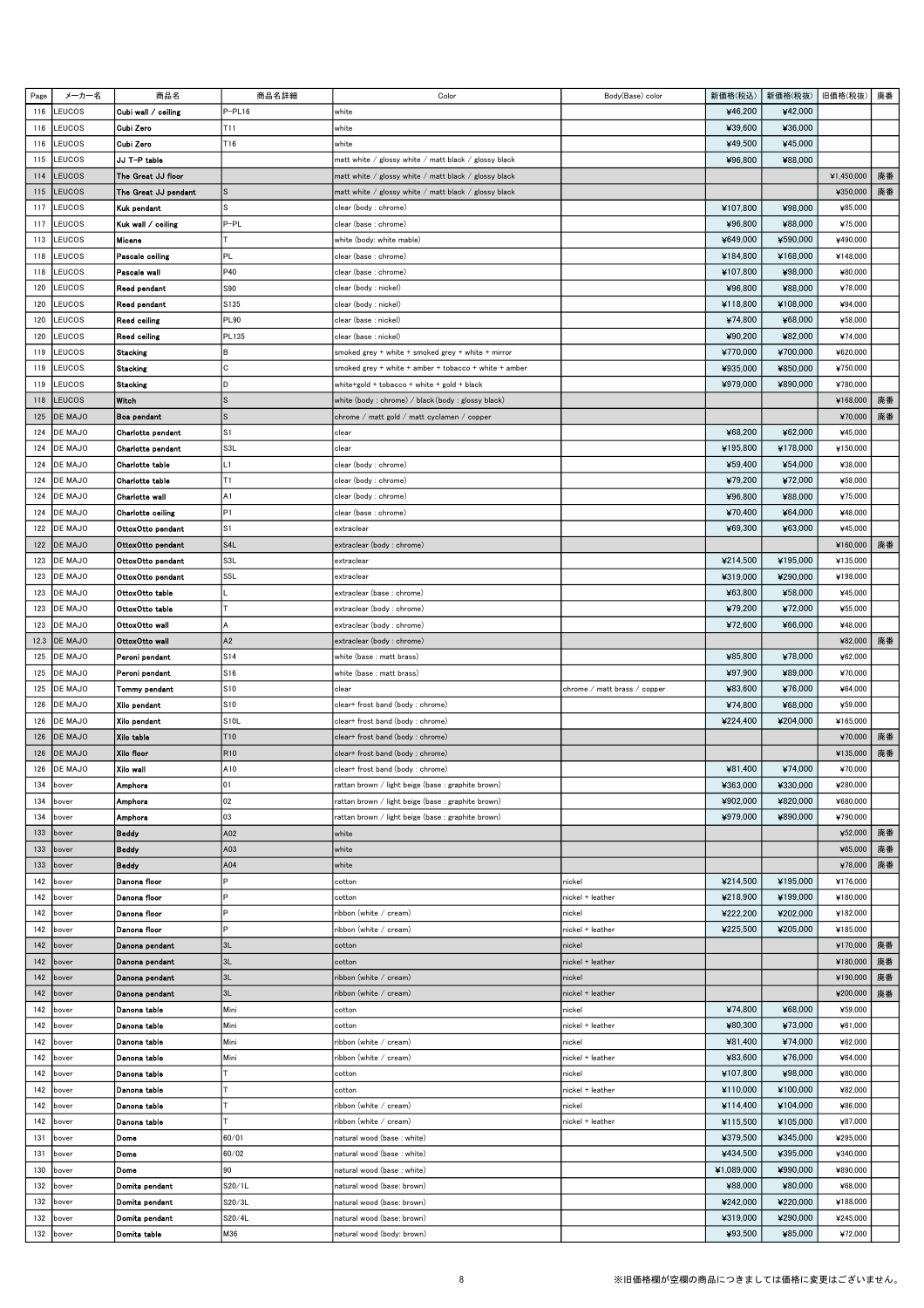| Page | メーカー名          | 商品名                  | 商品名詳細            | Color                                                 | Body(Base) color             | 新価格(税込)    | 新価格(税抜)  | 旧価格(税抜)    | 廃番 |
|------|----------------|----------------------|------------------|-------------------------------------------------------|------------------------------|------------|----------|------------|----|
| 116  | LEUCOS         | Cubi wall / ceiling  | P-PL16           | white                                                 |                              | ¥46,200    | ¥42,000  |            |    |
|      |                |                      |                  |                                                       |                              |            |          |            |    |
| 116  | LEUCOS         | Cubi Zero            | T <sub>11</sub>  | white                                                 |                              | ¥39,600    | ¥36,000  |            |    |
| 116  | LEUCOS         | Cubi Zero            | T16              | white                                                 |                              | ¥49,500    | ¥45,000  |            |    |
| 115  | LEUCOS         | JJ T-P table         |                  | matt white / glossy white / matt black / glossy black |                              | ¥96,800    | ¥88,000  |            |    |
| 114  | LEUCOS         | The Great JJ floor   |                  | matt white / glossy white / matt black / glossy black |                              |            |          | ¥1,450,000 | 廃番 |
| 115  | <b>LEUCOS</b>  | The Great JJ pendant | S                | matt white / glossy white / matt black / glossy black |                              |            |          | ¥350,000   | 廃番 |
|      |                |                      |                  |                                                       |                              |            |          |            |    |
| 117  | LEUCOS         | Kuk pendant          | ls.              | clear (body: chrome)                                  |                              | ¥107,800   | ¥98,000  | ¥85,000    |    |
| 117  | LEUCOS         | Kuk wall / ceiling   | $P-PL$           | clear (base : chrome)                                 |                              | ¥96,800    | ¥88,000  | ¥75,000    |    |
| 113  | LEUCOS         | Micene               |                  | white (body: white mable)                             |                              | ¥649,000   | ¥590,000 | ¥490,000   |    |
| 118  | LEUCOS         | Pascale ceiling      | PL               | clear (base : chrome)                                 |                              | ¥184,800   | ¥168,000 | ¥148,000   |    |
| 118  | LEUCOS         | Pascale wall         | P40              | clear (base : chrome)                                 |                              | ¥107,800   | ¥98,000  | ¥80,000    |    |
|      |                |                      |                  |                                                       |                              |            |          |            |    |
| 120  | LEUCOS         | Reed pendant         | <b>S90</b>       | clear (body : nickel)                                 |                              | ¥96,800    | ¥88,000  | ¥78,000    |    |
| 120  | LEUCOS         | Reed pendant         | S135             | clear (body : nickel)                                 |                              | ¥118,800   | ¥108,000 | ¥94,000    |    |
| 120  | LEUCOS         | Reed ceiling         | <b>PL90</b>      | clear (base : nickel)                                 |                              | ¥74,800    | ¥68,000  | ¥58,000    |    |
| 120  | LEUCOS         | Reed ceiling         | PL135            | clear (base : nickel)                                 |                              | ¥90,200    | ¥82,000  | ¥74,000    |    |
| 119  | LEUCOS         |                      | B                |                                                       |                              | ¥770,000   | ¥700,000 | ¥620,000   |    |
|      |                | Stacking             |                  | smoked grey + white + smoked grey + white + mirror    |                              |            |          |            |    |
| 119  | LEUCOS         | Stacking             | l C              | smoked grey + white + amber + tobacco + white + amber |                              | ¥935,000   | ¥850,000 | ¥750,000   |    |
| 119  | LEUCOS         | Stacking             | ID               | white+gold + tobacco + white + gold + black           |                              | ¥979,000   | ¥890,000 | ¥780,000   |    |
| 118  | LEUCOS         | Witch                | <sub>S</sub>     | white (body : chrome) / black(body : glossy black)    |                              |            |          | ¥168,000   | 廃番 |
| 125  | DE MAJO        | Boa pendant          | <sub>S</sub>     | chrome / matt gold / matt cyclamen / copper           |                              |            |          | ¥70,000    | 廃番 |
|      |                |                      |                  |                                                       |                              |            |          |            |    |
| 124  | DE MAJO        | Charlotte pendant    | S <sub>1</sub>   | clear                                                 |                              | ¥68,200    | ¥62,000  | ¥45,000    |    |
| 124  | DE MAJO        | Charlotte pendant    | S3L              | clear                                                 |                              | ¥195,800   | ¥178,000 | ¥150,000   |    |
| 124  | DE MAJO        | Charlotte table      | L1               | clear (body: chrome)                                  |                              | ¥59,400    | ¥54,000  | ¥38,000    |    |
| 124  | DE MAJO        | Charlotte table      | T1               | clear (body: chrome)                                  |                              | ¥79,200    | ¥72,000  | ¥58,000    |    |
|      |                |                      | A1               |                                                       |                              |            | ¥88,000  |            |    |
| 124  | <b>DE MAJO</b> | Charlotte wall       |                  | clear (body: chrome)                                  |                              | ¥96,800    |          | ¥75,000    |    |
| 124  | DE MAJO        | Charlotte ceiling    | P <sub>1</sub>   | clear (base : chrome)                                 |                              | ¥70,400    | ¥64,000  | ¥48,000    |    |
| 122  | DE MAJO        | OttoxOtto pendant    | S <sub>1</sub>   | extraclear                                            |                              | ¥69,300    | ¥63,000  | ¥45,000    |    |
| 122  | <b>DE MAJO</b> | OttoxOtto pendant    | S <sub>4</sub> L | extraclear (body : chrome)                            |                              |            |          | ¥160,000   | 廃番 |
| 123  | DE MAJO        | OttoxOtto pendant    | S3L              | extraclear                                            |                              | ¥214,500   | ¥195,000 | ¥135,000   |    |
|      |                |                      |                  |                                                       |                              |            |          |            |    |
| 123  | DE MAJO        | OttoxOtto pendant    | S5L              | extraclear                                            |                              | ¥319,000   | ¥290,000 | ¥198,000   |    |
| 123  | DE MAJO        | OttoxOtto table      |                  | extraclear (base : chrome)                            |                              | ¥63,800    | ¥58,000  | ¥45,000    |    |
| 123  | DE MAJO        | OttoxOtto table      |                  | extraclear (body: chrome)                             |                              | ¥79,200    | ¥72,000  | ¥55,000    |    |
| 123  | DE MAJO        | OttoxOtto wall       | A                | extraclear (body : chrome)                            |                              | ¥72,600    | ¥66,000  | ¥48,000    |    |
|      |                |                      |                  |                                                       |                              |            |          |            |    |
| 12.3 | DE MAJO        | OttoxOtto wall       | A <sub>2</sub>   | extraclear (body: chrome)                             |                              |            |          | ¥82,000    | 廃番 |
| 125  | DE MAJO        | Peroni pendant       | S14              | white (base: matt brass)                              |                              | ¥85,800    | ¥78,000  | ¥62,000    |    |
| 125  | DE MAJO        | Peroni pendant       | S16              | white (base : matt brass)                             |                              | ¥97,900    | ¥89,000  | ¥70,000    |    |
| 125  | DE MAJO        | Tommy pendant        | <b>S10</b>       | clear                                                 | chrome / matt brass / copper | ¥83,600    | ¥76,000  | ¥64,000    |    |
| 126  | DE MAJO        | Xilo pendant         | <b>S10</b>       | clear+ frost band (body: chrome)                      |                              | ¥74,800    | ¥68,000  | ¥59,000    |    |
|      |                |                      |                  |                                                       |                              |            |          |            |    |
| 126  | DE MAJO        | Xilo pendant         | <b>S10L</b>      | clear+ frost band (body: chrome)                      |                              | ¥224,400   | ¥204,000 | ¥165,000   |    |
| 126  | <b>DE MAJO</b> | Xilo table           | T <sub>10</sub>  | clear+ frost band (body: chrome)                      |                              |            |          | ¥70,000    | 廃番 |
| 126  | DE MAJO        | Xilo floor           | R <sub>10</sub>  | clear+ frost band (body: chrome)                      |                              |            |          | ¥135,000   | 廃番 |
| 126  | DE MAJO        | Xilo wall            | A10              | clear+ frost band (body: chrome)                      |                              | ¥81,400    | ¥74,000  | ¥70,000    |    |
|      |                |                      |                  |                                                       |                              |            |          |            |    |
| 134  | bover          | Amphora              | 101              | rattan brown / light beige (base : graphite brown)    |                              | ¥363,000   | ¥330,000 | ¥280,000   |    |
| 134  | bover          | Amphora              | 02               | rattan brown / light beige (base : graphite brown)    |                              | ¥902,000   | ¥820,000 | ¥680,000   |    |
| 134  | bover          | Amphora              | 03               | rattan brown / light beige (base : graphite brown)    |                              | ¥979,000   | ¥890,000 | ¥790,000   |    |
| 133  | bover          | <b>Beddy</b>         | A02              | white                                                 |                              |            |          | ¥52,000    | 廃番 |
| 133  | bover          | <b>Beddy</b>         | A03              |                                                       |                              |            |          | ¥65,000    | 廃番 |
|      |                |                      |                  | white                                                 |                              |            |          |            |    |
| 133  | bover          | Beddy                | A04              | white                                                 |                              |            |          | ¥78,000    | 廃番 |
| 142  | bover          | Danona floor         | P                | cotton                                                | nickel                       | ¥214,500   | ¥195,000 | ¥176,000   |    |
| 142  | bover          | Danona floor         |                  | cotton                                                | nickel + leather             | ¥218,900   | ¥199,000 | ¥180,000   |    |
| 142  | bover          | Danona floor         | Þ                | ribbon (white ∕ cream)                                | nickel                       | ¥222,200   | ¥202,000 | ¥182,000   |    |
| 142  | bover          | Danona floor         |                  | ribbon (white / cream)                                | nickel + leather             | ¥225,500   | ¥205,000 | ¥185,000   |    |
|      |                |                      |                  |                                                       |                              |            |          |            |    |
| 142  | bover          | Danona pendant       | 3L               | cotton                                                | nickel                       |            |          | ¥170,000   | 廃番 |
| 142  | bover          | Danona pendant       | 3L               | cotton                                                | nickel + leather             |            |          | ¥180,000   | 廃番 |
| 142  | bover          | Danona pendant       | 3L               | ribbon (white / cream)                                | nickel                       |            |          | ¥190,000   | 廃番 |
| 142  | bover          | Danona pendant       | 3L               | ribbon (white / cream)                                | nickel + leather             |            |          | ¥200,000   | 廃番 |
| 142  | bover          | Danona table         | Mini             | cotton                                                | nickel                       | ¥74,800    | ¥68,000  | ¥59,000    |    |
|      |                |                      |                  |                                                       |                              |            |          |            |    |
| 142  | bover          | Danona table         | Mini             | cotton                                                | nickel + leather             | ¥80,300    | ¥73,000  | ¥61,000    |    |
| 142  | bover          | Danona table         | Mini             | ribbon (white / cream)                                | nickel                       | ¥81,400    | ¥74,000  | ¥62,000    |    |
| 142  | bover          | Danona table         | Mini             | ribbon (white / cream)                                | nickel + leather             | ¥83,600    | ¥76,000  | ¥64,000    |    |
| 142  | bover          | Danona table         |                  | cotton                                                | nickel                       | ¥107,800   | ¥98,000  | ¥80,000    |    |
| 142  |                |                      |                  | cotton                                                | nickel + leather             | ¥110,000   | ¥100,000 | ¥82,000    |    |
|      | bover          | Danona table         |                  |                                                       |                              |            |          |            |    |
| 142  | bover          | Danona table         |                  | ribbon (white / cream)                                | nickel                       | ¥114,400   | ¥104,000 | ¥86,000    |    |
| 142  | bover          | Danona table         | T                | ribbon (white / cream)                                | nickel + leather             | ¥115,500   | ¥105,000 | ¥87,000    |    |
| 131  | bover          | Dome                 | 60/01            | natural wood (base : white)                           |                              | ¥379,500   | ¥345,000 | ¥295,000   |    |
| 131  | bover          | Dome                 | 60/02            | natural wood (base: white)                            |                              | ¥434,500   | ¥395,000 | ¥340,000   |    |
|      |                |                      | 90               |                                                       |                              |            | ¥990,000 |            |    |
| 130  | bover          | Dome                 |                  | natural wood (base: white)                            |                              | ¥1,089,000 |          | ¥890,000   |    |
| 132  | bover          | Domita pendant       | S20/1L           | natural wood (base: brown)                            |                              | ¥88,000    | ¥80,000  | ¥68,000    |    |
| 132  | bover          | Domita pendant       | S20/3L           | natural wood (base: brown)                            |                              | ¥242,000   | ¥220,000 | ¥188,000   |    |
| 132  | bover          | Domita pendant       | S20/4L           | natural wood (base: brown)                            |                              | ¥319,000   | ¥290,000 | ¥245,000   |    |
| 132  | bover          | Domita table         | M36              | natural wood (body: brown)                            |                              | ¥93,500    | ¥85,000  | ¥72,000    |    |
|      |                |                      |                  |                                                       |                              |            |          |            |    |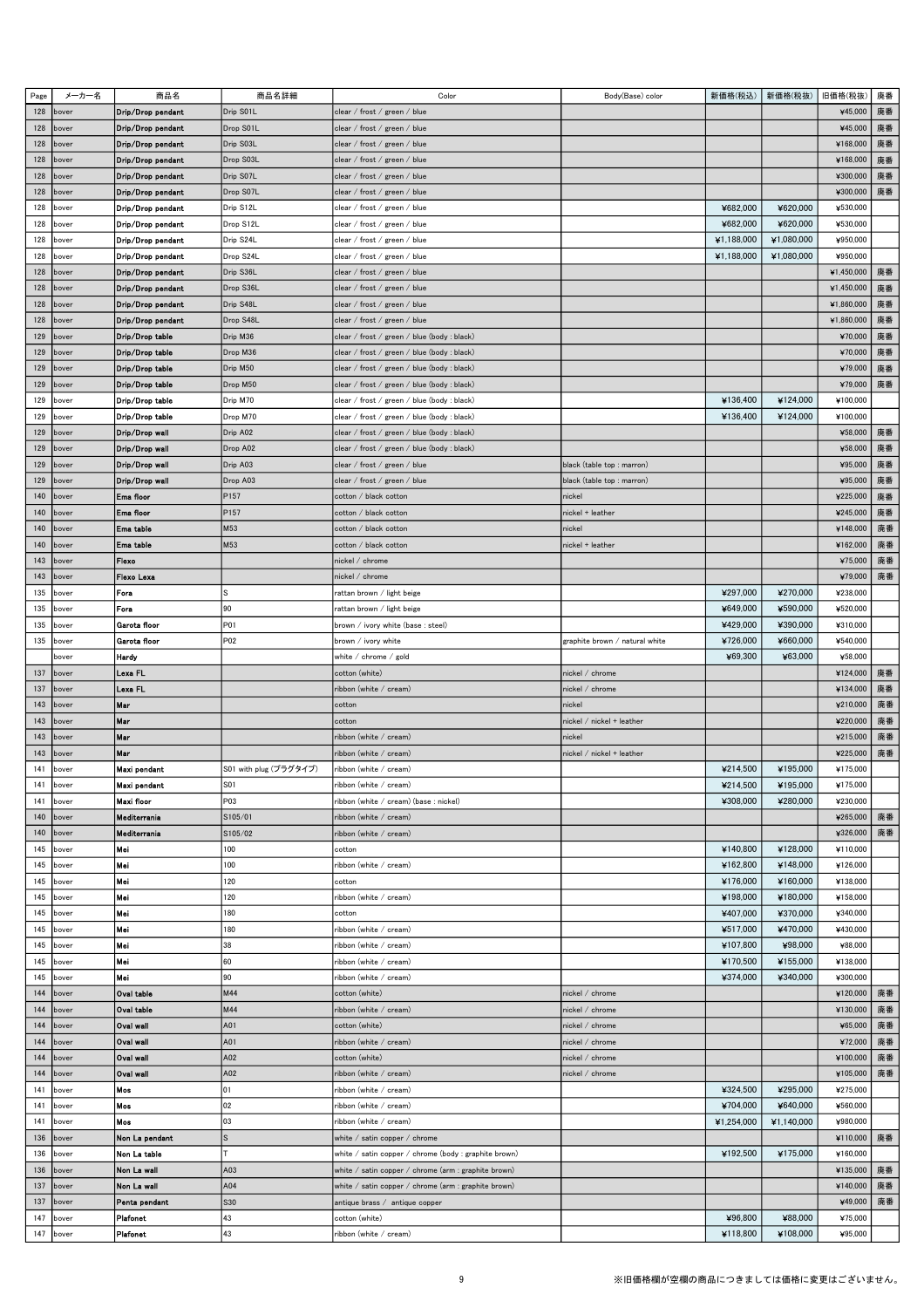| Page | メーカー名 | 商品名               | 商品名詳細                  | Color                                                 | Body(Base) color               | 新価格(税込)    | 新価格(税抜)    | 旧価格(税抜)    | 廃番 |
|------|-------|-------------------|------------------------|-------------------------------------------------------|--------------------------------|------------|------------|------------|----|
| 128  | bover | Drip/Drop pendant | Drip S01L              | clear / frost / green / blue                          |                                |            |            | ¥45,000    | 廃番 |
|      |       |                   |                        |                                                       |                                |            |            |            |    |
| 128  | bover | Drip/Drop pendant | Drop S01L              | clear / frost / green / blue                          |                                |            |            | ¥45,000    | 廃番 |
| 128  | bover | Drip/Drop pendant | Drip S03L              | clear / frost / green / blue                          |                                |            |            | ¥168,000   | 廃番 |
| 128  | bover | Drip/Drop pendant | Drop S03L              | clear / frost / green / blue                          |                                |            |            | ¥168,000   | 廃番 |
| 128  | bover | Drip/Drop pendant | Drip S07L              | clear / frost / green / blue                          |                                |            |            | ¥300,000   | 廃番 |
| 128  | bover | Drip/Drop pendant | Drop S07L              | clear / frost / green / blue                          |                                |            |            | ¥300,000   | 廃番 |
| 128  | bover | Drip/Drop pendant | Drip S12L              | clear / frost / green / blue                          |                                | ¥682,000   | ¥620,000   | ¥530,000   |    |
|      |       |                   |                        |                                                       |                                |            |            |            |    |
| 128  | bover | Drip/Drop pendant | Drop S12L              | clear / frost / green / blue                          |                                | ¥682,000   | ¥620,000   | ¥530,000   |    |
| 128  | bover | Drip/Drop pendant | Drip S24L              | clear / frost / green / blue                          |                                | ¥1.188.000 | ¥1.080.000 | ¥950,000   |    |
| 128  | bover | Drip/Drop pendant | Drop S24L              | clear / frost / green / blue                          |                                | ¥1,188,000 | ¥1,080,000 | ¥950,000   |    |
| 128  | bover | Drip/Drop pendant | Drip S36L              | clear / frost / green / blue                          |                                |            |            | ¥1,450,000 | 廃番 |
| 128  | bover | Drip/Drop pendant | Drop S36L              | clear / frost / green / blue                          |                                |            |            | ¥1,450,000 | 廃番 |
|      |       |                   |                        |                                                       |                                |            |            |            |    |
| 128  | bover | Drip/Drop pendant | Drip S48L              | clear / frost / green / blue                          |                                |            |            | ¥1,860,000 | 廃番 |
| 128  | bover | Drip/Drop pendant | Drop S48L              | clear / frost / green / blue                          |                                |            |            | ¥1,860,000 | 廃番 |
| 129  | bover | Drip/Drop table   | Drip M36               | clear / frost / green / blue (body : black)           |                                |            |            | ¥70,000    | 廃番 |
| 129  | bover | Drip/Drop table   | Drop M36               | clear / frost / green / blue (body : black)           |                                |            |            | ¥70,000    | 廃番 |
| 129  | bover | Drip/Drop table   | Drip M50               | clear / frost / green / blue (body : black)           |                                |            |            | ¥79,000    | 廃番 |
|      |       |                   |                        |                                                       |                                |            |            |            |    |
| 129  | bover | Drip/Drop table   | Drop M50               | clear / frost / green / blue (body : black)           |                                |            |            | ¥79,000    | 廃番 |
| 129  | bover | Drip/Drop table   | Drip M70               | clear / frost / green / blue (body : black)           |                                | ¥136,400   | ¥124,000   | ¥100,000   |    |
| 129  | bover | Drip/Drop table   | Drop M70               | clear / frost / green / blue (body : black)           |                                | ¥136,400   | ¥124,000   | ¥100,000   |    |
| 129  | bover | Drip/Drop wall    | Drip A02               | clear / frost / green / blue (body : black)           |                                |            |            | ¥58,000    | 廃番 |
| 129  | bover | Drip/Drop wall    | Drop A02               | clear / frost / green / blue (body : black)           |                                |            |            | ¥58,000    | 廃番 |
| 129  | bover | Drip/Drop wall    | Drip A03               | clear / frost / green / blue                          | black (table top : marron)     |            |            | ¥95,000    | 廃番 |
|      |       |                   |                        |                                                       |                                |            |            |            |    |
| 129  | bover | Drip/Drop wall    | Drop A03               | clear / frost / green / blue                          | black (table top : marron)     |            |            | ¥95,000    | 廃番 |
| 140  | bover | Ema floor         | P <sub>157</sub>       | cotton / black cotton                                 | nickel                         |            |            | ¥225,000   | 廃番 |
| 140  | bover | Ema floor         | P157                   | cotton / black cotton                                 | iickel + leather               |            |            | ¥245,000   | 廃番 |
| 140  | bover | Ema tablo         | M53                    | cotton / black cotton                                 | nickel                         |            |            | ¥148,000   | 廃番 |
| 140  | bover | Ema table         | M53                    | cotton / black cotton                                 | nickel + leather               |            |            | ¥162,000   | 廃番 |
|      |       |                   |                        |                                                       |                                |            |            |            |    |
| 143  | bover | Flexo             |                        | nickel / chrome                                       |                                |            |            | ¥75,000    | 廃番 |
| 143  | bover | Flexo Lexa        |                        | nickel ∕ chrome                                       |                                |            |            | ¥79,000    | 廃番 |
| 135  | bover | Fora              | ls                     | rattan brown / light beige                            |                                | ¥297,000   | ¥270,000   | ¥238,000   |    |
| 135  | bover | Fora              | 90                     | rattan brown / light beige                            |                                | ¥649,000   | ¥590,000   | ¥520,000   |    |
| 135  | bover | Garota floor      | P01                    | brown / ivory white (base : steel)                    |                                | ¥429,000   | ¥390,000   | ¥310,000   |    |
| 135  | bover | Garota floor      | P02                    | brown / ivory white                                   | graphite brown / natural white | ¥726,000   | ¥660,000   | ¥540,000   |    |
|      |       |                   |                        |                                                       |                                |            |            |            |    |
|      | bover | Hardy             |                        | white / chrome / gold                                 |                                | ¥69,300    | ¥63,000    | ¥58,000    |    |
| 137  | bover | Lexa FL           |                        | cotton (white)                                        | nickel / chrome                |            |            | ¥124,000   | 廃番 |
| 137  | bover | Lexa FL           |                        | ribbon (white / cream)                                | าickel / chrome                |            |            | ¥134,000   | 廃番 |
| 143  | bover | Mar               |                        | cotton                                                | nickel                         |            |            | ¥210,000   | 廃番 |
| 143  | bover | Mar               |                        | cotton                                                | nickel ∕ nickel + leather      |            |            | ¥220,000   | 廃番 |
|      |       |                   |                        |                                                       |                                |            |            |            |    |
| 143  | bover | Mar               |                        | ribbon (white / cream)                                | hickel                         |            |            | ¥215,000   | 廃番 |
| 143  | bover | Mar               |                        | ribbon (white / cream)                                | nickel / nickel + leather      |            |            | ¥225,000   | 廃番 |
| 141  | bover | Maxi pendant      | S01 with plug (プラグタイプ) | ribbon (white / cream)                                |                                | ¥214,500   | ¥195,000   | ¥175,000   |    |
| 141  | bover | Maxi pendant      | S <sub>01</sub>        | ribbon (white / cream)                                |                                | ¥214,500   | ¥195,000   | ¥175,000   |    |
| 141  | bover | Maxi floor        | P03                    | ribbon (white / cream) (base : nickel)                |                                | ¥308,000   | ¥280,000   | ¥230,000   |    |
| 140  | bover | Mediterrania      | S105/01                |                                                       |                                |            |            | ¥265,000   | 廃番 |
|      |       |                   |                        | ribbon (white / cream)                                |                                |            |            |            |    |
| 140  | bover | Mediterrania      | S105/02                | ribbon (white / cream)                                |                                |            |            | ¥326,000   | 廃番 |
| 145  | bover | Mei               | 100                    | cotton                                                |                                | ¥140,800   | ¥128,000   | ¥110,000   |    |
| 145  | bover | Moi               | 100                    | ribbon (white / cream)                                |                                | ¥162,800   | ¥148,000   | ¥126,000   |    |
| 145  | bover | Mei               | 120                    | cotton                                                |                                | ¥176,000   | ¥160,000   | ¥138,000   |    |
| 145  | bover | Moi               | 120                    | ribbon (white / cream)                                |                                | ¥198,000   | ¥180,000   | ¥158,000   |    |
|      |       |                   |                        |                                                       |                                |            |            |            |    |
| 145  | bover | Mei               | 180                    | cotton                                                |                                | ¥407,000   | ¥370,000   | ¥340,000   |    |
| 145  | bover | Mei               | 180                    | ribbon (white / cream)                                |                                | ¥517,000   | ¥470,000   | ¥430,000   |    |
| 145  | bover | Moi               | 38                     | ribbon (white / cream)                                |                                | ¥107,800   | ¥98,000    | ¥88,000    |    |
| 145  | bover | Mei               | 60                     | ribbon (white / cream)                                |                                | ¥170,500   | ¥155,000   | ¥138,000   |    |
| 145  | bover | Moi               | 90                     | ribbon (white / cream)                                |                                | ¥374,000   | ¥340,000   | ¥300,000   |    |
| 144  | bover | Oval table        | M44                    | cotton (white)                                        | nickel / chrome                |            |            | ¥120,000   | 廃番 |
|      |       |                   |                        |                                                       |                                |            |            |            |    |
| 144  | bover | Oval table        | M44                    | ribbon (white / cream)                                | nickel / chrome                |            |            | ¥130,000   | 廃番 |
| 144  | bover | Oval wall         | A01                    | cotton (white)                                        | nickel / chrome                |            |            | ¥65,000    | 廃番 |
| 144  | bover | Oval wall         | A01                    | ribbon (white / cream)                                | nickel / chrome                |            |            | ¥72,000    | 廃番 |
| 144  | bover | Oval wall         | A02                    | cotton (white)                                        | nickel / chrome                |            |            | ¥100,000   | 廃番 |
| 144  | bover | Oval wall         | A02                    | ribbon (white / cream)                                | nickel / chrome                |            |            | ¥105,000   | 廃番 |
|      |       |                   | 01                     |                                                       |                                |            |            |            |    |
| 141  | bover | Mos               |                        | ribbon (white / cream)                                |                                | ¥324,500   | ¥295,000   | ¥275,000   |    |
| 141  | bover | Mos               | 02                     | ribbon (white / cream)                                |                                | ¥704,000   | ¥640,000   | ¥560,000   |    |
| 141  | bover | Mos               | 03                     | ribbon (white / cream)                                |                                | ¥1,254,000 | ¥1,140,000 | ¥980,000   |    |
| 136  | bover | Non La pendant    | $\mathsf{s}$           | white / satin copper / chrome                         |                                |            |            | ¥110,000   | 廃番 |
| 136  | bover | Non La table      |                        | white / satin copper / chrome (body : graphite brown) |                                | ¥192,500   | ¥175,000   | ¥160,000   |    |
|      |       |                   | A03                    |                                                       |                                |            |            |            |    |
| 136  | bover | Non La wall       |                        | white / satin copper / chrome (arm : graphite brown)  |                                |            |            | ¥135,000   | 廃番 |
| 137  | bover | Non La wall       | A04                    | white / satin copper / chrome (arm : graphite brown)  |                                |            |            | ¥140,000   | 廃番 |
| 137  | bover | Penta pendant     | S30                    | antique brass / antique copper                        |                                |            |            | ¥49,000    | 廃番 |
| 147  | bover | Plafonet          | 43                     | cotton (white)                                        |                                | ¥96,800    | ¥88,000    | ¥75,000    |    |
| 147  | bover | Plafonet          | 43                     | ribbon (white / cream)                                |                                | ¥118,800   | ¥108,000   | ¥95,000    |    |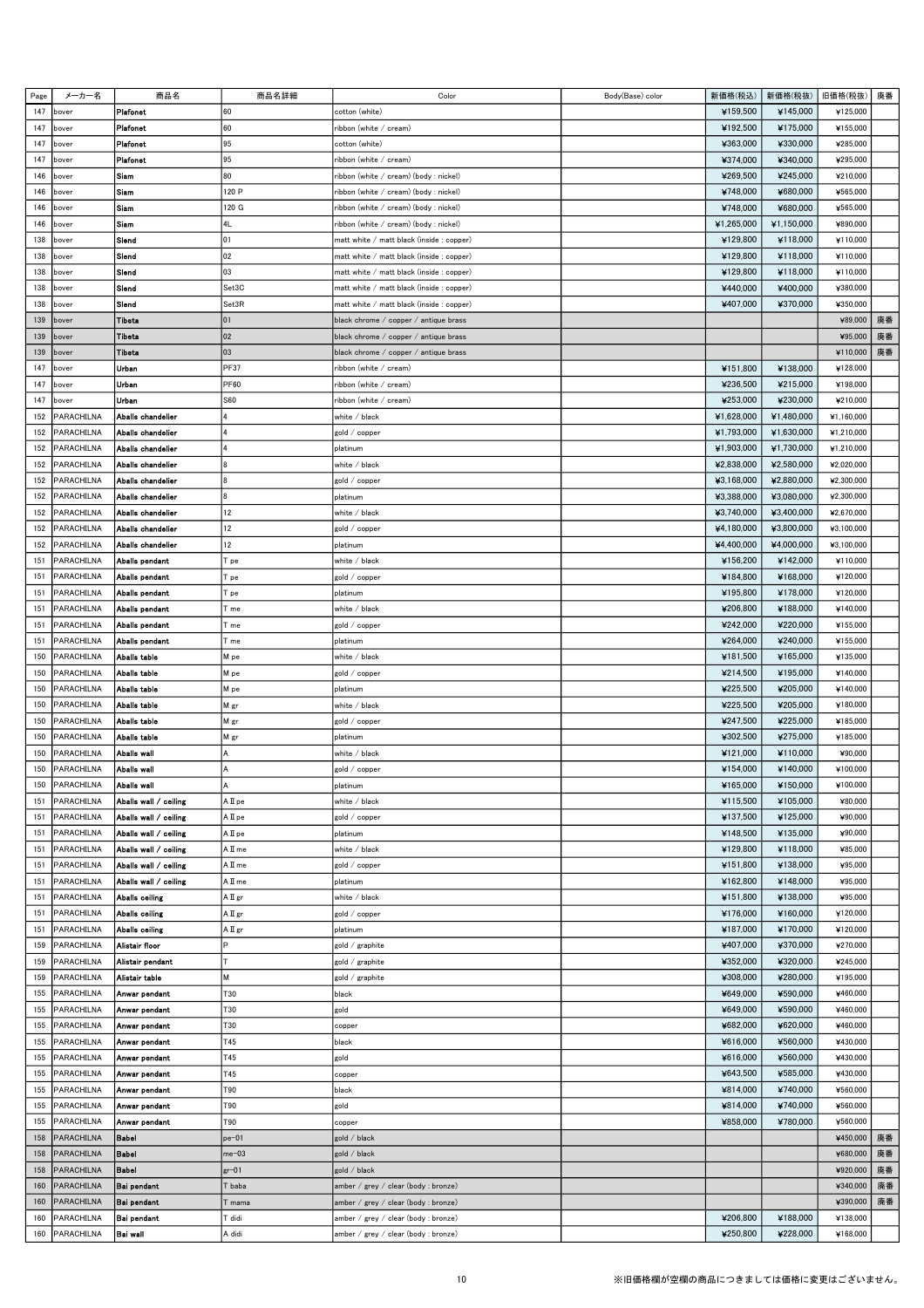| Page | メーカー名             | 商品名                   | 商品名詳細          | Color                                     | Body(Base) color | 新価格(税込)    | 新価格(税抜)    | 旧価格(税抜)    | 廃番 |
|------|-------------------|-----------------------|----------------|-------------------------------------------|------------------|------------|------------|------------|----|
| 147  | bover             | Plafonet              | 60             | cotton (white)                            |                  | ¥159,500   | ¥145,000   | ¥125,000   |    |
| 147  | bover             | Plafonet              | 60             | ribbon (white ∕ cream)                    |                  | ¥192,500   | ¥175,000   | ¥155,000   |    |
| 147  | bover             | Plafonet              | 95             | cotton (white)                            |                  | ¥363,000   | ¥330,000   | ¥285,000   |    |
| 147  | bover             | Plafonet              | 95             | ribbon (white / cream)                    |                  | ¥374,000   | ¥340,000   | ¥295,000   |    |
|      | bover             | Siam                  | 80             | ribbon (white / cream) (body : nickel)    |                  |            |            | ¥210,000   |    |
| 146  |                   |                       |                |                                           |                  | ¥269,500   | ¥245,000   |            |    |
| 146  | bover             | Siam                  | 120 P          | ribbon (white / cream) (body : nickel)    |                  | ¥748,000   | ¥680,000   | ¥565,000   |    |
| 146  | bover             | Siam                  | 120 G          | ribbon (white / cream) (body : nickel)    |                  | ¥748,000   | ¥680,000   | ¥565,000   |    |
| 146  | bover             | Siam                  |                | ribbon (white / cream) (body : nickel)    |                  | ¥1,265,000 | ¥1,150,000 | ¥890,000   |    |
| 138  | bover             | Slend                 | 101            | matt white / matt black (inside : copper) |                  | ¥129,800   | ¥118,000   | ¥110,000   |    |
| 138  | bover             | Slend                 | 02             | matt white / matt black (inside : copper) |                  | ¥129,800   | ¥118,000   | ¥110,000   |    |
| 138  | bover             | Slend                 | 03             | matt white / matt black (inside : copper) |                  | ¥129,800   | ¥118,000   | ¥110,000   |    |
| 138  | bover             | Slend                 | Set3C          | matt white / matt black (inside : copper) |                  | ¥440,000   | ¥400,000   | ¥380,000   |    |
| 138  | bover             | Slend                 | Set3R          | matt white / matt black (inside : copper) |                  | ¥407,000   | ¥370,000   | ¥350,000   |    |
| 139  | bover             | <b>Tibeta</b>         | 01             | black chrome / copper / antique brass     |                  |            |            | ¥89,000    | 廃番 |
| 139  | bover             | Tibeta                | 02             | black chrome / copper / antique brass     |                  |            |            | ¥95,000    | 廃番 |
| 139  | bover             | Tibeta                | 03             | black chrome / copper / antique brass     |                  |            |            | ¥110,000   | 廃番 |
|      |                   |                       |                |                                           |                  |            |            |            |    |
| 147  | oover             | Urban                 | PF37           | ribbon (white ∕ cream)                    |                  | ¥151,800   | ¥138,000   | ¥128,000   |    |
| 147  | bover             | Urban                 | PF60           | ribbon (white ∕ cream)                    |                  | ¥236,500   | ¥215,000   | ¥198,000   |    |
| 147  | bover             | Urban                 | <b>S60</b>     | ribbon (white ∕ cream)                    |                  | ¥253,000   | ¥230,000   | ¥210,000   |    |
| 152  | PARACHILNA        | Abalis chandelier     |                | white / black                             |                  | ¥1,628,000 | ¥1,480,000 | ¥1,160,000 |    |
| 152  | <b>PARACHILNA</b> | Aballs chandelier     | $\overline{4}$ | gold / copper                             |                  | ¥1,793,000 | ¥1,630,000 | ¥1,210,000 |    |
| 152  | PARACHILNA        | Aballs chandelier     |                | platinum                                  |                  | ¥1,903,000 | ¥1,730,000 | ¥1,210,000 |    |
| 152  | PARACHILNA        | Aballs chandelier     |                | white / black                             |                  | ¥2,838,000 | ¥2,580,000 | ¥2,020,000 |    |
| 152  | PARACHILNA        | Aballs chandelier     |                | gold / copper                             |                  | ¥3,168,000 | ¥2,880,000 | ¥2,300,000 |    |
| 152  | PARACHILNA        | Aballs chandelier     | l8             | platinum                                  |                  | ¥3,388,000 | ¥3,080,000 | ¥2,300,000 |    |
| 152  | PARACHILNA        | Aballs chandelier     | 12             | white / black                             |                  | ¥3,740,000 | ¥3,400,000 | ¥2,670,000 |    |
|      |                   |                       | 12             |                                           |                  | ¥4,180,000 | ¥3,800,000 |            |    |
| 152  | PARACHILNA        | Aballs chandelier     |                | gold / copper                             |                  |            |            | ¥3,100,000 |    |
| 152  | PARACHILNA        | Aballs chandelier     | 12             | platinum                                  |                  | ¥4,400,000 | ¥4,000,000 | ¥3,100,000 |    |
| 151  | PARACHILNA        | Aballs pendant        | T pe           | white / black                             |                  | ¥156,200   | ¥142,000   | ¥110,000   |    |
| 151  | PARACHILNA        | Aballs pendant        | T pe           | gold / copper                             |                  | ¥184,800   | ¥168,000   | ¥120,000   |    |
| 151  | PARACHILNA        | Aballs pendant        | T pe           | platinum                                  |                  | ¥195,800   | ¥178,000   | ¥120,000   |    |
| 151  | PARACHILNA        | Aballs pendant        | T me           | white / black                             |                  | ¥206,800   | ¥188,000   | ¥140,000   |    |
| 151  | PARACHILNA        | Aballs pendant        | T me           | gold / copper                             |                  | ¥242,000   | ¥220,000   | ¥155,000   |    |
| 151  | PARACHILNA        | Aballs pendant        | T me           | platinum                                  |                  | ¥264,000   | ¥240,000   | ¥155,000   |    |
| 150  | PARACHILNA        | Aballs table          | M pe           | white / black                             |                  | ¥181,500   | ¥165,000   | ¥135,000   |    |
| 150  | PARACHILNA        | Abalis table          | M pe           | gold / copper                             |                  | ¥214,500   | ¥195,000   | ¥140,000   |    |
| 150  | PARACHILNA        | Abalis table          | M pe           |                                           |                  | ¥225,500   | ¥205,000   | ¥140,000   |    |
|      |                   |                       |                | platinum                                  |                  |            |            |            |    |
| 150  | PARACHILNA        | Abalis table          | M gr           | white / black                             |                  | ¥225,500   | ¥205,000   | ¥180,000   |    |
| 150  | PARACHILNA        | Aballs table          | M gr           | gold / copper                             |                  | ¥247,500   | ¥225,000   | ¥185,000   |    |
| 150  | PARACHILNA        | Aballs table          | M gr           | platinum                                  |                  | ¥302,500   | ¥275,000   | ¥185,000   |    |
| 150  | PARACHILNA        | Abalis wall           |                | white / black                             |                  | ¥121,000   | ¥110,000   | ¥90,000    |    |
| 150  | PARACHILNA        | Aballs wall           |                | gold / copper                             |                  | ¥154,000   | ¥140,000   | ¥100,000   |    |
| 150  | <b>PARACHILNA</b> | Abalis wall           | ļΑ             | platinum                                  |                  | ¥165,000   | ¥150,000   | ¥100,000   |    |
| 151  | PARACHILNA        | Aballs wall / ceiling | AII pe         | white / black                             |                  | ¥115,500   | ¥105,000   | ¥80,000    |    |
| 151  | PARACHILNA        | Abalis wall / ceiling | A II pe        | gold / copper                             |                  | ¥137,500   | ¥125,000   | ¥90,000    |    |
| 151  | PARACHILNA        | Aballs wall / ceiling | A II pe        | platinum                                  |                  | ¥148,500   | ¥135,000   | ¥90,000    |    |
| 151  | PARACHILNA        | Aballs wall / ceiling | A II me        | white / black                             |                  | ¥129,800   | ¥118,000   | ¥85,000    |    |
| 151  | PARACHILNA        | Abalis wall / ceiling | A II me        | gold / copper                             |                  | ¥151,800   | ¥138,000   | ¥95,000    |    |
|      |                   | Aballs wall / ceiling |                |                                           |                  |            | ¥148,000   |            |    |
| 151  | PARACHILNA        |                       | A II me        | platinum                                  |                  | ¥162,800   |            | ¥95,000    |    |
| 151  | PARACHILNA        | Aballs ceiling        | AII gr         | white / black                             |                  | ¥151,800   | ¥138,000   | ¥95,000    |    |
| 151  | PARACHILNA        | Aballs ceiling        | AII gr         | gold / copper                             |                  | ¥176,000   | ¥160,000   | ¥120,000   |    |
| 151  | PARACHILNA        | Aballs ceiling        | AII gr         | platinum                                  |                  | ¥187,000   | ¥170,000   | ¥120,000   |    |
| 159  | PARACHILNA        | Alistair floor        | lР             | gold / graphite                           |                  | ¥407,000   | ¥370,000   | ¥270,000   |    |
| 159  | PARACHILNA        | Alistair pendant      | т              | gold / graphite                           |                  | ¥352,000   | ¥320,000   | ¥245,000   |    |
| 159  | PARACHILNA        | Alistair table        | M              | gold / graphite                           |                  | ¥308,000   | ¥280,000   | ¥195,000   |    |
| 155  | PARACHILNA        | Anwar pendant         | T30            | black                                     |                  | ¥649,000   | ¥590,000   | ¥460,000   |    |
| 155  | PARACHILNA        | Anwar pendant         | T30            | gold                                      |                  | ¥649,000   | ¥590,000   | ¥460,000   |    |
| 155  | PARACHILNA        | Anwar pendant         | T30            | copper                                    |                  | ¥682,000   | ¥620,000   | ¥460,000   |    |
| 155  | PARACHILNA        | Anwar pendant         | T45            | black                                     |                  | ¥616,000   | ¥560,000   | ¥430,000   |    |
| 155  | PARACHILNA        |                       | T45            |                                           |                  | ¥616,000   | ¥560,000   | ¥430,000   |    |
|      | PARACHILNA        | Anwar pendant         | T45            | gold                                      |                  | ¥643,500   | ¥585,000   | ¥430,000   |    |
| 155  |                   | Anwar pendant         |                | copper                                    |                  |            |            |            |    |
| 155  | PARACHILNA        | Anwar pendant         | T90            | black                                     |                  | ¥814,000   | ¥740,000   | ¥560,000   |    |
| 155  | PARACHILNA        | Anwar pendant         | T90            | gold                                      |                  | ¥814,000   | ¥740,000   | ¥560,000   |    |
| 155  | PARACHILNA        | Anwar pendant         | T90            | copper                                    |                  | ¥858,000   | ¥780,000   | ¥560,000   |    |
| 158  | PARACHILNA        | <b>Babol</b>          | $pe-01$        | gold / black                              |                  |            |            | ¥450,000   | 廃番 |
| 158  | PARACHILNA        | <b>Babel</b>          | $me-03$        | gold / black                              |                  |            |            | ¥680,000   | 廃番 |
| 158  | PARACHILNA        | <b>Babel</b>          | $gr-01$        | gold / black                              |                  |            |            | ¥920,000   | 廃番 |
| 160  | PARACHILNA        | Bai pendant           | T baba         | amber / grey / clear (body : bronze)      |                  |            |            | ¥340,000   | 廃番 |
| 160  | PARACHILNA        | Bai pendant           | T mama         | amber / grey / clear (body : bronze)      |                  |            |            | ¥390,000   | 廃番 |
| 160  | PARACHILNA        | Bai pendant           | T didi         | amber / grey / clear (body : bronze)      |                  | ¥206,800   | ¥188,000   | ¥138,000   |    |
| 160  | PARACHILNA        | <b>Bai wall</b>       | A didi         |                                           |                  | ¥250,800   | ¥228,000   | ¥168,000   |    |
|      |                   |                       |                | amber / grey / clear (body : bronze)      |                  |            |            |            |    |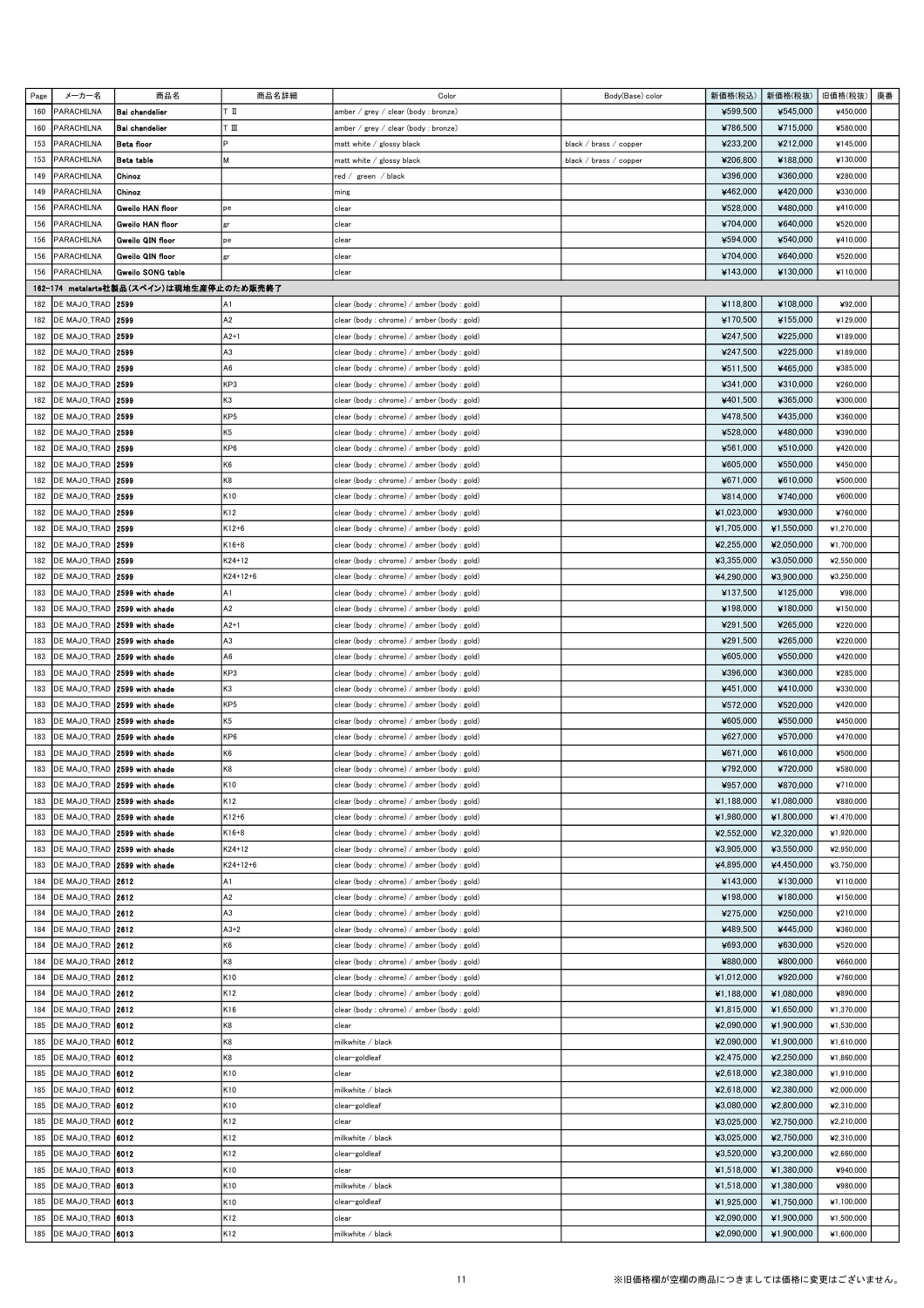| Page       | メーカー名                                               | 商品名                                      | 商品名詳細              | Color                                                                                      | Body(Base) color       | 新価格(税込)                  | 新価格(税抜)                  | 旧価格(税抜)                  | 廃番 |
|------------|-----------------------------------------------------|------------------------------------------|--------------------|--------------------------------------------------------------------------------------------|------------------------|--------------------------|--------------------------|--------------------------|----|
| 160        | PARACHILNA                                          | <b>Bai chandelier</b>                    | ТΙ                 | amber / grey / clear (body : bronze)                                                       |                        | ¥599,500                 | ¥545,000                 | ¥450,000                 |    |
| 160        | PARACHILNA                                          | Bai chandelier                           | ⊺ Ⅲ                | amber / grey / clear (body : bronze)                                                       |                        | ¥786,500                 | ¥715,000                 | ¥580,000                 |    |
| 153        | PARACHILNA                                          | <b>Beta</b> floor                        | lP                 | matt white / glossy black                                                                  | black / brass / copper | ¥233,200                 | ¥212,000                 | ¥145,000                 |    |
| 153        | PARACHILNA                                          | Beta table                               | Iм                 | matt white / glossy black                                                                  | black / brass / copper | ¥206,800                 | ¥188,000                 | ¥130,000                 |    |
| 149        | PARACHILNA                                          | Chinoz                                   |                    | red / green / black                                                                        |                        | ¥396,000                 | ¥360,000                 | ¥280,000                 |    |
| 149        | PARACHILNA                                          | Chinoz                                   |                    | ming                                                                                       |                        | ¥462,000                 | ¥420,000                 | ¥330,000                 |    |
| 156        | PARACHILNA                                          | <b>Gwello HAN floor</b>                  | lpe                | clear                                                                                      |                        | ¥528,000                 | ¥480,000                 | ¥410,000                 |    |
| 156        | PARACHILNA                                          | <b>Gweilo HAN floor</b>                  | gr                 | clear                                                                                      |                        | ¥704,000                 | ¥640,000                 | ¥520,000                 |    |
| 156        | PARACHILNA                                          | Gweilo QIN floor                         | lpe                | clear                                                                                      |                        | ¥594,000                 | ¥540,000                 | ¥410,000                 |    |
| 156        | PARACHILNA                                          | Gweilo QIN floor                         | gr                 | clear                                                                                      |                        | ¥704,000                 | ¥640,000                 | ¥520,000                 |    |
| 156        | PARACHILNA                                          | <b>Gweilo SONG table</b>                 |                    | clear                                                                                      |                        | ¥143,000                 | ¥130,000                 | ¥110,000                 |    |
|            |                                                     | 162-174 metalarte社製品(スペイン)は現地生産停止のため販売終了 |                    |                                                                                            |                        |                          |                          |                          |    |
| 182        | DE MAJO_TRAD   2599                                 |                                          | IA1                | clear (body : chrome) / amber (body : gold)                                                |                        | ¥118,800                 | ¥108,000                 | ¥92,000                  |    |
| 182        | DE MAJO_TRAD 2599                                   |                                          | A <sub>2</sub>     | clear (body : chrome) / amber (body : gold)                                                |                        | ¥170,500                 | ¥155,000                 | ¥129,000                 |    |
| 182        | DE MAJO_TRAD   2599                                 |                                          | $A2+1$             | clear (body : chrome) / amber (body : gold)                                                |                        | ¥247,500                 | ¥225,000                 | ¥189,000                 |    |
| 182        | DE MAJO_TRAD 2599                                   |                                          | A3                 | clear (body : chrome) / amber (body : gold)                                                |                        | ¥247,500                 | ¥225,000                 | ¥189,000                 |    |
| 182        | DE MAJO_TRAD 2599                                   |                                          | A <sub>6</sub>     | clear (body : chrome) / amber (body : gold)                                                |                        | ¥511,500                 | ¥465,000                 | ¥385,000                 |    |
| 182        | DE MAJO_TRAD 2599                                   |                                          | KP3                | clear (body : chrome) / amber (body : gold)                                                |                        | ¥341,000                 | ¥310,000                 | ¥260,000                 |    |
| 182        | DE MAJO_TRAD 2599                                   |                                          | K <sub>3</sub>     | clear (body : chrome) / amber (body : gold)                                                |                        | ¥401,500                 | ¥365,000                 | ¥300,000                 |    |
| 182        | DE MAJO_TRAD 2599                                   |                                          | KP <sub>5</sub>    | clear (body : chrome) / amber (body : gold)                                                |                        | ¥478,500                 | ¥435,000                 | ¥360,000                 |    |
| 182        | DE MAJO_TRAD 2599                                   |                                          | K <sub>5</sub>     | clear (body : chrome) / amber (body : gold)                                                |                        | ¥528,000                 | ¥480,000                 | ¥390,000                 |    |
| 182        | DE MAJO_TRAD 2599                                   |                                          | KP6                | clear (body : chrome) / amber (body : gold)                                                |                        | ¥561,000                 | ¥510,000                 | ¥420,000                 |    |
| 182        | DE MAJO_TRAD 2599                                   |                                          | K <sub>6</sub>     | clear (body : chrome) / amber (body : gold)                                                |                        | ¥605,000                 | ¥550,000                 | ¥450,000                 |    |
| 182        | DE MAJO_TRAD 2599                                   |                                          | K8                 | clear (body : chrome) / amber (body : gold)                                                |                        | ¥671,000                 | ¥610,000                 | ¥500,000                 |    |
| 182<br>182 | DE MAJO_TRAD 2599<br>DE MAJO_TRAD 2599              |                                          | K10<br>K12         | clear (body : chrome) / amber (body : gold)                                                |                        | ¥814,000                 | ¥740,000<br>¥930,000     | ¥600,000<br>¥760,000     |    |
|            |                                                     |                                          |                    | clear (body : chrome) / amber (body : gold)                                                |                        | ¥1,023,000               |                          |                          |    |
| 182<br>182 | DE MAJO_TRAD 2599<br>DE MAJO_TRAD 2599              |                                          | $K12+6$<br>$K16+8$ | clear (body : chrome) / amber (body : gold)<br>clear (body : chrome) / amber (body : gold) |                        | ¥1,705,000               | ¥1,550,000               | ¥1,270,000<br>¥1,700,000 |    |
|            | DE MAJO_TRAD 2599                                   |                                          |                    |                                                                                            |                        | ¥2,255,000               | ¥2,050,000               |                          |    |
| 182        |                                                     |                                          | K24+12             | clear (body : chrome) / amber (body : gold)                                                |                        | ¥3,355,000               | ¥3,050,000               | ¥2,550,000               |    |
| 182<br>183 | DE MAJO_TRAD   2599<br>DE MAJO_TRAD 2599 with shade |                                          | $K24+12+6$<br>IA1  | clear (body : chrome) / amber (body : gold)                                                |                        | ¥4,290,000<br>¥137,500   | ¥3,900,000<br>¥125,000   | ¥3,250,000<br>¥98,000    |    |
| 183        | DE MAJO_TRAD                                        | 2599 with shade                          | A <sub>2</sub>     | clear (body : chrome) / amber (body : gold)                                                |                        | ¥198,000                 | ¥180,000                 | ¥150,000                 |    |
| 183        | DE MAJO_TRAD 2599 with shade                        |                                          | $A2+1$             | clear (body : chrome) / amber (body : gold)<br>clear (body : chrome) / amber (body : gold) |                        | ¥291,500                 | ¥265,000                 | ¥220,000                 |    |
| 183        | DE MAJO_TRAD 2599 with shade                        |                                          | A3                 | clear (body : chrome) / amber (body : gold)                                                |                        | ¥291,500                 | ¥265,000                 | ¥220,000                 |    |
| 183        |                                                     | DE MAJO_TRAD 2599 with shade             | A <sub>6</sub>     | clear (body : chrome) / amber (body : gold)                                                |                        | ¥605,000                 | ¥550,000                 | ¥420,000                 |    |
| 183        |                                                     | DE MAJO_TRAD 2599 with shade             | KP3                | clear (body : chrome) / amber (body : gold)                                                |                        | ¥396,000                 | ¥360,000                 | ¥285,000                 |    |
| 183        | DE MAJO_TRAD   2599 with shade                      |                                          | K <sub>3</sub>     | clear (body : chrome) / amber (body : gold)                                                |                        | ¥451,000                 | ¥410,000                 | ¥330,000                 |    |
| 183        | DE MAJO_TRAD 2599 with shade                        |                                          | KP <sub>5</sub>    | clear (body : chrome) / amber (body : gold)                                                |                        | ¥572,000                 | ¥520,000                 | ¥420,000                 |    |
| 183        | DE MAJO_TRAD                                        | 2599 with shade                          | K5                 | clear (body : chrome) / amber (body : gold)                                                |                        | ¥605,000                 | ¥550,000                 | ¥450,000                 |    |
| 183        | DE MAJO_TRAD                                        | 2599 with shade                          | KP6                | clear (body : chrome) / amber (body : gold)                                                |                        | ¥627,000                 | ¥570,000                 | ¥470,000                 |    |
| 183        | DE MAJO_TRAD 2599 with shade                        |                                          | K <sub>6</sub>     | clear (body : chrome) / amber (body : gold)                                                |                        | ¥671,000                 | ¥610,000                 | ¥500,000                 |    |
| 183        | DE MAJO_TRAD 2599 with shade                        |                                          | K8                 | clear (body : chrome) / amber (body : gold)                                                |                        | ¥792,000                 | ¥720,000                 | ¥580,000                 |    |
|            | 183  DE MAJO_TRAD   2599 with shade                 |                                          | K10                | clear (body : chrome) / amber (body : gold)                                                |                        | ¥957,000                 | ¥870,000                 | ¥710,000                 |    |
| 183        | DE MAJO_TRAD 2599 with shade                        |                                          | K12                | clear (body : chrome) / amber (body : gold)                                                |                        | ¥1,188,000               | ¥1,080,000               | ¥880,000                 |    |
| 183        | DE MAJO_TRAD 2599 with shade                        |                                          | $K12+6$            | clear (body : chrome) / amber (body : gold)                                                |                        | ¥1,980,000               | ¥1,800,000               | ¥1,470,000               |    |
| 183        | DE MAJO_TRAD 2599 with shade                        |                                          | $K16+8$            | clear (body : chrome) / amber (body : gold)                                                |                        | ¥2,552,000               | ¥2,320,000               | ¥1,920,000               |    |
| 183        | DE MAJO_TRAD 2599 with shade                        |                                          | K24+12             | clear (body : chrome) / amber (body : gold)                                                |                        | ¥3,905,000               | ¥3,550,000               | ¥2,950,000               |    |
| 183        | DE MAJO_TRAD 2599 with shade                        |                                          | $K24+12+6$         | clear (body : chrome) / amber (body : gold)                                                |                        | ¥4,895,000               | ¥4,450,000               | ¥3,750,000               |    |
| 184        | DE MAJO_TRAD   2612                                 |                                          | IA1                | clear (body: chrome) / amber (body: gold)                                                  |                        | ¥143,000                 | ¥130,000                 | ¥110,000                 |    |
| 184        | DE MAJO_TRAD 2612                                   |                                          | A2                 | clear (body: chrome) / amber (body: gold)                                                  |                        | ¥198,000                 | ¥180,000                 | ¥150,000                 |    |
|            | 184   DE MAJO_TRAD   2612                           |                                          | A3                 | clear (body : chrome) / amber (body : gold)                                                |                        | ¥275,000                 | ¥250,000                 | ¥210.000                 |    |
| 184        | DE MAJO_TRAD 2612                                   |                                          | $A3+2$             | clear (body: chrome) / amber (body: gold)                                                  |                        | ¥489,500                 | ¥445,000                 | ¥360,000                 |    |
| 184        | DE MAJO_TRAD 2612                                   |                                          | K <sub>6</sub>     | clear (body: chrome) / amber (body: gold)                                                  |                        | ¥693,000                 | ¥630,000                 | ¥520,000                 |    |
| 184        | DE MAJO_TRAD 2612                                   |                                          | K8                 | clear (body: chrome) / amber (body: gold)                                                  |                        | ¥880,000                 | ¥800,000                 | ¥660,000                 |    |
| 184        | DE MAJO_TRAD 2612                                   |                                          | K10                | clear (body : chrome) / amber (body : gold)                                                |                        | ¥1,012,000               | ¥920,000                 | ¥760,000                 |    |
| 184        | DE MAJO_TRAD 2612                                   |                                          | K12                | clear (body: chrome) / amber (body: gold)                                                  |                        | ¥1,188,000               | ¥1,080,000               | ¥890,000                 |    |
| 184        | DE MAJO_TRAD 2612                                   |                                          | K16                | clear (body : chrome) / amber (body : gold)                                                |                        | ¥1,815,000               | ¥1,650,000               | ¥1,370,000               |    |
| 185        | DE MAJO_TRAD   6012                                 |                                          | K8                 | clear                                                                                      |                        | ¥2,090,000               | ¥1,900,000               | ¥1,530,000               |    |
| 185        | DE MAJO_TRAD   6012                                 |                                          | K8                 | milkwhite / black                                                                          |                        | ¥2,090,000               | ¥1,900,000               | ¥1,610,000               |    |
| 185        | DE MAJO_TRAD   6012                                 |                                          | K8                 | clear-goldleaf                                                                             |                        | ¥2,475,000               | ¥2,250,000               | ¥1,860,000               |    |
| 185        | DE MAJO_TRAD   6012                                 |                                          | K10                | clear                                                                                      |                        | ¥2,618,000               | ¥2,380,000               | ¥1,910,000               |    |
| 185        | DE MAJO_TRAD   6012                                 |                                          | K10                | milkwhite / black                                                                          |                        | ¥2,618,000               | ¥2,380,000               | ¥2,000,000               |    |
| 185        | DE MAJO_TRAD   6012                                 |                                          | K10                | clear-goldleaf                                                                             |                        | ¥3,080,000               | ¥2,800,000               | ¥2,310,000               |    |
| 185        | DE MAJO_TRAD   6012                                 |                                          | K12                | clear                                                                                      |                        | ¥3,025,000               | ¥2,750,000               | ¥2,210,000               |    |
| 185        | DE MAJO_TRAD   6012                                 |                                          | K12                | milkwhite / black                                                                          |                        | ¥3,025,000               | ¥2,750,000               | ¥2,310,000               |    |
| 185        | DE MAJO_TRAD   6012                                 |                                          | K12                | clear-goldleaf                                                                             |                        | ¥3,520,000               | ¥3,200,000               | ¥2,660,000               |    |
| 185        | DE MAJO_TRAD   6013                                 |                                          | K10                | clear                                                                                      |                        | ¥1,518,000               | ¥1,380,000               | ¥940,000                 |    |
| 185        | DE MAJO_TRAD   6013<br>DE MAJO_TRAD   6013          |                                          | K10<br>K10         | milkwhite / black                                                                          |                        | ¥1,518,000<br>¥1,925,000 | ¥1,380,000<br>¥1,750,000 | ¥980,000<br>¥1,100,000   |    |
| 185<br>185 | DE MAJO_TRAD   6013                                 |                                          | K12                | clear-goldleaf<br>clear                                                                    |                        | ¥2,090,000               | ¥1,900,000               | ¥1,500,000               |    |
| 185        | DE MAJO_TRAD 6013                                   |                                          | K12                | milkwhite / black                                                                          |                        | ¥2,090,000               | ¥1,900,000               | ¥1,600,000               |    |
|            |                                                     |                                          |                    |                                                                                            |                        |                          |                          |                          |    |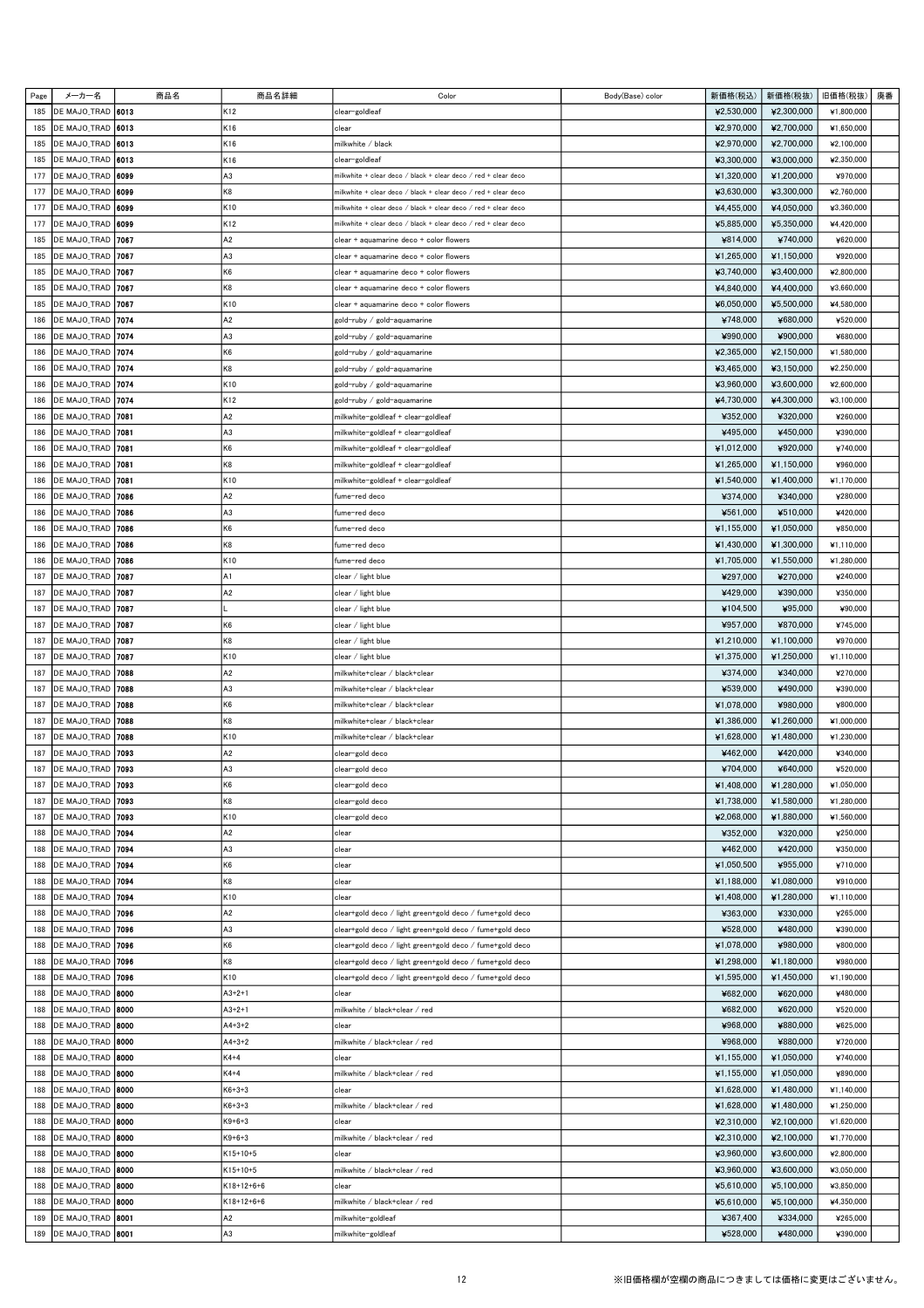| Page       | メーカー名                                  | 商品名          | 商品名詳細                          | Color                                                                              | Body(Base) color | 新価格(税込)                | 新価格(税抜)                | 旧価格(税抜)                | 廃番 |
|------------|----------------------------------------|--------------|--------------------------------|------------------------------------------------------------------------------------|------------------|------------------------|------------------------|------------------------|----|
| 185        | DE MAJO_TRAD   6013                    |              | K12                            | clear-goldleaf                                                                     |                  | ¥2,530,000             | ¥2,300,000             | ¥1.800.000             |    |
| 185        | DE MAJO_TRAD                           | 6013         | K16                            | clear                                                                              |                  | ¥2,970,000             | ¥2,700,000             | ¥1,650,000             |    |
| 185        | DE MAJO_TRAD   6013                    |              | K16                            | milkwhite / black                                                                  |                  | ¥2,970,000             | ¥2,700,000             | ¥2,100,000             |    |
| 185        | DE MAJO_TRAD                           | 6013         | K16                            | clear-goldleaf                                                                     |                  | ¥3,300,000             | ¥3,000,000             | ¥2,350,000             |    |
| 177        | DE MAJO_TRAD                           | 6099         | A <sub>3</sub>                 | milkwhite + clear deco / black + clear deco / red + clear deco                     |                  | ¥1,320,000             | ¥1,200,000             | ¥970,000               |    |
| 177        | DE MAJO_TRAD                           | 6099         | K8                             | nilkwhite + clear deco / black + clear deco / red + clear deco                     |                  | ¥3,630,000             | ¥3,300,000             | ¥2,760,000             |    |
| 177        | DE MAJO_TRAD                           | 6099<br>6099 | K10                            | nilkwhite + clear deco / black + clear deco / red + clear deco                     |                  | ¥4,455,000             | ¥4,050,000             | ¥3,360,000             |    |
| 177<br>185 | DE MAJO_TRAD<br>DE MAJO_TRAD           | 7067         | K12<br>A <sub>2</sub>          | nilkwhite + clear deco / black + clear deco / red + clear deco                     |                  | ¥5,885,000<br>¥814,000 | ¥5,350,000<br>¥740,000 | ¥4,420,000<br>¥620,000 |    |
| 185        | DE MAJO_TRAD                           | 7067         | A <sub>3</sub>                 | clear + aquamarine deco + color flowers<br>clear + aquamarine deco + color flowers |                  | ¥1,265,000             | ¥1,150,000             | ¥920,000               |    |
| 185        | DE MAJO_TRAD                           | 7067         | K6                             | clear + aquamarine deco + color flowers                                            |                  | ¥3,740,000             | ¥3,400,000             | ¥2,800,000             |    |
| 185        | DE MAJO_TRAD                           | 7067         | K8                             | clear + aquamarine deco + color flowers                                            |                  | ¥4,840,000             | ¥4,400,000             | ¥3,660,000             |    |
| 185        | DE MAJO_TRAD                           | 7067         | K10                            | clear + aquamarine deco + color flowers                                            |                  | ¥6,050,000             | ¥5,500,000             | ¥4,580,000             |    |
| 186        | DE MAJO_TRAD                           | 7074         | A <sub>2</sub>                 | gold-ruby / gold-aquamarine                                                        |                  | ¥748,000               | ¥680,000               | ¥520,000               |    |
| 186        | DE MAJO_TRAD                           | 7074         | A3                             | gold-ruby / gold-aquamarine                                                        |                  | ¥990,000               | ¥900,000               | ¥680,000               |    |
| 186        | DE MAJO_TRAD                           | 7074         | K <sub>6</sub>                 | gold-ruby / gold-aquamarine                                                        |                  | ¥2,365,000             | ¥2,150,000             | ¥1,580,000             |    |
| 186        | DE MAJO_TRAD                           | 7074         | K8                             | gold-ruby / gold-aquamarine                                                        |                  | ¥3,465,000             | ¥3,150,000             | ¥2,250,000             |    |
| 186        | DE MAJO_TRAD                           | 7074         | K10                            | gold-ruby / gold-aquamarine                                                        |                  | ¥3,960,000             | ¥3,600,000             | ¥2,600,000             |    |
| 186        | DE MAJO_TRAD                           | 7074         | K12                            | gold-ruby / gold-aquamarine                                                        |                  | ¥4,730,000             | ¥4,300,000             | ¥3,100,000             |    |
| 186        | DE MAJO_TRAD                           | 7081         | A <sub>2</sub>                 | milkwhite-goldleaf + clear-goldleaf                                                |                  | ¥352,000               | ¥320,000               | ¥260,000               |    |
| 186        | DE MAJO_TRAD                           | 7081         | A <sub>3</sub>                 | milkwhite-goldleaf + clear-goldleaf                                                |                  | ¥495,000               | ¥450,000               | ¥390,000               |    |
| 186        | DE MAJO_TRAD                           | 7081         | K <sub>6</sub>                 | milkwhite-goldleaf + clear-goldleaf                                                |                  | ¥1.012.000             | ¥920,000               | ¥740,000               |    |
| 186        | DE MAJO_TRAD                           | 7081         | K8                             | milkwhite-goldleaf + clear-goldleaf                                                |                  | ¥1,265,000             | ¥1,150,000             | ¥960,000               |    |
| 186        | DE MAJO_TRAD                           | 7081         | K10                            | milkwhite-goldleaf + clear-goldleaf                                                |                  | ¥1,540,000             | ¥1,400,000             | ¥1,170,000             |    |
| 186        | DE MAJO_TRAD                           | 7086         | A <sub>2</sub>                 | fume-red deco                                                                      |                  | ¥374,000               | ¥340,000               | ¥280,000               |    |
| 186        | DE MAJO_TRAD                           | 7086         | A <sub>3</sub>                 | fume–red deco                                                                      |                  | ¥561,000               | ¥510,000               | ¥420,000               |    |
| 186        | DE MAJO_TRAD                           | 7086         | K <sub>6</sub>                 | fume-red deco                                                                      |                  | ¥1,155,000             | ¥1,050,000             | ¥850,000               |    |
| 186        | DE MAJO_TRAD   7086                    |              | K8                             | fume-red deco                                                                      |                  | ¥1,430,000             | ¥1,300,000             | ¥1,110,000             |    |
| 186        | DE MAJO_TRAD                           | 7086         | K10                            | fume-red deco                                                                      |                  | ¥1,705,000             | ¥1,550,000             | ¥1,280,000             |    |
| 187        | DE MAJO_TRAD                           | 7087         | A <sub>1</sub>                 | clear / light blue                                                                 |                  | ¥297,000               | ¥270,000               | ¥240,000               |    |
| 187        | DE MAJO_TRAD                           | 7087         | A <sub>2</sub>                 | clear / light blue                                                                 |                  | ¥429,000               | ¥390,000               | ¥350,000               |    |
| 187        | DE MAJO_TRAD                           | 7087         |                                | clear / light blue                                                                 |                  | ¥104,500               | ¥95,000                | ¥90,000                |    |
| 187        | DE MAJO_TRAD                           | 7087         | K <sub>6</sub>                 | clear / light blue                                                                 |                  | ¥957,000               | ¥870,000               | ¥745,000               |    |
| 187        | DE MAJO_TRAD                           | 7087         | K8                             | clear / light blue                                                                 |                  | ¥1,210,000             | ¥1,100,000             | ¥970,000               |    |
| 187        | DE MAJO_TRAD                           | 7087         | K10                            | clear / light blue                                                                 |                  | ¥1,375,000             | ¥1,250,000             | ¥1,110,000             |    |
| 187        | DE MAJO_TRAD                           | 7088         | А2                             | milkwhite+clear / black+clear                                                      |                  | ¥374,000               | ¥340,000               | ¥270,000               |    |
| 187        | DE MAJO_TRAD                           | 7088         | A <sub>3</sub>                 | milkwhite+clear / black+clear                                                      |                  | ¥539,000               | ¥490,000               | ¥390,000               |    |
| 187        | DE MAJO_TRAD                           | 7088         | K <sub>6</sub>                 | milkwhite+clear / black+clear                                                      |                  | ¥1.078.000             | ¥980,000               | ¥800,000               |    |
| 187        | DE MAJO_TRAD                           | 7088         | K8                             | milkwhite+clear / black+clear                                                      |                  | ¥1,386,000             | ¥1,260,000             | ¥1,000,000             |    |
| 187        | DE MAJO_TRAD                           | 7088         | K10                            | nilkwhite+clear ∕ black+clear                                                      |                  | ¥1,628,000             | ¥1,480,000             | ¥1,230,000             |    |
| 187        | DE MAJO_TRAD                           | 7093         | A <sub>2</sub>                 | clear-gold deco                                                                    |                  | ¥462,000               | ¥420,000               | ¥340,000               |    |
| 187<br>187 | DE MAJO_TRAD<br>DE MAJO_TRAD 7093      | 7093         | A <sub>3</sub>                 | clear-gold deco                                                                    |                  | ¥704,000<br>¥1,408,000 | ¥640,000<br>¥1,280,000 | ¥520,000<br>¥1,050,000 |    |
| 187        | DE MAJO_TRAD   7093                    |              | Kb<br>K8                       | clear-gold deco<br>clear-gold deco                                                 |                  | ¥1,738,000             | ¥1,580,000             | ¥1,280,000             |    |
| 187        | DE MAJO_TRAD 7093                      |              | K10                            | clear-gold deco                                                                    |                  | ¥2,068,000             | ¥1,880,000             | ¥1,560,000             |    |
| 188        | DE MAJO_TRAD   7094                    |              | A <sub>2</sub>                 | clear                                                                              |                  | ¥352,000               | ¥320,000               | ¥250,000               |    |
| 188        | DE MAJO_TRAD   7094                    |              | A <sub>3</sub>                 | clear                                                                              |                  | ¥462,000               | ¥420,000               | ¥350,000               |    |
| 188        | DE MAJO_TRAD   7094                    |              | K <sub>6</sub>                 | clear                                                                              |                  | ¥1,050,500             | ¥955,000               | ¥710,000               |    |
| 188        | DE MAJO_TRAD                           | 7094         | K8                             | clear                                                                              |                  | ¥1,188,000             | ¥1,080,000             | ¥910,000               |    |
| 188        | DE MAJO_TRAD   7094                    |              | K10                            | clear                                                                              |                  | ¥1,408,000             | ¥1,280,000             | ¥1,110,000             |    |
| 188        | DE MAJO_TRAD 7096                      |              | А2                             | clear+gold deco / light green+gold deco / fume+gold deco                           |                  | ¥363,000               | ¥330,000               | ¥265,000               |    |
| 188        | DE MAJO_TRAD                           | 7096         | A <sub>3</sub>                 | clear+gold deco / light green+gold deco / fume+gold deco                           |                  | ¥528,000               | ¥480,000               | ¥390,000               |    |
| 188        | DE MAJO_TRAD 7096                      |              | K <sub>6</sub>                 | clear+gold deco / light green+gold deco / fume+gold deco                           |                  | ¥1,078,000             | ¥980,000               | ¥800,000               |    |
| 188        | DE MAJO_TRAD                           | 7096         | K8                             | clear+gold deco / light green+gold deco / fume+gold deco                           |                  | ¥1,298,000             | ¥1,180,000             | ¥980,000               |    |
| 188        | DE MAJO_TRAD   7096                    |              | K10                            | clear+gold deco / light green+gold deco / fume+gold deco                           |                  | ¥1,595,000             | ¥1,450,000             | ¥1,190,000             |    |
| 188        | DE MAJO_TRAD                           | 8000         | $A3+2+1$                       | clear                                                                              |                  | ¥682,000               | ¥620,000               | ¥480,000               |    |
| 188        | DE MAJO_TRAD 8000                      |              | $A3+2+1$                       | milkwhite / black+clear / red                                                      |                  | ¥682,000               | ¥620,000               | ¥520,000               |    |
| 188        | DE MAJO_TRAD 8000                      |              | $A4 + 3 + 2$                   | clear                                                                              |                  | ¥968,000               | ¥880,000               | ¥625,000               |    |
| 188        | DE MAJO_TRAD 8000                      |              | $A4 + 3 + 2$                   | milkwhite / black+clear / red                                                      |                  | ¥968,000               | ¥880,000               | ¥720,000               |    |
| 188        | DE MAJO_TRAD 8000                      |              | $K4+4$                         | clear                                                                              |                  | ¥1,155,000             | ¥1,050,000             | ¥740,000               |    |
| 188        | DE MAJO_TRAD 8000                      |              | $K4+4$                         | milkwhite / black+clear / red                                                      |                  | ¥1,155,000             | ¥1,050,000             | ¥890,000               |    |
| 188        | DE MAJO_TRAD 8000                      |              | $K6 + 3 + 3$                   | clear                                                                              |                  | ¥1,628,000             | ¥1,480,000             | ¥1,140,000             |    |
| 188        | DE MAJO_TRAD                           | 8000         | $K6 + 3 + 3$                   | milkwhite / black+clear / red                                                      |                  | ¥1,628,000             | ¥1,480,000             | ¥1,250,000             |    |
| 188        | DE MAJO_TRAD 8000                      |              | $K9+6+3$                       | clear                                                                              |                  | ¥2,310,000             | ¥2,100,000             | ¥1,620,000             |    |
| 188        | DE MAJO_TRAD                           | 8000         | $K9+6+3$                       | milkwhite / black+clear / red                                                      |                  | ¥2,310,000             | ¥2,100,000             | ¥1,770,000             |    |
| 188        | DE MAJO_TRAD 8000                      |              | $K15+10+5$                     | clear                                                                              |                  | ¥3,960,000             | ¥3,600,000             | ¥2,800,000             |    |
| 188        | DE MAJO_TRAD 8000                      |              | $K15+10+5$                     | milkwhite / black+clear / red                                                      |                  | ¥3,960,000             | ¥3,600,000             | ¥3,050,000             |    |
| 188        | DE MAJO_TRAD   8000                    |              | $K18+12+6+6$                   | clear                                                                              |                  | ¥5,610,000             | ¥5,100,000             | ¥3,850,000             |    |
| 188<br>189 | DE MAJO_TRAD 8000<br>DE MAJO_TRAD 8001 |              | $K18+12+6+6$<br>A <sub>2</sub> | milkwhite / black+clear / red<br>milkwhite-goldleaf                                |                  | ¥5,610,000<br>¥367,400 | ¥5,100,000<br>¥334,000 | ¥4,350,000<br>¥265,000 |    |
| 189        | DE MAJO_TRAD 8001                      |              | A <sub>3</sub>                 | milkwhite-goldleaf                                                                 |                  | ¥528,000               | ¥480,000               | ¥390,000               |    |
|            |                                        |              |                                |                                                                                    |                  |                        |                        |                        |    |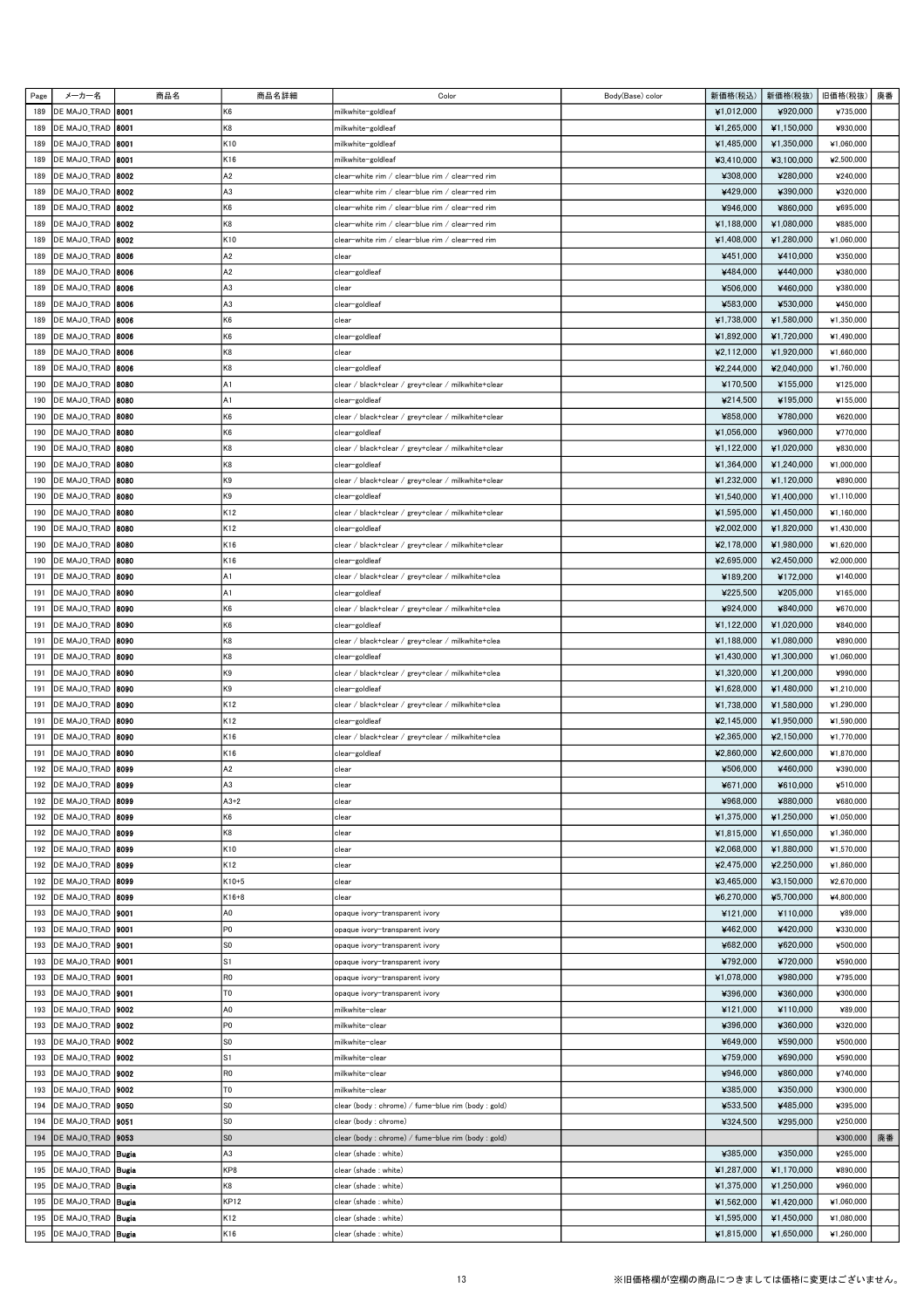| Page | メーカー名                     | 商品名  | 商品名詳細          | Color                                              | Body(Base) color | 新価格(税込)    | 新価格(税抜)    | 旧価格(税抜)    | 廃番 |
|------|---------------------------|------|----------------|----------------------------------------------------|------------------|------------|------------|------------|----|
| 189  | DE MAJO_TRAD              | 8001 | K6             | milkwhite-goldleaf                                 |                  | ¥1,012,000 | ¥920,000   | ¥735,000   |    |
|      |                           |      |                |                                                    |                  |            |            |            |    |
| 189  | DE MAJO_TRAD              | 8001 | K8             | milkwhite-goldleaf                                 |                  | ¥1,265,000 | ¥1,150,000 | ¥930,000   |    |
| 189  | DE MAJO_TRAD 8001         |      | K10            | milkwhite-goldleaf                                 |                  | ¥1,485,000 | ¥1,350,000 | ¥1,060,000 |    |
| 189  | DE MAJO_TRAD <b>8001</b>  |      | K16            | milkwhite-goldleaf                                 |                  | ¥3,410,000 | ¥3,100,000 | ¥2,500,000 |    |
| 189  | DE MAJO_TRAD 8002         |      | A2             | clear-white rim / clear-blue rim / clear-red rim   |                  | ¥308,000   | ¥280,000   | ¥240,000   |    |
| 189  | DE MAJO_TRAD              | 8002 | A3             | clear-white rim / clear-blue rim / clear-red rim   |                  | ¥429,000   | ¥390,000   | ¥320,000   |    |
|      |                           |      |                |                                                    |                  |            |            |            |    |
| 189  | DE MAJO_TRAD 8002         |      | K6             | clear-white rim / clear-blue rim / clear-red rim   |                  | ¥946,000   | ¥860,000   | ¥695,000   |    |
| 189  | DE MAJO_TRAD              | 8002 | K8             | clear–white rim / clear–blue rim / clear–red rim   |                  | ¥1,188,000 | ¥1,080,000 | ¥885,000   |    |
| 189  | DE MAJO_TRAD              | 8002 | K10            | clear-white rim / clear-blue rim / clear-red rim   |                  | ¥1,408,000 | ¥1,280,000 | ¥1,060,000 |    |
| 189  | DE MAJO_TRAD              | 8006 | A <sub>2</sub> | clear                                              |                  | ¥451,000   | ¥410,000   | ¥350,000   |    |
| 189  | DE MAJO_TRAD 8006         |      | A <sub>2</sub> | clear-goldleaf                                     |                  | ¥484,000   | ¥440,000   | ¥380,000   |    |
|      |                           |      |                |                                                    |                  |            |            |            |    |
| 189  | DE MAJO_TRAD 8006         |      | A <sub>3</sub> | clear                                              |                  | ¥506,000   | ¥460,000   | ¥380,000   |    |
| 189  | DE MAJO_TRAD 8006         |      | A3             | clear-goldleaf                                     |                  | ¥583,000   | ¥530,000   | ¥450,000   |    |
| 189  | DE MAJO_TRAD 8006         |      | K6             | clear                                              |                  | ¥1,738,000 | ¥1,580,000 | ¥1,350,000 |    |
| 189  | DE MAJO_TRAD              | 8006 | K6             | clear-goldleaf                                     |                  | ¥1,892,000 | ¥1,720,000 | ¥1,490,000 |    |
| 189  | DE MAJO_TRAD 8006         |      | K8             | clear                                              |                  | ¥2,112,000 | ¥1,920,000 | ¥1,660,000 |    |
|      |                           |      |                |                                                    |                  |            |            |            |    |
| 189  | DE MAJO_TRAD              | 8006 | K8             | clear-goldleaf                                     |                  | ¥2,244,000 | ¥2,040,000 | ¥1,760,000 |    |
| 190  | DE MAJO_TRAD              | 8080 | A1             | clear / black+clear / grey+clear / milkwhite+clear |                  | ¥170,500   | ¥155,000   | ¥125,000   |    |
| 190  | DE MAJO_TRAD              | 8080 | A1             | clear-goldleaf                                     |                  | ¥214,500   | ¥195,000   | ¥155,000   |    |
| 190  | DE MAJO_TRAD 8080         |      | K6             | clear / black+clear / grey+clear / milkwhite+clear |                  | ¥858,000   | ¥780,000   | ¥620,000   |    |
| 190  | DE MAJO_TRAD 8080         |      | K6             | clear-goldleaf                                     |                  | ¥1,056,000 | ¥960,000   | ¥770,000   |    |
|      | DE MAJO_TRAD   8080       |      | K8             |                                                    |                  |            | ¥1.020.000 | ¥830,000   |    |
| 190  |                           |      |                | clear / black+clear / grey+clear / milkwhite+clear |                  | ¥1,122,000 |            |            |    |
| 190  | DE MAJO_TRAD              | 8080 | K8             | clear-goldleaf                                     |                  | ¥1,364,000 | ¥1,240,000 | ¥1,000,000 |    |
| 190  | DE MAJO_TRAD              | 8080 | K9             | clear / black+clear / grey+clear / milkwhite+clear |                  | ¥1,232,000 | ¥1,120,000 | ¥890,000   |    |
| 190  | DE MAJO_TRAD 8080         |      | K9             | clear-goldleaf                                     |                  | ¥1,540,000 | ¥1,400,000 | ¥1,110,000 |    |
| 190  | DE MAJO_TRAD              | 8080 | K12            | clear / black+clear / grey+clear / milkwhite+clear |                  | ¥1,595,000 | ¥1,450,000 | ¥1,160,000 |    |
|      |                           |      |                |                                                    |                  |            |            |            |    |
| 190  | DE MAJO_TRAD              | 8080 | K12            | clear-goldleaf                                     |                  | ¥2,002,000 | ¥1,820,000 | ¥1,430,000 |    |
| 190  | DE MAJO_TRAD 8080         |      | K16            | clear / black+clear / grey+clear / milkwhite+clear |                  | ¥2,178,000 | ¥1,980,000 | ¥1,620,000 |    |
| 190  | DE MAJO_TRAD <b>8080</b>  |      | K16            | clear-goldleaf                                     |                  | ¥2,695,000 | ¥2,450,000 | ¥2,000,000 |    |
| 191  | DE MAJO_TRAD 8090         |      | A1             | clear / black+clear / grey+clear / milkwhite+clea  |                  | ¥189,200   | ¥172,000   | ¥140,000   |    |
| 191  | DE MAJO_TRAD              | 8090 | A1             | clear-goldleaf                                     |                  | ¥225,500   | ¥205,000   | ¥165,000   |    |
| 191  | DE MAJO_TRAD 8090         |      | K6             |                                                    |                  | ¥924,000   | ¥840,000   | ¥670,000   |    |
|      |                           |      |                | clear / black+clear / grey+clear / milkwhite+clea  |                  |            |            |            |    |
| 191  | DE MAJO_TRAD              | 8090 | K6             | clear-goldleaf                                     |                  | ¥1,122,000 | ¥1,020,000 | ¥840,000   |    |
| 191  | DE MAJO_TRAD              | 8090 | K8             | clear / black+clear / grey+clear / milkwhite+clea  |                  | ¥1,188,000 | ¥1,080,000 | ¥890,000   |    |
| 191  | DE MAJO_TRAD              | 8090 | K8             | clear-goldleaf                                     |                  | ¥1,430,000 | ¥1,300,000 | ¥1,060,000 |    |
| 191  | DE MAJO_TRAD              | 8090 | K9             | clear / black+clear / grey+clear / milkwhite+clea  |                  | ¥1,320,000 | ¥1,200,000 | ¥990,000   |    |
| 191  | DE MAJO_TRAD 8090         |      | K9             | clear-goldleaf                                     |                  | ¥1,628,000 | ¥1,480,000 | ¥1,210,000 |    |
|      |                           |      |                |                                                    |                  |            |            |            |    |
| 191  | DE MAJO_TRAD 8090         |      | K12            | clear / black+clear / grey+clear / milkwhite+clea  |                  | ¥1,738,000 | ¥1,580,000 | ¥1,290,000 |    |
| 191  | DE MAJO_TRAD 8090         |      | K12            | clear-goldleaf                                     |                  | ¥2,145,000 | ¥1,950,000 | ¥1,590,000 |    |
| 191  | DE MAJO_TRAD              | 8090 | K16            | clear / black+clear / grey+clear / milkwhite+clea  |                  | ¥2,365,000 | ¥2,150,000 | ¥1,770,000 |    |
| 191  | DE MAJO_TRAD              | 8090 | K16            | clear-goldleaf                                     |                  | ¥2,860,000 | ¥2,600,000 | ¥1,870,000 |    |
| 192  | DE MAJO_TRAD 8099         |      | A <sub>2</sub> | clear                                              |                  | ¥506,000   | ¥460,000   | ¥390,000   |    |
|      | 192   DE MAJO_TRAD   8099 |      |                |                                                    |                  |            | ¥610,000   |            |    |
|      |                           |      | A3             | clear                                              |                  | ¥671,000   |            | ¥510,000   |    |
| 192  | DE MAJO_TRAD 8099         |      | $A3+2$         | clear                                              |                  | ¥968,000   | ¥880,000   | ¥680,000   |    |
| 192  | DE MAJO_TRAD 8099         |      | K6             | clear                                              |                  | ¥1,375,000 | ¥1,250,000 | ¥1,050,000 |    |
|      | 192 DE MAJO_TRAD 8099     |      | K8             | clear                                              |                  | ¥1,815,000 | ¥1,650,000 | ¥1,360,000 |    |
| 192  | DE MAJO_TRAD 8099         |      | K10            | clear                                              |                  | ¥2,068,000 | ¥1,880,000 | ¥1,570,000 |    |
| 192  | DE MAJO_TRAD 8099         |      | K12            | clear                                              |                  | ¥2,475,000 | ¥2,250,000 | ¥1,860,000 |    |
|      |                           |      |                |                                                    |                  |            |            |            |    |
| 192  | DE MAJO_TRAD 8099         |      | $K10+5$        | clear                                              |                  | ¥3,465,000 | ¥3,150,000 | ¥2,670,000 |    |
| 192  | DE MAJO_TRAD 8099         |      | $K16+8$        | clear                                              |                  | ¥6,270,000 | ¥5,700,000 | ¥4,800,000 |    |
| 193  | DE MAJO_TRAD <b>9001</b>  |      | A0             | opaque ivory-transparent ivory                     |                  | ¥121,000   | ¥110,000   | ¥89,000    |    |
| 193  | DE MAJO_TRAD   9001       |      | P <sub>0</sub> | opaque ivory-transparent ivory                     |                  | ¥462,000   | ¥420,000   | ¥330,000   |    |
| 193  | DE MAJO_TRAD  9001        |      | S0             | opaque ivory-transparent ivory                     |                  | ¥682,000   | ¥620,000   | ¥500,000   |    |
|      | DE MAJO_TRAD  9001        |      | S1             |                                                    |                  |            |            | ¥590,000   |    |
| 193  |                           |      |                | opaque ivory-transparent ivory                     |                  | ¥792,000   | ¥720,000   |            |    |
| 193  | DE MAJO_TRAD   9001       |      | R <sub>0</sub> | opaque ivory-transparent ivory                     |                  | ¥1,078,000 | ¥980,000   | ¥795,000   |    |
| 193  | DE MAJO_TRAD   9001       |      | T <sub>0</sub> | opaque ivory-transparent ivory                     |                  | ¥396,000   | ¥360,000   | ¥300,000   |    |
| 193  | DE MAJO_TRAD   9002       |      | A <sub>0</sub> | milkwhite-clear                                    |                  | ¥121,000   | ¥110,000   | ¥89,000    |    |
| 193  | DE MAJO_TRAD   9002       |      | P <sub>0</sub> | milkwhite-clear                                    |                  | ¥396,000   | ¥360,000   | ¥320,000   |    |
| 193  | DE MAJO_TRAD <b>9002</b>  |      | lso            | milkwhite-clear                                    |                  | ¥649,000   | ¥590,000   | ¥500,000   |    |
|      |                           |      |                |                                                    |                  |            |            |            |    |
| 193  | DE MAJO_TRAD   9002       |      | ls1            | milkwhite-clear                                    |                  | ¥759,000   | ¥690,000   | ¥590,000   |    |
| 193  | DE MAJO_TRAD  9002        |      | R0             | milkwhite-clear                                    |                  | ¥946,000   | ¥860,000   | ¥740,000   |    |
| 193  | DE MAJO_TRAD   9002       |      | T <sub>0</sub> | milkwhite-clear                                    |                  | ¥385,000   | ¥350,000   | ¥300,000   |    |
| 194  | DE MAJO_TRAD   9050       |      | S <sub>0</sub> | clear (body: chrome) / fume-blue rim (body: gold)  |                  | ¥533,500   | ¥485,000   | ¥395,000   |    |
| 194  | DE MAJO_TRAD   9051       |      | lso            | clear (body: chrome)                               |                  | ¥324,500   | ¥295,000   | ¥250,000   |    |
|      | DE MAJO_TRAD   9053       |      | S <sub>0</sub> |                                                    |                  |            |            | ¥300,000   | 廃番 |
| 194  |                           |      |                | clear (body: chrome) / fume-blue rim (body: gold)  |                  |            |            |            |    |
| 195  | DE MAJO_TRAD Bugia        |      | A <sub>3</sub> | clear (shade : white)                              |                  | ¥385,000   | ¥350,000   | ¥265,000   |    |
| 195  | DE MAJO_TRAD Bugia        |      | KP8            | clear (shade : white)                              |                  | ¥1,287,000 | ¥1,170,000 | ¥890,000   |    |
| 195  | DE MAJO_TRAD Bugia        |      | K8             | clear (shade : white)                              |                  | ¥1,375,000 | ¥1,250,000 | ¥960,000   |    |
| 195  | DE MAJO_TRAD Bugia        |      | <b>KP12</b>    | clear (shade : white)                              |                  | ¥1,562,000 | ¥1,420,000 | ¥1,060,000 |    |
| 195  | DE MAJO_TRAD Bugia        |      | K12            | clear (shade : white)                              |                  | ¥1,595,000 | ¥1,450,000 | ¥1,080,000 |    |
|      |                           |      |                |                                                    |                  |            |            |            |    |
| 195  | DE MAJO_TRAD Bugia        |      | K16            | clear (shade: white)                               |                  | ¥1,815,000 | ¥1,650,000 | ¥1,260,000 |    |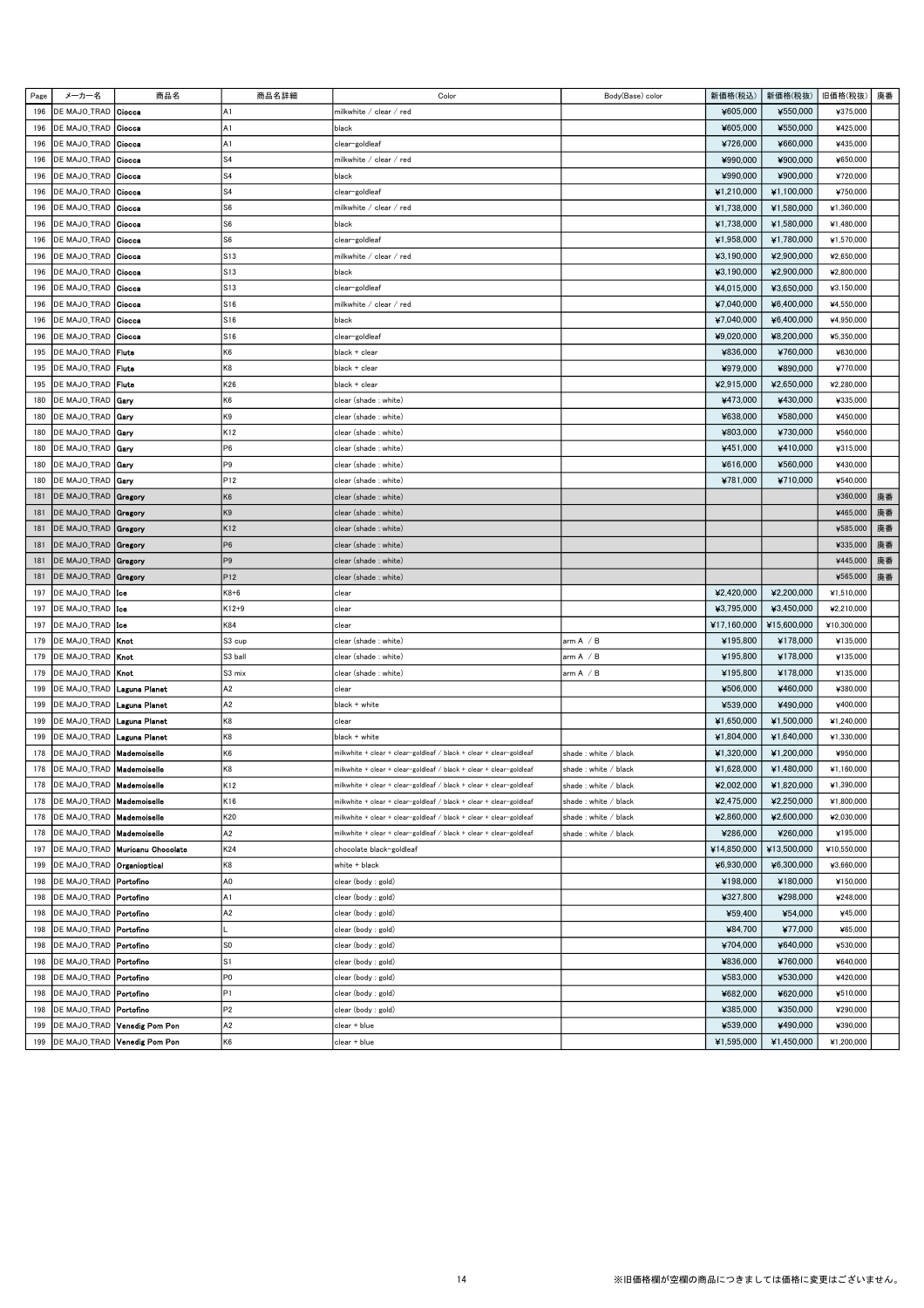| Page | メーカー名                             | 商品名                             | 商品名詳細           | Color                                                               | Body(Base) color      | 新価格(税込)     | 新価格(税抜)     | 旧価格(税抜)     | 廃番 |
|------|-----------------------------------|---------------------------------|-----------------|---------------------------------------------------------------------|-----------------------|-------------|-------------|-------------|----|
| 196  | DE MAJO_TRAD                      | Ciocca                          | IA1             | milkwhite / clear / red                                             |                       | ¥605,000    | ¥550,000    | ¥375,000    |    |
| 196  | DE MAJO_TRAD                      | Ciocca                          | A1              | black                                                               |                       | ¥605,000    | ¥550,000    | ¥425,000    |    |
| 196  | DE MAJO_TRAD                      | <b>Ciocca</b>                   | IA1             | clear-goldleaf                                                      |                       | ¥726,000    | ¥660,000    | ¥435,000    |    |
| 196  | DE MAJO_TRAD   Ciocca             |                                 | S <sub>4</sub>  | milkwhite / clear / red                                             |                       | ¥990,000    | ¥900,000    | ¥650,000    |    |
| 196  | DE MAJO_TRAD   Ciocca             |                                 | S <sub>4</sub>  | black                                                               |                       | ¥990,000    | ¥900,000    | ¥720,000    |    |
| 196  | DE MAJO_TRAD <b>  Ciocca</b>      |                                 | S <sub>4</sub>  | clear-goldleaf                                                      |                       | ¥1,210,000  | ¥1,100,000  | ¥750,000    |    |
|      |                                   |                                 |                 |                                                                     |                       |             |             |             |    |
| 196  | DE MAJO_TRAD                      | Ciocca                          | S6              | milkwhite ∕ clear ⁄ red                                             |                       | ¥1,738,000  | ¥1,580,000  | ¥1,360,000  |    |
| 196  | DE MAJO_TRAD                      | Ciocca                          | S <sub>6</sub>  | olack                                                               |                       | ¥1,738,000  | ¥1,580,000  | ¥1,480,000  |    |
| 196  | DE MAJO_TRAD                      | Ciocca                          | S <sub>6</sub>  | clear-goldleaf                                                      |                       | ¥1,958,000  | ¥1,780,000  | ¥1,570,000  |    |
| 196  | DE MAJO_TRAD                      | Ciocca                          | S <sub>13</sub> | milkwhite ∕ clear ⁄ red                                             |                       | ¥3,190,000  | ¥2,900,000  | ¥2,650,000  |    |
| 196  | DE MAJO_TRAD                      | Ciocca                          | S <sub>13</sub> | olack                                                               |                       | ¥3,190,000  | ¥2,900,000  | ¥2,800,000  |    |
| 196  | DE MAJO_TRAD   Ciocca             |                                 | S <sub>13</sub> | clear-goldleaf                                                      |                       | ¥4,015,000  | ¥3,650,000  | ¥3,150,000  |    |
| 196  | DE MAJO_TRAD   Ciocca             |                                 | S16             | milkwhite / clear / red                                             |                       | ¥7,040,000  | ¥6,400,000  | ¥4,550,000  |    |
| 196  | DE MAJO_TRAD   Ciocca             |                                 | S16             | black                                                               |                       | ¥7,040,000  | ¥6,400,000  | ¥4,950,000  |    |
| 196  | DE MAJO_TRAD   Ciocca             |                                 | S16             | clear-goldleaf                                                      |                       | ¥9,020,000  | ¥8,200,000  | ¥5,350,000  |    |
| 195  | DE MAJO_TRAD                      | Flute                           | K <sub>6</sub>  | black + clear                                                       |                       | ¥836,000    | ¥760,000    | ¥630,000    |    |
| 195  | DE MAJO_TRAD                      | Flute                           | K8              | olack + clear                                                       |                       | ¥979,000    | ¥890,000    | ¥770,000    |    |
| 195  | DE MAJO_TRAD                      | Flute                           | K26             | olack + clear                                                       |                       | ¥2,915,000  | ¥2,650,000  | ¥2,280,000  |    |
| 180  | DE MAJO_TRAD Gary                 |                                 | K6              | slear (shade : white)                                               |                       | ¥473,000    | ¥430,000    | ¥335,000    |    |
| 180  | DE MAJO_TRAD Gary                 |                                 | K9              | clear (shade : white)                                               |                       | ¥638,000    | ¥580,000    | ¥450,000    |    |
| 180  | DE MAJO_TRAD Gary                 |                                 | K12             | clear (shade : white)                                               |                       | ¥803,000    | ¥730,000    | ¥560,000    |    |
| 180  | DE MAJO_TRAD Gary                 |                                 | P <sub>6</sub>  | clear (shade : white)                                               |                       | ¥451,000    | ¥410,000    | ¥315,000    |    |
| 180  | DE MAJO_TRAD   Gary               |                                 | P <sub>9</sub>  | clear (shade : white)                                               |                       | ¥616,000    | ¥560,000    | ¥430,000    |    |
| 180  | DE MAJO_TRAD                      | Gary                            | P12             | clear (shade : white)                                               |                       | ¥781,000    | ¥710,000    | ¥540,000    |    |
|      |                                   |                                 |                 |                                                                     |                       |             |             |             |    |
| 181  | DE MAJO_TRAD                      | Gregory                         | K <sub>6</sub>  | clear (shade : white)                                               |                       |             |             | ¥360,000    | 廃番 |
| 181  | DE MAJO_TRAD                      | Gregory                         | K9              | slear (shade : white)                                               |                       |             |             | ¥465,000    | 廃番 |
| 181  | DE MAJO_TRAD                      | Gregory                         | K12             | clear (shade : white)                                               |                       |             |             | ¥585,000    | 廃番 |
| 181  | DE MAJO_TRAD                      | Gregory                         | P <sub>6</sub>  | clear (shade : white)                                               |                       |             |             | ¥335,000    | 廃番 |
| 181  | DE MAJO_TRAD Gregory              |                                 | P <sub>9</sub>  | clear (shade : white)                                               |                       |             |             | ¥445,000    | 廃番 |
| 181  | DE MAJO_TRAD Gregory              |                                 | P12             | clear (shade : white)                                               |                       |             |             | ¥565,000    | 廃番 |
| 197  | DE MAJO_TRAD   Ice                |                                 | $K8+6$          | clear                                                               |                       | ¥2,420,000  | ¥2,200,000  | ¥1,510,000  |    |
| 197  | DE MAJO_TRAD   Ice                |                                 | $K12+9$         | clear                                                               |                       | ¥3,795,000  | ¥3,450,000  | ¥2,210,000  |    |
| 197  | DE MAJO_TRAD   Ice                |                                 | K84             | clear                                                               |                       | ¥17,160,000 | ¥15,600,000 | ¥10,300,000 |    |
| 179  | DE MAJO_TRAD   Knot               |                                 | S3 cup          | clear (shade : white)                                               | arm $A / B$           | ¥195,800    | ¥178,000    | ¥135,000    |    |
| 179  | DE MAJO_TRAD                      | Knot                            | S3 ball         | clear (shade : white)                                               | arm A ⁄B              | ¥195,800    | ¥178,000    | ¥135,000    |    |
| 179  | DE MAJO_TRAD                      | Knot                            | S3 mix          | clear (shade : white)                                               | arm A ⁄B              | ¥195,800    | ¥178,000    | ¥135,000    |    |
| 199  | DE MAJO_TRAD   Laguna Planet      |                                 | A <sub>2</sub>  | clear                                                               |                       | ¥506,000    | ¥460,000    | ¥380,000    |    |
| 199  | DE MAJO_TRAD   Laguna Planet      |                                 | A <sub>2</sub>  | plack + white                                                       |                       | ¥539,000    | ¥490,000    | ¥400,000    |    |
| 199  | DE MAJO_TRAD   Laguna Planet      |                                 | K8              | clear                                                               |                       | ¥1,650,000  | ¥1,500,000  | ¥1,240,000  |    |
| 199  | DE MAJO_TRAD                      | Laguna Planet                   | K8              | black + white                                                       |                       | ¥1,804,000  | ¥1,640,000  | ¥1,330,000  |    |
| 178  | DE MAJO_TRAD                      | Mademoiselle                    | K <sub>6</sub>  | nilkwhite + clear + clear-goldleaf / black + clear + clear-goldleaf | shade : white / black | ¥1,320,000  | ¥1,200,000  | ¥950,000    |    |
| 178  | DE MAJO_TRAD                      | Madomoisollo                    | K8              | nilkwhite + clear + clear-goldleaf / black + clear + clear-goldleaf | shade : white / black | ¥1,628,000  | ¥1,480,000  | ¥1,160,000  |    |
|      | 178   DE MAJO_TRAD   Mademoiselle |                                 |                 |                                                                     |                       | ¥2,002,000  | ¥1,820,000  | ¥1,390,000  |    |
|      |                                   |                                 | K12             | nilkwhite + clear + clear-goldleaf / black + clear + clear-goldleaf | shade: white / black  |             | ¥2,250,000  |             |    |
|      | 178   DE MAJO_TRAD   Mademoiselle |                                 | K16             | nilkwhite + clear + clear-goldleaf / black + clear + clear-goldleaf | shade : white / black | ¥2,475,000  |             | ¥1,800,000  |    |
|      | 178   DE MAJO_TRAD   Mademoiselle |                                 | K20             | milkwhite + clear + clear-goldleaf / black + clear + clear-goldleaf | shade: white / black  | ¥2,860,000  | ¥2,600,000  | ¥2,030,000  |    |
|      | 178   DE MAJO_TRAD   Mademoiselle |                                 | A <sub>2</sub>  | milkwhite + clear + clear-goldleaf / black + clear + clear-goldleaf | shade: white / black  | ¥286,000    | ¥260,000    | ¥195,000    |    |
| 197  |                                   | DE MAJO_TRAD Muricanu Chocolate | K24             | chocolate black-goldleaf                                            |                       | ¥14,850,000 | ¥13,500,000 | ¥10,550,000 |    |
| 199  | DE MAJO_TRAD <b>Organioptical</b> |                                 | K8              | white + black                                                       |                       | ¥6,930,000  | ¥6,300,000  | ¥3,660,000  |    |
| 198  | <b>DE MAJO TRAD Portofino</b>     |                                 | A <sub>0</sub>  | clear (body : gold)                                                 |                       | ¥198,000    | ¥180,000    | ¥150,000    |    |
| 198  | DE MAJO_TRAD   Portofino          |                                 | A1              | clear (body : gold)                                                 |                       | ¥327,800    | ¥298,000    | ¥248,000    |    |
| 198  | DE MAJO_TRAD   Portofino          |                                 | A <sub>2</sub>  | clear (body : gold)                                                 |                       | ¥59,400     | ¥54,000     | ¥45,000     |    |
| 198  | DE MAJO_TRAD <b>Portofino</b>     |                                 |                 | clear (body : gold)                                                 |                       | ¥84,700     | ¥77,000     | ¥65,000     |    |
| 198  | DE MAJO_TRAD Portofino            |                                 | S0              | clear (body : gold)                                                 |                       | ¥704,000    | ¥640,000    | ¥530,000    |    |
| 198  | DE MAJO_TRAD   Portofino          |                                 | S1              | clear (body : gold)                                                 |                       | ¥836,000    | ¥760,000    | ¥640,000    |    |
| 198  | DE MAJO_TRAD Portofino            |                                 | P <sub>0</sub>  | clear (body: gold)                                                  |                       | ¥583,000    | ¥530,000    | ¥420,000    |    |
| 198  | DE MAJO_TRAD   Portofino          |                                 | P1              | clear (body : gold)                                                 |                       | ¥682,000    | ¥620,000    | ¥510,000    |    |
| 198  | DE MAJO_TRAD   Portofino          |                                 | P <sub>2</sub>  | clear (body : gold)                                                 |                       | ¥385,000    | ¥350,000    | ¥290,000    |    |
| 199  |                                   | DE MAJO_TRAD Venedig Pom Pon    | A <sub>2</sub>  | clear + blue                                                        |                       | ¥539,000    | ¥490,000    | ¥390,000    |    |
| 199  |                                   | DE MAJO_TRAD Venedig Pom Pon    | K6              | clear + blue                                                        |                       | ¥1,595,000  | ¥1,450,000  | ¥1,200,000  |    |
|      |                                   |                                 |                 |                                                                     |                       |             |             |             |    |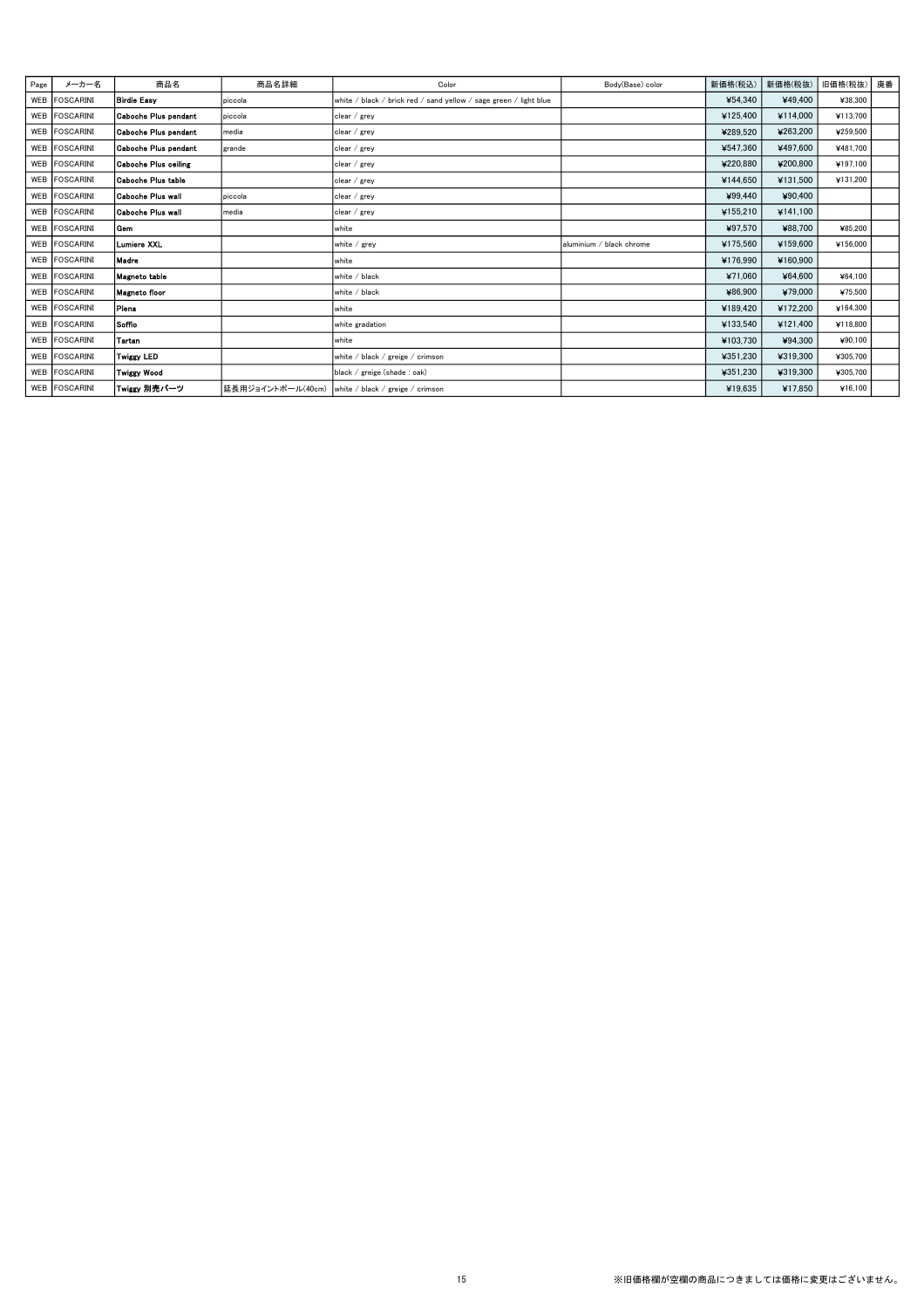| Page | メーカー名                 | 商品名                  | 商品名詳細             | Color                                                             | Body(Base) color         | 新価格(税込)  | 新価格(税抜)  | 旧価格(税抜)  | 廃番 |
|------|-----------------------|----------------------|-------------------|-------------------------------------------------------------------|--------------------------|----------|----------|----------|----|
| WEB  | FOSCARINI             | <b>Birdie Easy</b>   | piccola           | white / black / brick red / sand yellow / sage green / light blue |                          | ¥54.340  | ¥49.400  | ¥38,300  |    |
| WEB  | <b>FOSCARINI</b>      | Caboche Plus pendant | piccola           | clear / grey                                                      |                          | ¥125,400 | ¥114,000 | ¥113.700 |    |
| WEB  | <b>FOSCARINI</b>      | Caboche Plus pendant | media             | clear / grey                                                      |                          | ¥289.520 | ¥263.200 | ¥259,500 |    |
| WEB  | FOSCARINI             | Caboche Plus pendant | grande            | clear / grey                                                      |                          | ¥547,360 | ¥497.600 | ¥481,700 |    |
| WEB  | <b>FOSCARINI</b>      | Caboche Plus ceiling |                   | clear / grey                                                      |                          | ¥220.880 | ¥200.800 | ¥197.100 |    |
| WEB  | FOSCARINI             | Caboche Plus table   |                   | clear / grey                                                      |                          | ¥144.650 | ¥131.500 | ¥131,200 |    |
| WEB  | FOSCARINI             | Caboche Plus wall    | piccola           | clear / grey                                                      |                          | ¥99,440  | ¥90.400  |          |    |
| WEB  | <b>FOSCARINI</b>      | Caboche Plus wall    | media             | clear / grey                                                      |                          | ¥155,210 | ¥141.100 |          |    |
| WEB  | <b>FOSCARINI</b>      | l Gem                |                   | white                                                             |                          | ¥97,570  | ¥88.700  | ¥85.200  |    |
| WEB  | <b>FOSCARINI</b>      | <b>Lumiere XXL</b>   |                   | white / grey                                                      | aluminium / black chrome | ¥175,560 | ¥159.600 | ¥156,000 |    |
|      | WEB <b>IFOSCARINI</b> | Madre                |                   | white                                                             |                          | ¥176.990 | ¥160.900 |          |    |
| WEB  | <b>FOSCARINI</b>      | Magneto table        |                   | white $/$ black                                                   |                          | ¥71.060  | ¥64.600  | ¥64.100  |    |
| WEB  | <b>FOSCARINI</b>      | Magneto floor        |                   | white $/$ black                                                   |                          | ¥86.900  | ¥79,000  | ¥75.500  |    |
|      | WEB   FOSCARINI       | Plena                |                   | white                                                             |                          | ¥189.420 | ¥172,200 | ¥164,300 |    |
| WEB  | <b>FOSCARINI</b>      | l Soffio             |                   | white gradation                                                   |                          | ¥133,540 | ¥121.400 | ¥118,800 |    |
| WEB  | <b>FOSCARINI</b>      | Tartan               |                   | white                                                             |                          | ¥103.730 | ¥94.300  | ¥90.100  |    |
|      | WEB FOSCARINI         | <b>Twiggy LED</b>    |                   | white / black / greige / crimson                                  |                          | ¥351,230 | ¥319,300 | ¥305,700 |    |
| WEB  | FOSCARINI             | <b>Twiggy Wood</b>   |                   | black / greige (shade: oak)                                       |                          | ¥351,230 | ¥319.300 | ¥305.700 |    |
|      | WEB   FOSCARINI       | Twiggy 別売パーツ         | 延長用ジョイントポール(40cm) | white / black / greige / crimson                                  |                          | ¥19,635  | ¥17.850  | ¥16,100  |    |